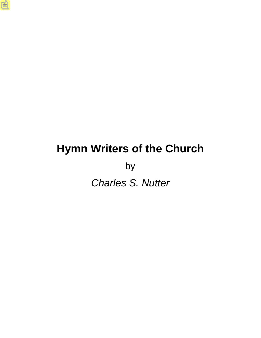# **Hymn Writers of the Church**

by *Charles S. Nutter*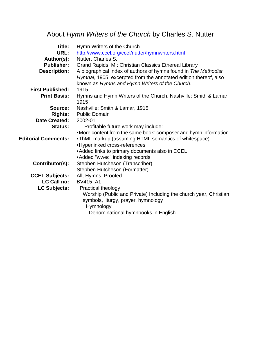## About *Hymn Writers of the Church* by Charles S. Nutter

<span id="page-1-0"></span>

| Title:                     | Hymn Writers of the Church                                                                                                                                                            |
|----------------------------|---------------------------------------------------------------------------------------------------------------------------------------------------------------------------------------|
| URL:                       | http://www.ccel.org/ccel/nutter/hymnwriters.html                                                                                                                                      |
| Author(s):                 | Nutter, Charles S.                                                                                                                                                                    |
| <b>Publisher:</b>          | Grand Rapids, MI: Christian Classics Ethereal Library                                                                                                                                 |
| <b>Description:</b>        | A biographical index of authors of hymns found in The Methodist<br>Hymnal, 1905, excerpted from the annotated edition thereof, also<br>known as Hymns and Hymn Writers of the Church. |
| <b>First Published:</b>    | 1915                                                                                                                                                                                  |
| <b>Print Basis:</b>        | Hymns and Hymn Writers of the Church, Nashville: Smith & Lamar,<br>1915                                                                                                               |
| Source:                    | Nashville: Smith & Lamar, 1915                                                                                                                                                        |
| <b>Rights:</b>             | <b>Public Domain</b>                                                                                                                                                                  |
| <b>Date Created:</b>       | 2002-01                                                                                                                                                                               |
| <b>Status:</b>             | Profitable future work may include:                                                                                                                                                   |
|                            | •More content from the same book: composer and hymn information.                                                                                                                      |
| <b>Editorial Comments:</b> | •ThML markup (assuming HTML semantics of whitespace)                                                                                                                                  |
|                            | •Hyperlinked cross-references                                                                                                                                                         |
|                            | • Added links to primary documents also in CCEL                                                                                                                                       |
|                            | •Added "wwec" indexing records                                                                                                                                                        |
| Contributor(s):            | Stephen Hutcheson (Transcriber)                                                                                                                                                       |
|                            | Stephen Hutcheson (Formatter)                                                                                                                                                         |
| <b>CCEL Subjects:</b>      | All; Hymns; Proofed                                                                                                                                                                   |
| <b>LC Call no:</b>         | <b>BV415.A1</b>                                                                                                                                                                       |
| <b>LC Subjects:</b>        | Practical theology                                                                                                                                                                    |
|                            | Worship (Public and Private) Including the church year, Christian<br>symbols, liturgy, prayer, hymnology<br>Hymnology<br>Denominational hymnbooks in English                          |
|                            |                                                                                                                                                                                       |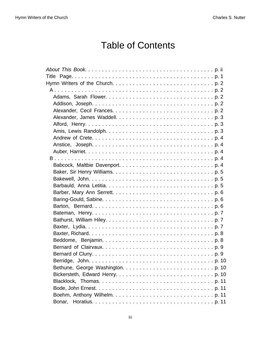## Table of Contents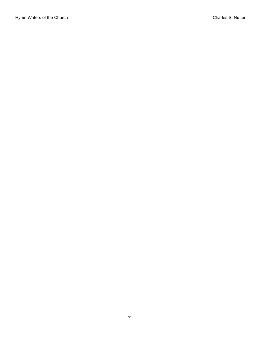Hymn Writers of the Church Charles S. Nutter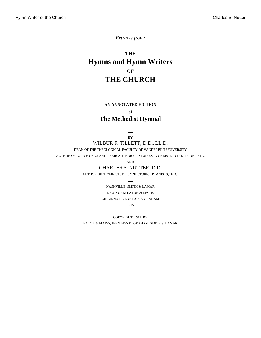*Extracts from:*

## <span id="page-12-0"></span>**THE Hymns and Hymn Writers OF THE CHURCH**

**AN ANNOTATED EDITION of**

## **The Methodist Hymnal**

BY

### WILBUR F. TILLETT, D.D., LL.D.

DEAN OF THE THEOLOGICAL FACULTY OF VANDERBILT UNIVERSITY

AUTHOR OF "OUR HYMNS AND THEIR AUTHORS", "STUDIES IN CHRISTIAN DOCTRINE", ETC.

AND

#### CHARLES S. NUTTER, D.D.

AUTHOR OF "HYMN STUDIES," "HISTORIC HYMNISTS," ETC.

NASHVILLE: SMITH & LAMAR NEW YORK: EATON & MAINS CINCINNATI: JENNINGS & GRAHAM

1915

COPYRIGHT, 1911, BY EATON & MAINS, JENNINGS &. GRAHAM, SMITH & LAMAR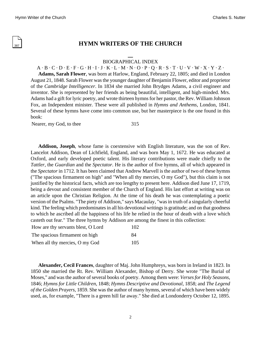<span id="page-13-0"></span>

### **HYMN WRITERS OF THE CHURCH**

BIOGRAPHICAL INDEX

#### <span id="page-13-1"></span> $A \cdot B \cdot C \cdot D \cdot E \cdot F \cdot G \cdot H \cdot I \cdot J \cdot K \cdot L \cdot M \cdot N \cdot O \cdot P \cdot Q \cdot R \cdot S \cdot T \cdot U \cdot V \cdot W \cdot X \cdot Y \cdot Z \cdot$  $A \cdot B \cdot C \cdot D \cdot E \cdot F \cdot G \cdot H \cdot I \cdot J \cdot K \cdot L \cdot M \cdot N \cdot O \cdot P \cdot Q \cdot R \cdot S \cdot T \cdot U \cdot V \cdot W \cdot X \cdot Y \cdot Z \cdot$  $A \cdot B \cdot C \cdot D \cdot E \cdot F \cdot G \cdot H \cdot I \cdot J \cdot K \cdot L \cdot M \cdot N \cdot O \cdot P \cdot Q \cdot R \cdot S \cdot T \cdot U \cdot V \cdot W \cdot X \cdot Y \cdot Z \cdot$  $A \cdot B \cdot C \cdot D \cdot E \cdot F \cdot G \cdot H \cdot I \cdot J \cdot K \cdot L \cdot M \cdot N \cdot O \cdot P \cdot Q \cdot R \cdot S \cdot T \cdot U \cdot V \cdot W \cdot X \cdot Y \cdot Z \cdot$  $A \cdot B \cdot C \cdot D \cdot E \cdot F \cdot G \cdot H \cdot I \cdot J \cdot K \cdot L \cdot M \cdot N \cdot O \cdot P \cdot Q \cdot R \cdot S \cdot T \cdot U \cdot V \cdot W \cdot X \cdot Y \cdot Z \cdot$  $A \cdot B \cdot C \cdot D \cdot E \cdot F \cdot G \cdot H \cdot I \cdot J \cdot K \cdot L \cdot M \cdot N \cdot O \cdot P \cdot Q \cdot R \cdot S \cdot T \cdot U \cdot V \cdot W \cdot X \cdot Y \cdot Z \cdot$  $A \cdot B \cdot C \cdot D \cdot E \cdot F \cdot G \cdot H \cdot I \cdot J \cdot K \cdot L \cdot M \cdot N \cdot O \cdot P \cdot Q \cdot R \cdot S \cdot T \cdot U \cdot V \cdot W \cdot X \cdot Y \cdot Z \cdot$  $A \cdot B \cdot C \cdot D \cdot E \cdot F \cdot G \cdot H \cdot I \cdot J \cdot K \cdot L \cdot M \cdot N \cdot O \cdot P \cdot Q \cdot R \cdot S \cdot T \cdot U \cdot V \cdot W \cdot X \cdot Y \cdot Z \cdot$  $A \cdot B \cdot C \cdot D \cdot E \cdot F \cdot G \cdot H \cdot I \cdot J \cdot K \cdot L \cdot M \cdot N \cdot O \cdot P \cdot Q \cdot R \cdot S \cdot T \cdot U \cdot V \cdot W \cdot X \cdot Y \cdot Z \cdot$  $A \cdot B \cdot C \cdot D \cdot E \cdot F \cdot G \cdot H \cdot I \cdot J \cdot K \cdot L \cdot M \cdot N \cdot O \cdot P \cdot Q \cdot R \cdot S \cdot T \cdot U \cdot V \cdot W \cdot X \cdot Y \cdot Z \cdot$  $A \cdot B \cdot C \cdot D \cdot E \cdot F \cdot G \cdot H \cdot I \cdot J \cdot K \cdot L \cdot M \cdot N \cdot O \cdot P \cdot Q \cdot R \cdot S \cdot T \cdot U \cdot V \cdot W \cdot X \cdot Y \cdot Z \cdot$  $A \cdot B \cdot C \cdot D \cdot E \cdot F \cdot G \cdot H \cdot I \cdot J \cdot K \cdot L \cdot M \cdot N \cdot O \cdot P \cdot Q \cdot R \cdot S \cdot T \cdot U \cdot V \cdot W \cdot X \cdot Y \cdot Z \cdot$  $A \cdot B \cdot C \cdot D \cdot E \cdot F \cdot G \cdot H \cdot I \cdot J \cdot K \cdot L \cdot M \cdot N \cdot O \cdot P \cdot Q \cdot R \cdot S \cdot T \cdot U \cdot V \cdot W \cdot X \cdot Y \cdot Z \cdot$  $A \cdot B \cdot C \cdot D \cdot E \cdot F \cdot G \cdot H \cdot I \cdot J \cdot K \cdot L \cdot M \cdot N \cdot O \cdot P \cdot Q \cdot R \cdot S \cdot T \cdot U \cdot V \cdot W \cdot X \cdot Y \cdot Z \cdot$  $A \cdot B \cdot C \cdot D \cdot E \cdot F \cdot G \cdot H \cdot I \cdot J \cdot K \cdot L \cdot M \cdot N \cdot O \cdot P \cdot Q \cdot R \cdot S \cdot T \cdot U \cdot V \cdot W \cdot X \cdot Y \cdot Z \cdot$  $A \cdot B \cdot C \cdot D \cdot E \cdot F \cdot G \cdot H \cdot I \cdot J \cdot K \cdot L \cdot M \cdot N \cdot O \cdot P \cdot Q \cdot R \cdot S \cdot T \cdot U \cdot V \cdot W \cdot X \cdot Y \cdot Z \cdot$  $A \cdot B \cdot C \cdot D \cdot E \cdot F \cdot G \cdot H \cdot I \cdot J \cdot K \cdot L \cdot M \cdot N \cdot O \cdot P \cdot Q \cdot R \cdot S \cdot T \cdot U \cdot V \cdot W \cdot X \cdot Y \cdot Z \cdot$  $A \cdot B \cdot C \cdot D \cdot E \cdot F \cdot G \cdot H \cdot I \cdot J \cdot K \cdot L \cdot M \cdot N \cdot O \cdot P \cdot Q \cdot R \cdot S \cdot T \cdot U \cdot V \cdot W \cdot X \cdot Y \cdot Z \cdot$  $A \cdot B \cdot C \cdot D \cdot E \cdot F \cdot G \cdot H \cdot I \cdot J \cdot K \cdot L \cdot M \cdot N \cdot O \cdot P \cdot Q \cdot R \cdot S \cdot T \cdot U \cdot V \cdot W \cdot X \cdot Y \cdot Z \cdot$  $A \cdot B \cdot C \cdot D \cdot E \cdot F \cdot G \cdot H \cdot I \cdot J \cdot K \cdot L \cdot M \cdot N \cdot O \cdot P \cdot Q \cdot R \cdot S \cdot T \cdot U \cdot V \cdot W \cdot X \cdot Y \cdot Z \cdot$  $A \cdot B \cdot C \cdot D \cdot E \cdot F \cdot G \cdot H \cdot I \cdot J \cdot K \cdot L \cdot M \cdot N \cdot O \cdot P \cdot Q \cdot R \cdot S \cdot T \cdot U \cdot V \cdot W \cdot X \cdot Y \cdot Z \cdot$  $A \cdot B \cdot C \cdot D \cdot E \cdot F \cdot G \cdot H \cdot I \cdot J \cdot K \cdot L \cdot M \cdot N \cdot O \cdot P \cdot Q \cdot R \cdot S \cdot T \cdot U \cdot V \cdot W \cdot X \cdot Y \cdot Z \cdot$  $A \cdot B \cdot C \cdot D \cdot E \cdot F \cdot G \cdot H \cdot I \cdot J \cdot K \cdot L \cdot M \cdot N \cdot O \cdot P \cdot Q \cdot R \cdot S \cdot T \cdot U \cdot V \cdot W \cdot X \cdot Y \cdot Z \cdot$  $A \cdot B \cdot C \cdot D \cdot E \cdot F \cdot G \cdot H \cdot I \cdot J \cdot K \cdot L \cdot M \cdot N \cdot O \cdot P \cdot Q \cdot R \cdot S \cdot T \cdot U \cdot V \cdot W \cdot X \cdot Y \cdot Z \cdot$  $A \cdot B \cdot C \cdot D \cdot E \cdot F \cdot G \cdot H \cdot I \cdot J \cdot K \cdot L \cdot M \cdot N \cdot O \cdot P \cdot Q \cdot R \cdot S \cdot T \cdot U \cdot V \cdot W \cdot X \cdot Y \cdot Z \cdot$  $A \cdot B \cdot C \cdot D \cdot E \cdot F \cdot G \cdot H \cdot I \cdot J \cdot K \cdot L \cdot M \cdot N \cdot O \cdot P \cdot Q \cdot R \cdot S \cdot T \cdot U \cdot V \cdot W \cdot X \cdot Y \cdot Z \cdot$  $A \cdot B \cdot C \cdot D \cdot E \cdot F \cdot G \cdot H \cdot I \cdot J \cdot K \cdot L \cdot M \cdot N \cdot O \cdot P \cdot Q \cdot R \cdot S \cdot T \cdot U \cdot V \cdot W \cdot X \cdot Y \cdot Z \cdot$  $A \cdot B \cdot C \cdot D \cdot E \cdot F \cdot G \cdot H \cdot I \cdot J \cdot K \cdot L \cdot M \cdot N \cdot O \cdot P \cdot Q \cdot R \cdot S \cdot T \cdot U \cdot V \cdot W \cdot X \cdot Y \cdot Z \cdot$  $A \cdot B \cdot C \cdot D \cdot E \cdot F \cdot G \cdot H \cdot I \cdot J \cdot K \cdot L \cdot M \cdot N \cdot O \cdot P \cdot Q \cdot R \cdot S \cdot T \cdot U \cdot V \cdot W \cdot X \cdot Y \cdot Z \cdot$  $A \cdot B \cdot C \cdot D \cdot E \cdot F \cdot G \cdot H \cdot I \cdot J \cdot K \cdot L \cdot M \cdot N \cdot O \cdot P \cdot Q \cdot R \cdot S \cdot T \cdot U \cdot V \cdot W \cdot X \cdot Y \cdot Z \cdot$  $A \cdot B \cdot C \cdot D \cdot E \cdot F \cdot G \cdot H \cdot I \cdot J \cdot K \cdot L \cdot M \cdot N \cdot O \cdot P \cdot Q \cdot R \cdot S \cdot T \cdot U \cdot V \cdot W \cdot X \cdot Y \cdot Z \cdot$  $A \cdot B \cdot C \cdot D \cdot E \cdot F \cdot G \cdot H \cdot I \cdot J \cdot K \cdot L \cdot M \cdot N \cdot O \cdot P \cdot Q \cdot R \cdot S \cdot T \cdot U \cdot V \cdot W \cdot X \cdot Y \cdot Z \cdot$  $A \cdot B \cdot C \cdot D \cdot E \cdot F \cdot G \cdot H \cdot I \cdot J \cdot K \cdot L \cdot M \cdot N \cdot O \cdot P \cdot Q \cdot R \cdot S \cdot T \cdot U \cdot V \cdot W \cdot X \cdot Y \cdot Z \cdot$  $A \cdot B \cdot C \cdot D \cdot E \cdot F \cdot G \cdot H \cdot I \cdot J \cdot K \cdot L \cdot M \cdot N \cdot O \cdot P \cdot Q \cdot R \cdot S \cdot T \cdot U \cdot V \cdot W \cdot X \cdot Y \cdot Z \cdot$  $A \cdot B \cdot C \cdot D \cdot E \cdot F \cdot G \cdot H \cdot I \cdot J \cdot K \cdot L \cdot M \cdot N \cdot O \cdot P \cdot Q \cdot R \cdot S \cdot T \cdot U \cdot V \cdot W \cdot X \cdot Y \cdot Z \cdot$  $A \cdot B \cdot C \cdot D \cdot E \cdot F \cdot G \cdot H \cdot I \cdot J \cdot K \cdot L \cdot M \cdot N \cdot O \cdot P \cdot Q \cdot R \cdot S \cdot T \cdot U \cdot V \cdot W \cdot X \cdot Y \cdot Z \cdot$  $A \cdot B \cdot C \cdot D \cdot E \cdot F \cdot G \cdot H \cdot I \cdot J \cdot K \cdot L \cdot M \cdot N \cdot O \cdot P \cdot Q \cdot R \cdot S \cdot T \cdot U \cdot V \cdot W \cdot X \cdot Y \cdot Z \cdot$  $A \cdot B \cdot C \cdot D \cdot E \cdot F \cdot G \cdot H \cdot I \cdot J \cdot K \cdot L \cdot M \cdot N \cdot O \cdot P \cdot Q \cdot R \cdot S \cdot T \cdot U \cdot V \cdot W \cdot X \cdot Y \cdot Z \cdot$  $A \cdot B \cdot C \cdot D \cdot E \cdot F \cdot G \cdot H \cdot I \cdot J \cdot K \cdot L \cdot M \cdot N \cdot O \cdot P \cdot Q \cdot R \cdot S \cdot T \cdot U \cdot V \cdot W \cdot X \cdot Y \cdot Z \cdot$  $A \cdot B \cdot C \cdot D \cdot E \cdot F \cdot G \cdot H \cdot I \cdot J \cdot K \cdot L \cdot M \cdot N \cdot O \cdot P \cdot Q \cdot R \cdot S \cdot T \cdot U \cdot V \cdot W \cdot X \cdot Y \cdot Z \cdot$  $A \cdot B \cdot C \cdot D \cdot E \cdot F \cdot G \cdot H \cdot I \cdot J \cdot K \cdot L \cdot M \cdot N \cdot O \cdot P \cdot Q \cdot R \cdot S \cdot T \cdot U \cdot V \cdot W \cdot X \cdot Y \cdot Z \cdot$  $A \cdot B \cdot C \cdot D \cdot E \cdot F \cdot G \cdot H \cdot I \cdot J \cdot K \cdot L \cdot M \cdot N \cdot O \cdot P \cdot Q \cdot R \cdot S \cdot T \cdot U \cdot V \cdot W \cdot X \cdot Y \cdot Z \cdot$  $A \cdot B \cdot C \cdot D \cdot E \cdot F \cdot G \cdot H \cdot I \cdot J \cdot K \cdot L \cdot M \cdot N \cdot O \cdot P \cdot Q \cdot R \cdot S \cdot T \cdot U \cdot V \cdot W \cdot X \cdot Y \cdot Z \cdot$  $A \cdot B \cdot C \cdot D \cdot E \cdot F \cdot G \cdot H \cdot I \cdot J \cdot K \cdot L \cdot M \cdot N \cdot O \cdot P \cdot Q \cdot R \cdot S \cdot T \cdot U \cdot V \cdot W \cdot X \cdot Y \cdot Z \cdot$  $A \cdot B \cdot C \cdot D \cdot E \cdot F \cdot G \cdot H \cdot I \cdot J \cdot K \cdot L \cdot M \cdot N \cdot O \cdot P \cdot Q \cdot R \cdot S \cdot T \cdot U \cdot V \cdot W \cdot X \cdot Y \cdot Z \cdot$  $A \cdot B \cdot C \cdot D \cdot E \cdot F \cdot G \cdot H \cdot I \cdot J \cdot K \cdot L \cdot M \cdot N \cdot O \cdot P \cdot Q \cdot R \cdot S \cdot T \cdot U \cdot V \cdot W \cdot X \cdot Y \cdot Z \cdot$  $A \cdot B \cdot C \cdot D \cdot E \cdot F \cdot G \cdot H \cdot I \cdot J \cdot K \cdot L \cdot M \cdot N \cdot O \cdot P \cdot Q \cdot R \cdot S \cdot T \cdot U \cdot V \cdot W \cdot X \cdot Y \cdot Z \cdot$  $A \cdot B \cdot C \cdot D \cdot E \cdot F \cdot G \cdot H \cdot I \cdot J \cdot K \cdot L \cdot M \cdot N \cdot O \cdot P \cdot Q \cdot R \cdot S \cdot T \cdot U \cdot V \cdot W \cdot X \cdot Y \cdot Z \cdot$

**Adams, Sarah Flower**, was born at Harlow, England, February 22, 1805; and died in London August 21, 1848. Sarah Flower was the younger daughter of Benjamin Flower, editor and proprietor of the *Cambridge Intelligencer*. In 1834 she married John Brydges Adams, a civil engineer and inventor. She is represented by her friends as being beautiful, intelligent, and high-minded. Mrs. Adams had a gift for lyric poetry, and wrote thirteen hymns for her pastor, the Rev. William Johnson Fox, an Independent minister. These were all published in *Hymns and Anthems*, London, 1841. Several of these hymns have come into common use, but her masterpiece is the one found in this book:

<span id="page-13-2"></span>Nearer, my God, to thee 315

**Addison, Joseph**, whose fame is coextensive with English literature, was the son of Rev. Lancelot Addison, Dean of Lichfield, England, and was born May 1, 1672. He was educated at Oxford, and early developed poetic talent. His literary contributions were made chiefly to the *Tattler*, the *Guardian* and the *Spectator*. He is the author of five hymns, all of which appeared in the *Spectator* in 1712. It has been claimed that Andrew Marvell is the author of two of these hymns ("The spacious firmament on high" and "When all thy mercies, O my God"), but this claim is not justified by the historical facts, which are too lengthy to present here. Addison died June 17, 1719, being a devout and consistent member of the Church of England. His last effort at writing was on an article upon the Christian Religion. At the time of his death he was contemplating a poetic version of the Psalms. "The piety of Addison," says Macaulay, "was in truth of a singularly cheerful kind. The feeling which predominates in all his devotional writings is gratitude; and on that goodness to which he ascribed all the happiness of his life he relied in the hour of death with a love which casteth out fear." The three hymns by Addison are among the finest in this collection:

<span id="page-13-3"></span>

| How are thy servants blest, O Lord | 102 |
|------------------------------------|-----|
| The spacious firmament on high     | 84  |
| When all thy mercies, O my God     | 105 |

**Alexander, Cecil Frances**, daughter of Maj. John Humphreys, was born in Ireland in 1823. In 1850 she married the Rt. Rev. William Alexander, Bishop of Derry. She wrote "The Burial of Moses," and was the author of several books of poetry. Among them were: *Verses for Holy Seasons*, 1846; *Hymns for Little Children*, 1848; *Hymns Descriptive and Devotional*, 1858; and *The Legend of the Golden Prayers*, 1859. She was the author of many hymns, several of which have been widely used, as, for example, "There is a green hill far away." She died at Londonderry October 12, 1895.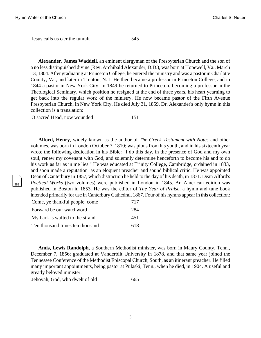Jesus calls us o'er the tumult 545

<span id="page-14-0"></span>**Alexander, James Waddell**, an eminent clergyman of the Presbyterian Church and the son of a no less distinguished divine (Rev. Archibald Alexander, D.D.), was born at Hopewell, Va., March 13, 1804. After graduating at Princeton College, he entered the ministry and was a pastor in Charlotte County; Va., and later in Trenton, N. J. He then became a professor in Princeton College, and in 1844 a pastor in New York City. In 1849 he returned to Princeton, becoming a professor in the Theological Seminary, which position he resigned at the end of three years, his heart yearning to get back into the regular work of the ministry. He now became pastor of the Fifth Avenue Presbyterian Church, in New York City. He died July 31, 1859. Dr. Alexander's only hymn in this collection is a translation:

<span id="page-14-1"></span>O sacred Head, now wounded 151

**Alford, Henry**, widely known as the author of *The Greek Testament with Notes* and other volumes, was born in London October 7, 1810; was pious from his youth, and in his sixteenth year wrote the following dedication in his Bible: "I do this day, in the presence of God and my own soul, renew my covenant with God, and solemnly determine henceforth to become his and to do his work as far as in me lies." He was educated at Trinity College, Cambridge, ordained in 1833, and soon made a reputation as an eloquent preacher and sound biblical critic. He was appointed Dean of Canterbury in 1857, which distinction he held to the day of his death, in 1871. Dean Alford's *Poetical Works* (two volumes) were published in London in 1845. An American edition was published in Boston in 1853. He was the editor of *The Year of Praise*, a hymn and tune book intended primarily for use in Canterbury Cathedral, 1867. Four of his hymns appear in this collection:

<span id="page-14-2"></span>

| Come, ye thankful people, come  | 717 |  |
|---------------------------------|-----|--|
| Forward be our watchword        | 284 |  |
| My bark is wafted to the strand | 451 |  |
| Ten thousand times ten thousand | 618 |  |

**Amis, Lewis Randolph**, a Southern Methodist minister, was born in Maury County, Tenn., December 7, 1856; graduated at Vanderbilt University in 1878, and that same year joined the Tennessee Conference of the Methodist Episcopal Church, South, as an itinerant preacher. He filled many important appointments, being pastor at Pulaski, Tenn., when he died, in 1904. A useful and greatly beloved minister.

Jehovah, God, who dwelt of old 665

3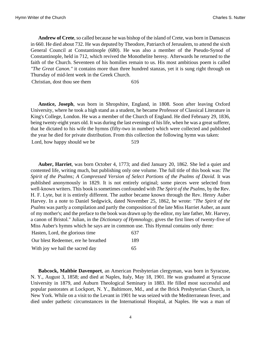<span id="page-15-0"></span>**Andrew of Crete**, so called because he was bishop of the island of Crete, was born in Damascus in 660. He died about 732. He was deputed by Theodore, Patriarch of Jerusalem, to attend the sixth General Council at Constantinople (680). He was also a member of the Pseudo-Synod of Constantinople, held in 712, which revived the Monothelite heresy. Afterwards he returned to the faith of the Church. Seventeen of his homilies remain to us. His most ambitious poem is called *"The Great Canon."* it contains more than three hundred stanzas, yet it is sung right through on Thursday of mid-lent week in the Greek Church.

Christian, dost thou see them 616

<span id="page-15-1"></span>**Anstice, Joseph**, was born in Shropshire, England, in 1808. Soon after leaving Oxford University, where he took a high stand as a student, he became Professor of Classical Literature in King's College, London. He was a member of the Church of England. He died February 29, 1836, being twenty-eight years old. It was during the last evenings of his life, when he was a great sufferer, that he dictated to his wife the hymns (fifty-two in number) which were collected and published the year he died for private distribution. From this collection the following hymn was taken: Lord, how happy should we be  $519$ 

<span id="page-15-2"></span>**Auber, Harriet**, was born October 4, 1773; and died January 20, 1862. She led a quiet and contented life, writing much, but publishing only one volume. The full title of this book was: *The Spirit of the Psalms; A Compressed Version of Select Portions of the Psalms of David*. It was published anonymously in 1829. It is not entirely original; some pieces were selected from well-known writers. This book is sometimes confounded with *The Spirit of the Psalms*, by the [Rev.](#page-72-0) [H. F. Lyte,](#page-72-0) but it is entirely different. The author became known through the Rev. Henry Auber Harvey. In a note to Daniel Sedgwick, dated November 25, 1862, he wrote: "*The Spirit of the Psalms* was partly a compilation and partly the composition of the late Miss Harriet Auber, an aunt of my mother's; and the preface to the book was drawn up by the editor, my late father, Mr. Harvey, a canon of Bristol." [Julian,](#page-66-1) in the *Dictionary of Hymnology*, gives the first lines of twenty-five of Miss Auber's hymns which he says are in common use. This Hymnal contains only three:

<span id="page-15-3"></span>

| Hasten, Lord, the glorious time     | 637 |
|-------------------------------------|-----|
| Our blest Redeemer, ere he breathed | 189 |
| With joy we hail the sacred day     | 65  |

**Babcock, Maltbie Davenport**, an American Presbyterian clergyman, was born in Syracuse, N. Y., August 3, 1858; and died at Naples, Italy, May 18, 1901. He was graduated at Syracuse University in 1879, and Auburn Theological Seminary in 1883. He filled most successful and popular pastorates at Lockport, N. Y., Baltimore, Md., and at the Brick Presbyterian Church, in New York. While on a visit to the Levant in 1901 he was seized with the Mediterranean fever, and died under pathetic circumstances in the International Hospital, at Naples. He was a man of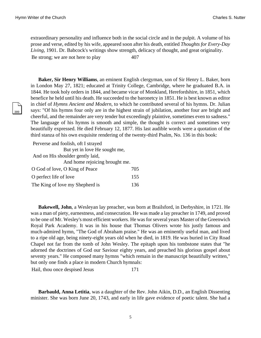extraordinary personality and influence both in the social circle and in the pulpit. A volume of his prose and verse, edited by his wife, appeared soon after his death, entitled *Thoughts for Every-Day Living*, 1901. Dr. Babcock's writings show strength, delicacy of thought, and great originality. Be strong; we are not here to play 407

<span id="page-16-0"></span>**Baker, Sir Henry Williams**, an eminent English clergyman, son of Sir Henry L. Baker, born in London May 27, 1821; educated at Trinity College, Cambridge, where he graduated B.A. in 1844. He took holy orders in 1844, and became vicar of Monkland, Herefordshire, in 1851, which benefice he held until his death. He succeeded to the baronetcy in 1851. He is best known as editor in chief of *Hymns Ancient and Modern*, to which he contributed several of his hymns. Dr. Julian says: "Of his hymns four only are in the highest strain of jubilation, another four are bright and cheerful, and the remainder are very tender but exceedingly plaintive, sometimes even to sadness." The language of his hymns is smooth and simple, the thought is correct and sometimes very beautifully expressed. He died February 12, 1877. His last audible words were a quotation of the third stanza of his own exquisite rendering of the twenty-third Psalm, No. 136 in this book:

| Perverse and foolish, oft I strayed |     |
|-------------------------------------|-----|
| But yet in love He sought me,       |     |
| And on His shoulder gently laid,    |     |
| And home rejoicing brought me.      |     |
| O God of love, O King of Peace      | 705 |
| O perfect life of love              | 155 |
| The King of love my Shepherd is     | 136 |

<span id="page-16-1"></span>**Bakewell, John**, a Wesleyan lay preacher, was born at Brailsford, in Derbyshire, in 1721. He was a man of piety, earnestness, and consecration. He was made a lay preacher in 1749, and proved to be one of [Mr. Wesley](#page-115-0)'s most efficient workers. He was for several years Master of the Greenwich Royal Park Academy. It was in his house that [Thomas Olivers](#page-84-2) wrote his justly famous and much-admired hymn, "The God of Abraham praise." He was an eminently useful man, and lived to a ripe old age, being ninety-eight years old when he died, in 1819. He was buried in City Road Chapel not far from the tomb of John Wesley. The epitaph upon his tombstone states that "he adorned the doctrines of God our Saviour eighty years, and preached his glorious gospel about seventy years." He composed many hymns "which remain in the manuscript beautifully written," but only one finds a place in modern Church hymnals:

<span id="page-16-2"></span>Hail, thou once despised Jesus 171

**Barbauld, Anna Letitia**, was a daughter of the Rev. John Aikin, D.D., an English Dissenting minister. She was born June 20, 1743, and early in life gave evidence of poetic talent. She had a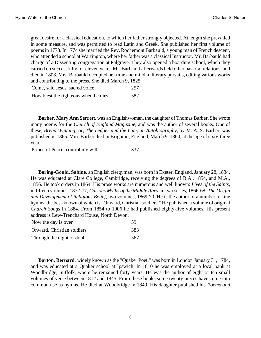great desire for a classical education, to which her father strongly objected. At length she prevailed in some measure, and was permitted to read Latin and Greek. She published her first volume of poems in 1773. In 1774 she married the Rev. Rochemont Barbauld, a young man of French descent, who attended a school at Warrington, where her father was a classical Instructor. Mr. Barbauld had charge of a Dissenting congregation at Palgrave. They also opened a boarding school, which they carried on successfully for eleven years. Mr. Barbauld afterwards held other pastoral relations, and died in 1808. Mrs. Barbauld occupied her time and mind in literary pursuits, editing various works and contributing to the press. She died March 9, 1825. Come, said Jesus' sacred voice 257

| Come, said resus sacred voice        | $\angle$ . 1 |
|--------------------------------------|--------------|
| How blest the righteous when he dies | 582          |

<span id="page-17-0"></span>**Barber, Mary Ann Serrett**, was an Englishwoman, the daughter of Thomas Barber. She wrote many poems for the *Church of England Magazine*, and was the author of several books. One of these, *Bread Winning; or, The Ledger and the Lute, an Autobiography*, by M. A. S. Barber, was published in 1865. Miss Barber died in Brighton, England, March 9, 1864, at the age of sixty-three years.

<span id="page-17-1"></span>Prince of Peace, control my will 337

**Baring-Gould, Sabine**, an English clergyman, was born in Exeter, England, January 28, 1834. He was educated at Clare College, Cambridge, receiving the degrees of B.A., 1854, and M.A., 1856. He took orders in 1864. His prose works are numerous and well known: *Lives of the Saints*, in fifteen volumes, 1872-77; *Curious Myths of the Middle Ages*, in two series, 1866-68; *The Origin and Development of Religious Belief*, two volumes, 1869-70. He is the author of a number of fine hymns, the best-known of which is "Onward, Christian soldiers." He published a volume of original *Church Songs* in 1884. From 1854 to 1906 he had published eighty-five volumes. His present address is Lew-Trenchard House, North Devon.

<span id="page-17-2"></span>

| Now the day is over        | 59  |
|----------------------------|-----|
| Onward, Christian soldiers | 383 |
| Through the night of doubt | 567 |

**Barton, Bernard**, widely known as the "Quaker Poet," was born in London January 31, 1784, and was educated at a Quaker school at Ipswich. In 1810 he was employed at a local bank at Woodbridge, Suffolk, where he remained forty years. He was the author of eight or ten small volumes of verse between 1812 and 1845. From these books some twenty pieces have come into common use as hymns. He died at Woodbridge in 1849. His daughter published his *Poems and*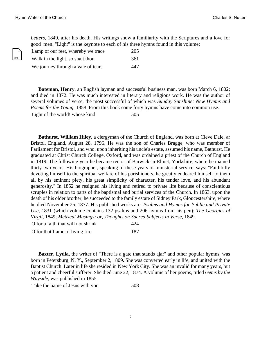*Letters*, 1849, after his death. His writings show a familiarity with the Scriptures and a love for good men. "Light" is the keynote to each of his three hymns found in this volume:

| Lamp of our feet, whereby we trace | 205 |
|------------------------------------|-----|
| Walk in the light, so shalt thou   | 361 |
| We journey through a vale of tears | 447 |

<span id="page-18-0"></span>**Bateman, Henry**, an English layman and successful business man, was born March 6, 1802; and died in 1872. He was much interested in literary and religious work. He was the author of several volumes of verse, the most successful of which was *Sunday Sunshine: New Hymns and Poems for the Young*, 1858. From this book some forty hymns have come into common use. Light of the world! whose kind 505

<span id="page-18-1"></span>**Bathurst, William Hiley**, a clergyman of the Church of England, was born at Cleve Dale, ar Bristol, England, August 28, 1796. He was the son of Charles Bragge, who was member of Parliament for Bristol, and who, upon inheriting his uncle's estate, assumed his name, Bathurst. He graduated at Christ Church College, Oxford, and was ordained a priest of the Church of England in 1819. The following year he became rector of Barwick-in-Elmet, Yorkshire, where he mained thirty-two years. His biographer, speaking of these years of ministerial service, says: "Faithfully devoting himself to the spiritual welfare of his parishioners, he greatly endeared himself to them all by his eminent piety, his great simplicity of character, his tender love, and his abundant generosity." In 1852 he resigned his living and retired to private life because of conscientious scruples in relation to parts of the baptismal and burial services of the Church. In 1863, upon the death of his older brother, he succeeded to the family estate of Sidney Park, Gloucestershire, where he died November 25, 1877. His published works are: *Psalms and Hymns for Public and Private Use*, 1831 (which volume contains 132 psalms and 206 hymns from his pen); *The Georgics of Virgil*, 1849; *Metrical Musings; or, Thoughts on Sacred Subjects in Verse*, 1849.

<span id="page-18-2"></span>

| O for a faith that will not shrink | 424 |
|------------------------------------|-----|
| O for that flame of living fire    | 187 |

**Baxter, Lydia**, the writer of "There is a gate that stands ajar" and other popular hymns, was born in Petersburg, N. Y., September 2, 1809. She was converted early in life, and united with the Baptist Church. Later in life she resided in New York City. She was an invalid for many years, but a patient and cheerful sufferer. She died June 22, 1874. A volume of her poems, titled *Gems by the Wayside*, was published in 1855.

Take the name of Jesus with you 508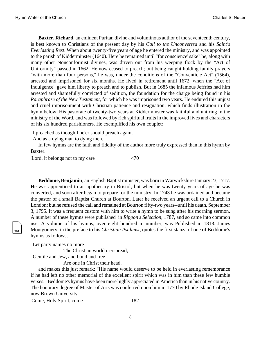<span id="page-19-0"></span>**Baxter, Richard**, an eminent Puritan divine and voluminous author of the seventeenth century, is best known to Christians of the present day by his *Call to the Unconverted* and his *Saint's Everlasting Rest*. When about twenty-five years of age he entered the ministry, and was appointed to the parish of Kidderminster (1640). Here he remained until "for conscience' sake" he, along with many other Nonconformist divines, was driven out from his weeping flock by the "Act of Uniformity" passed in 1662. He now ceased to preach; but being caught holding family prayers "with more than four persons," he was, under the conditions of the "Conventicle Act" (1564), arrested and imprisoned for six months. He lived in retirement until 1672, when the "Act of Indulgence" gave him liberty to preach and to publish. But in 1685 the infamous Jeffries had him arrested and shamefully convicted of sedition, the foundation for the charge being found in his *Paraphrase of the New Testament*, for which he was imprisoned two years. He endured this unjust and cruel imprisonment with Christian patience and resignation, which finds illustration in the hymn below. His pastorate of twenty-two years at Kidderminster was faithful and untiring in the ministry of the Word, and was followed by rich spiritual fruits in the improved lives and characters of his six hundred parishioners. He exemplified his own couplet:

I preached as though I ne'er should preach again,

And as a dying man to dying men.

In few hymns are the faith and fidelity of the author more truly expressed than in this hymn by Baxter.

<span id="page-19-1"></span>Lord, it belongs not to my care 470

**Beddome, Benjamin**, an English Baptist minister, was born in Warwickshire January 23, 1717. He was apprenticed to an apothecary in Bristol; but when he was twenty years of age he was converted, and soon after began to prepare for the ministry. In 1743 he was ordained and became the pastor of a small Baptist Church at Bourton. Later he received an urgent call to a Church in London; but he refused the call and remained at Bourton fifty-two years--until his death, September 3, 1795. It was a frequent custom with him to write a hymn to be sung after his morning sermon. A number of these hymns were published in *Rippon's Selection*, 1787, and so came into common use. A volume of his hymns, over eight hundred in number, was Published in 1818. [James](#page-79-1) [Montgomery,](#page-79-1) in the preface to his *Christian Psalmist*, quotes the first stanza of one of Beddome's hymns as follows,

Let party names no more

391

The Christian world o'erspread;

Gentile and Jew, and bond and free

Are one in Christ their head.

and makes this just remark: "His name would deserve to be held in everlasting remembrance if he had left no other memorial of the excellent spirit which was in him than these few humble verses." Beddome's hymns have been more highly appreciated in America than in his native country. The honorary degree of Master of Arts was conferred upon him in 1770 by Rhode Island College, now Brown University.

Come, Holy Spirit, come 182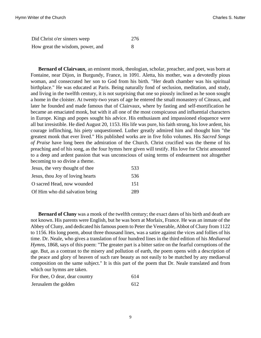| Did Christ o'er sinners weep     | 276 |
|----------------------------------|-----|
| How great the wisdom, power, and |     |

<span id="page-20-0"></span>**Bernard of Clairvaux**, an eminent monk, theologian, scholar, preacher, and poet, was born at Fontaine, near Dijon, in Burgundy, France, in 1091. Aletta, his mother, was a devotedly pious woman, and consecrated her son to God from his birth. "Her death chamber was his spiritual birthplace." He was educated at Paris. Being naturally fond of seclusion, meditation, and study, and living in the twelfth century, it is not surprising that one so piously inclined as he soon sought a home in the cloister. At twenty-two years of age he entered the small monastery of Citeaux, and later he founded and made famous that of Clairvaux, where by fasting and self-mortification he became an emaciated monk, but with it all one of the most conspicuous and influential characters in Europe. Kings and popes sought his advice. His enthusiasm and impassioned eloquence were all but irresistible. He died August 20, 1153. His life was pure, his faith strong, his love ardent, his courage inflinching, his piety unquestioned. Luther greatly admired him and thought him "the greatest monk that ever lived." His published works are in five folio volumes. His *Sacred Songs of Praise* have long been the admiration of the Church. Christ crucified was the theme of his preaching and of his song, as the four hymns here given will testify. His love for Christ amounted to a deep and ardent passion that was unconscious of using terms of endearment not altogether becoming to so divine a theme.

| Jesus, the very thought of thee  | 533 |
|----------------------------------|-----|
| Jesus, thou Joy of loving hearts | 536 |
| O sacred Head, now wounded       | 151 |
| Of Him who did salvation bring   | 289 |

<span id="page-20-1"></span>**Bernard of Cluny** was a monk of the twelfth century; the exact dates of his birth and death are not known. His parents were English, but he was born at Morlaix, France. He was an inmate of the Abbey of Cluny, and dedicated his famous poem to Peter the Venerable, Abbot of Cluny from 1122 to 1156. His long poem, about three thousand lines, was a satire against the vices and follies of his time. [Dr. Neale,](#page-81-2) who gives a translation of four hundred lines in the third edition of his *Mediaeval Hymns*, 1868, says of this poem: "The greater part is a bitter satire on the fearful corruptions of the age. But, as a contrast to the misery and pollution of earth, the poem opens with a description of the peace and glory of heaven of such rare beauty as not easily to be matched by any mediaeval composition on the same subject." It is this part of the poem that Dr. Neale translated and from which our hymns are taken.

| For thee, O dear, dear country | 614 |
|--------------------------------|-----|
| Jerusalem the golden           | 612 |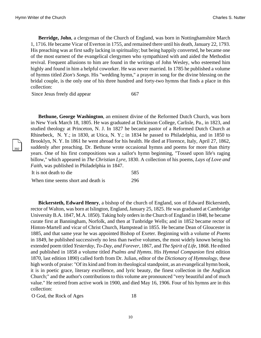<span id="page-21-0"></span>**Berridge, John**, a clergyman of the Church of England, was born in Nottinghamshire March 1, 1716. He became Vicar of Everton in 1755, and remained there until his death, January 22, 1793. His preaching was at first sadly lacking in spirituality; but being happily converted, he became one of the most earnest of the evangelical clergymen who sympathized with and aided the Methodist revival. Frequent allusions to him are found in the writings of [John Wesley,](#page-115-0) who esteemed him highly and found in him a helpful coworker. He was never married. In 1785 he published a volume of hymns titled *Zion's Songs*. His "wedding hymn," a prayer in song for the divine blessing on the bridal couple, is the only one of his three hundred and forty-two hymns that finds a place in this collection:

<span id="page-21-1"></span>Since Jesus freely did appear 667

**Bethune, George Washington**, an eminent divine of the Reformed Dutch Church, was born in New York March 18, 1805. He was graduated at Dickinson College, Carlisle, Pa., in 1823, and studied theology at Princeton, N. J. In 1827 he became pastor of a Reformed Dutch Church at Rhinebeck, N. Y.; in 1830, at Utica, N. Y.; in 1834 he passed to Philadelphia, and in 1850 to Brooklyn, N. Y. In 1861 he went abroad for his health. He died at Florence, Italy, April 27, 1862, suddenly after preaching. Dr. Bethune wrote occasional hymns and poems for more than thirty years. One of his first compositions was a sailor's hymn beginning, "Tossed upon life's raging billow," which appeared in *The Christian Lyre*, 1830. A collection of his poems, *Lays of Love and Faith*, was published in Philadelphia in 1847.

<span id="page-21-2"></span>

| It is not death to die             | 585 |
|------------------------------------|-----|
| When time seems short and death is | 296 |

**Bickersteth, Edward Henry**, a bishop of the church of England, son of Edward Bickersteth, rector of Walton, was born at Islington, England, January 25, 1825. He was graduated at Cambridge University B.A. 1847, M.A. 1850). Taking holy orders in the Church of England in 1848, he became curate first at Banningham, Norfolk, and then at Tunbridge Wells; and in 1852 became rector of Hinton-Martell and vicar of Christ Church, Hampstead in 1855. He became Dean of Gloucester in 1885, and that same year he was appointed Bishop of Exeter. Beginning with a volume of *Poems* in 1849, he published successively no less than twelve volumes, the most widely known being his extended poem titled *Yesterday, To-Day, and Forever*, 1867, and *The Spirit of Life*, 1868. He edited and published in 1858 a volume titled *Psalms and Hymns*. His *Hymnal Companion* first edition 1870, last edition 1890) called forth from [Dr. Julian,](#page-66-1) editor of the *Dictionary of Hymnology*, these high words of praise: "Of its kind and from its theological standpoint, as an evangelical hymn book, it is in poetic grace, literary excellence, and lyric beauty, the finest collection in the Anglican Church;" and the author's contributions to this volume are pronounced "very beautiful and of much value." He retired from active work in 1900, and died May 16, 1906. Four of his hymns are in this collection:

O God, the Rock of Ages 18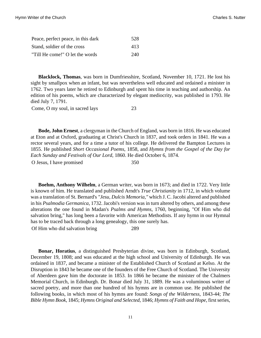| Peace, perfect peace, in this dark | 528 |
|------------------------------------|-----|
| Stand, soldier of the cross        | 413 |
| "Till He come!" O let the words    | 240 |

<span id="page-22-0"></span>**Blacklock, Thomas**, was born in Dumfriesshire, Scotland, November 10, 1721. He lost his sight by smallpox when an infant, but was nevertheless well educated and ordained a minister in 1762. Two years later he retired to Edinburgh and spent his time in teaching and authorship. An edition of his poems, which are characterized by elegant mediocrity, was published in 1793. He died July 7, 1791.

<span id="page-22-1"></span>Come, O my soul, in sacred lays 23

**Bode, John Ernest**, a clergyman in the Church of England, was born in 1816. He was educated at Eton and at Oxford, graduating at Christ's Church in 1837, and took orders in 1841. He was a rector several years, and for a time a tutor of his college. He delivered the Bampton Lectures in 1855. He published *Short Occasional Poems*, 1858, and *Hymns from the Gospel of the Day for Each Sunday and Festivals of Our Lord*, 1860. He died October 6, 1874.

<span id="page-22-2"></span>O Jesus, I have promised 350

**Boehm, Anthony Wilhelm**, a German writer, was born in 1673; and died in 1722. Very little is known of him. He translated and published Arndt's *True Christianity* in 1712, in which volume was a translation of St. Bernard's *"Jesu, Dulcis Memoria,"* which [J. C. Jacobi](#page-64-3) altered and published in his *Psalmodia Germanica*, 1732. Jacobi's version was in turn altered by others, and among these alterations the one found in [Madan's](#page-73-3) *Psalms and Hymns*, 1760, beginning, "Of Him who did salvation bring," has long been a favorite with American Methodists. If any hymn in our Hymnal has to be traced back through a long genealogy, this one surely has. Of Him who did salvation bring 289

<span id="page-22-3"></span>**Bonar, Horatius**, a distinguished Presbyterian divine, was born in Edinburgh, Scotland, December 19, 1808; and was educated at the high school and University of Edinburgh. He was ordained in 1837, and became a minister of the Established Church of Scotland at Kelso. At the Disruption in 1843 he became one of the founders of the Free Church of Scotland. The University of Aberdeen gave him the doctorate in 1853. In 1866 he became the minister of the Chalmers Memorial Church, in Edinburgh. Dr. Bonar died July 31, 1889. He was a voluminous writer of sacred poetry, and more than one hundred of his hymns are in common use. He published the following books, in which most of his hymns are found: *Songs of the Wilderness*, 1843-44; *The Bible Hymn Book*, 1845; *Hymns Original and Selected*, 1846; *Hymns of Faith and Hope*, first series,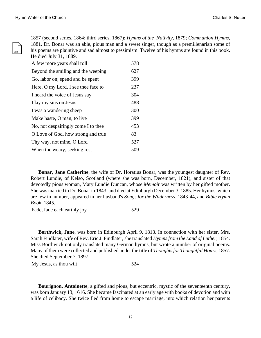

1857 (second series, 1864; third series, 1867); *Hymns of the Nativity*, 1879; *Communion Hymns*, 1881. Dr. Bonar was an able, pious man and a sweet singer, though as a premillenarian some of his poems are plaintive and sad almost to pessimism. Twelve of his hymns are found in this book. He died July 31, 1889.

| A few more years shall roll          | 578 |
|--------------------------------------|-----|
| Beyond the smiling and the weeping   | 627 |
| Go, labor on; spend and be spent     | 399 |
| Here, O my Lord, I see thee face to  | 237 |
| I heard the voice of Jesus say       | 304 |
| I lay my sins on Jesus               | 488 |
| I was a wandering sheep              | 300 |
| Make haste, O man, to live           | 399 |
| No, not despairingly come I to thee. | 453 |
| O Love of God, how strong and true   | 83  |
| Thy way, not mine, O Lord            | 527 |
| When the weary, seeking rest         | 509 |

<span id="page-23-0"></span>**Bonar, Jane Catherine**, the wife of [Dr. Horatius Bonar](#page-22-3), was the youngest daughter of Rev. Robert Lundie, of Kelso, Scotland (where she was born, December, 1821), and sister of that devotedly pious woman, Mary Lundie Duncan, whose *Memoir* was written by her gifted mother. She was married to Dr. Bonar in 1843, and died at Edinburgh December 3, 1885. Her hymns, which are few in number, appeared in her husband's *Songs for the Wilderness*, 1843-44, and *Bible Hymn Book*, 1845.

<span id="page-23-1"></span>Fade, fade each earthly joy 529

**Borthwick, Jane**, was born in Edinburgh April 9, 1813. In connection with her sister, [Mrs.](#page-49-1) [Sarah Findlater,](#page-49-1) wife of Rev. Eric J. Findlater, she translated *Hymns from the Land of Luther*, 1854. Miss Borthwick not only translated many German hymns, but wrote a number of original poems. Many of them were collected and published under the title of *Thoughts for Thoughtful Hours*, 1857. She died September 7, 1897.

<span id="page-23-2"></span>My Jesus, as thou wilt 524

**Bourignon, Antoinette**, a gifted and pious, but eccentric, mystic of the seventeenth century, was born January 13, 1616. She became fascinated at an early age with books of devotion and with a life of celibacy. She twice fled from home to escape marriage, into which relation her parents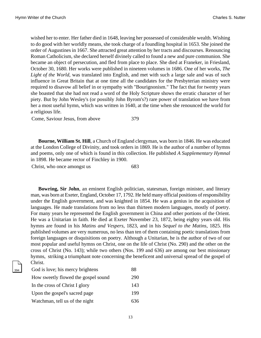wished her to enter. Her father died in 1648, leaving her possessed of considerable wealth. Wishing to do good with her worldly means, she took charge of a foundling hospital in 1653. She joined the order of Augustines in 1667. She attracted great attention by her tracts and discourses. Renouncing Roman Catholicism, she declared herself divinely called to found a new and pure communion. She became an object of persecution, and fled from place to place. She died at Franeker, in Friesland, October 30, 1680. Her works were published in nineteen volumes in 1686. One of her works, *The Light of the World*, was translated into English, and met with such a large sale and was of such influence in Great Britain that at one time all the candidates for the Presbyterian ministry were required to disavow all belief in or sympathy with "Bourignonism." The fact that for twenty years she boasted that she had not read a word of the Holy Scripture shows the erratic character of her piety. But by [John Wesley's](#page-115-0) (or possibly John Byrom's?) rare power of translation we have from her a most useful hymn, which was written in 1640, at the time when she renounced the world for a religious life.

<span id="page-24-0"></span>Come, Saviour Jesus, from above 379

**Bourne, William St. Hill**, a Church of England clergyman, was born in 1846. He was educated at the London College of Divinity, and took orders in 1869. He is the author of a number of hymns and poems, only one of which is found in this collection. He published *A Supplementary Hymnal* in 1898. He became rector of Finchley in 1900.

<span id="page-24-1"></span>Christ, who once amongst us 683

**Bowring, Sir John**, an eminent English politician, statesman, foreign minister, and literary man, was born at Exeter, England, October 17, 1792. He held many official positions of responsibility under the English government, and was knighted in 1854. He was a genius in the acquisition of languages. He made translations from no less than thirteen modern languages, mostly of poetry. For many years he represented the English government in China and other portions of the Orient. He was a Unitarian in faith. He died at Exeter November 23, 1872, being eighty years old. His hymns are found in his *Matins and Vespers*, 1823, and in his *Sequel to the Matins*, 1825. His published volumes are very numerous, no less than ten of them containing poetic translations from foreign languages or disquisitions on poetry. Although a Unitarian, he is the author of two of our most popular and useful hymns on Christ, one on the life of Christ (No. 290) and the other on the cross of Christ (No. 143); while two others (Nos. 199 and 636) are among our best missionary hymns, striking a triumphant note concerning the beneficent and universal spread of the gospel of Christ.



| 290 |
|-----|
| 143 |
| 199 |
| 636 |
|     |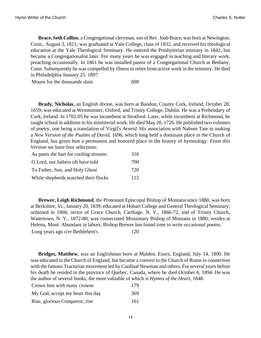<span id="page-25-0"></span>**Brace, Seth Collins**, a Congregational cleryman, son of Rev. Joab Brace, was born at Newington, Conn., August 3, 1811; was graduated at Yale College, class of 1832, and received his theological education at the Yale Theological Seminary. He entered the Presbyterian ministry in 1842, but became a Congregationalist later. For many years he was engaged in teaching and literary work, preaching occasionally. In 1861 he was installed pastor of a Congregational Church at Bethany, Conn. Subsequently he was compelled by illness to retire from active work in the ministry. He died in Philadelphia January 25, 1897.

Mourn for the thousands slain 698

<span id="page-25-1"></span>**Brady, Nicholas**, an English divine, was born at Bandon, County Cork, Ireland, October 28, 1659; was educated at Westminster, Oxford, and Trinity College, Dublin. He was a Prebendary of Cork, Ireland. In 1702-05 he was incumbent at Stratford. Later, while incumbent at Richmond, he taught school in addition to his ministerial work. He died May 20, 1726. He published two volumes of poetry, one being a translation of Virgil's *Aeneid*. His association with [Nahum Tate](#page-100-1) in making a *New Version of the Psalms of David*, 1696, which long held a dominant place in the Church of England, has given him a permanent and honored place in the history of hymnology. From this *Version* we have four selections:

| As pants the hart for cooling streams | 316 |
|---------------------------------------|-----|
| O Lord, our fathers of thave told     | 700 |
| To Father, Son, and Holy Ghost        | 720 |
| While shepherds watched their flocks  | 115 |

<span id="page-25-2"></span>**Brewer, Leigh Richmond**, the Protestant Episcopal Bishop of Montana since 1880, was born at Berkshire, Vt., January 20, 1839; educated at Hobart College and General Theological Seminary; ordained in 1866; rector of Grace Church, Carthage, N. Y., 1866-72, and of Trinity Church, Watertown, N. Y., 1872-80; was consecrated Missionary Bishop of Montana in 1880; resides at Helena, Mont. Abundant in labors, Bishop Brewer has found time to write occasional poems. Long years ago o'er Bethlehem's 120

<span id="page-25-3"></span>**Bridges, Matthew**, was an Englishman born at Malden, Essex, England, July 14, 1800. He was educated in the Church of England, but became a convert to the Church of Rome in connection with the famous Tractarian movement led by [Cardinal Newman](#page-82-2) and others. For several years before his death he resided in the province of Quebec, Canada, where he died October 6, 1894. He was the author of several books, the most valuable of which is *Hymns of the Heart*, 1848.

| Crown him with many crowns       | 179 |
|----------------------------------|-----|
| My God, accept my heart this day | 369 |
| Rise, glorious Conqueror, rise   | 161 |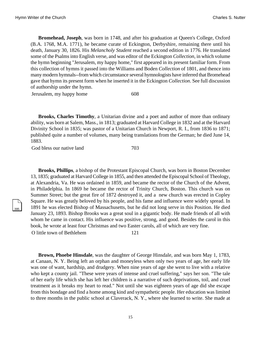<span id="page-26-0"></span>**Bromehead, Joseph**, was born in 1748, and after his graduation at Queen's College, Oxford (B.A. 1768, M.A. 1771), he became curate of Eckington, Derbyshire, remaining there until his death, January 30, 1826. His *Melancholy Student* reached a second edition in 1776. He translated some of the Psalms into English verse, and was editor of the Eckington *Collection*, in which volume the hymn beginning "Jerusalem, my happy home," first appeared in its present familiar form. From this collection of hymns it passed into the Williams and Boden *Collection* of 1801, and thence into many modern hymnals--from which circumstance several hymnologists have inferred that Bromehead gave that hymn its present form when he inserted it in the Eckington *Collection*. See full discussion of authorship under the hymn.

<span id="page-26-1"></span>Jerusalem, my happy home 608

**Brooks, Charles Timothy**, a Unitarian divine and a poet and author of more than ordinary ability, was born at Salem, Mass., in 1813; graduated at Harvard College in 1832 and at the Harvard Divinity School in 1835; was pastor of a Unitarian Church in Newport, R. I., from 1836 to 1871; published quite a number of volumes, many being translations from the German; he died June 14, 1883.

<span id="page-26-2"></span>God bless our native land 703

**Brooks, Phillips**, a bishop of the Protestant Episcopal Church, was born in Boston December 13, 1835; graduated at Harvard College in 1855, and then attended the Episcopal School of Theology, at Alexandria, Va. He was ordained in 1859, and became the rector of the Church of the Advent, in Philadelphia. In 1869 he became the rector of Trinity Church, Boston. This church was on Summer Street; but the great fire of 1872 destroyed it, and a new church was erected in Copley Square. He was greatly beloved by his people, and his fame and influence were widely spread. In 1891 he was elected Bishop of Massachusetts, but he did not long serve in this Position. He died January 23, 1893. Bishop Brooks was a great soul in a gigantic body. He made friends of all with whom he came in contact. His influence was positive, strong, and good. Besides the carol in this book, he wrote at least four Christmas and two Easter carols, all of which are very fine.

<span id="page-26-3"></span>O little town of Bethlehem 121

**Brown, Phoebe Hinsdale**, was the daughter of George Hinsdale, and was born May 1, 1783, at Canaan, N. Y. Being left an orphan and moneyless when only two years of age, her early life was one of want, hardship, and drudgery. When nine years of age she went to live with a relative who kept a county jail. "These were years of intense and cruel suffering," says her son. "The tale of her early life which she has left her children is a narrative of such deprivations, toil, and cruel treatment as it breaks my heart to read." Not until she was eighteen years of age did she escape from this bondage and find a home among kind and sympathetic people. Her education was limited to three months in the public school at Claverack, N. Y., where she learned to write. She made at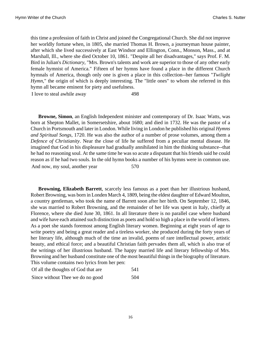this time a profession of faith in Christ and joined the Congregational Church. She did not improve her worldly fortune when, in 1805, she married Thomas H. Brown, a journeyman house painter, after which she lived successively at East Windsor and Ellington, Conn., Monson, Mass., and at Marshall, Ill., where she died October 10, 1861. "Despite all her disadvantages," says Prof. F. M. Bird in Julian's *Dictionary*, "Mrs. Brown's talents and work are superior to those of any other early female hymnist of America." Fifteen of her hymns have found a place in the different Church hymnals of America, though only one is given a place in this collection--her famous "*Twilight Hymn*," the origin of which is deeply interesting. The "little ones" to whom she referred in this hymn all became eminent for piety and usefulness.

<span id="page-27-0"></span>I love to steal awhile away 498

**Browne, Simon**, an English Independent minister and contemporary of [Dr. Isaac Watts,](#page-107-3) was born at Shepton Mallet, in Somersetshire, about 1680; and died in 1732. He was the pastor of a Church in Portsmouth and later in London. While living in London he published his original *Hymns and Spiritual Songs*, 1720. He was also the author of a number of prose volumes, among them a *Defence of Christianity*. Near the close of life he suffered from a peculiar mental disease. He imagined that God in his displeasure had gradually annihilated in him the thinking substance--that he had no reasoning soul. At the same time he was so acute a disputant that his friends said he could reason as if he had two souls. In the old hymn books a number of his hymns were in common use. And now, my soul, another year 570

<span id="page-27-1"></span>**Browning, Elizabeth Barrett**, scarcely less famous as a poet than her illustrious husband, Robert Browning, was born in Londen March 4, 1809, being the eldest daughter of Edward Moulton, a country gentleman, who took the name of Barrett soon after her birth. On September 12, 1846, she was married to Robert Browning, and the remainder of her life was spent in Italy, chiefly at Florence, where she died June 30, 1861. In all literature there is no parallel case where husband and wife have each attained such distinction as poets and hold so high a place in the world of letters. As a poet she stands foremost among English literary women. Beginning at eight years of age to write poetry and being a great reader and a tireless worker, she produced during the forty years of her literary life, although much of the time an invalid, poems of rare intellectual power, artistic beauty, and ethical force; and a beautiful Christian faith pervades them all, which is also true of the writings of her illustrious husband. The happy married life and literary fellowship of Mrs. Browning and her husband constitute one of the most beautiful things in the biography of literature. This volume contains two lyrics from her pen: Of all the thoughts of God that are 541

| Since without Thee we do no good | 504 |
|----------------------------------|-----|
|                                  |     |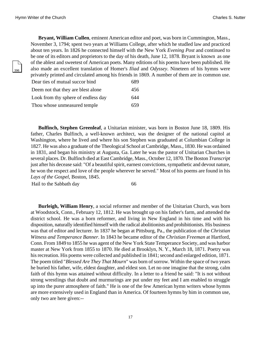<span id="page-28-0"></span>**Bryant, William Cullen**, eminent American editor and poet, was born in Cummington, Mass., November 3, 1794; spent two years at Williams College, after which he studled law and practiced about ten years. In 1826 he connected himself with the New York *Evening Post* and continued to be one of its editors and proprietors to the day of his death, June 12, 1878. Bryant is known as one of the ablest and sweetest of American poets. Many editions of his poems have been published. He also made an excellent translation of Homer's *Iliad* and *Odyssey*. Nineteen of his hymns were privately printed and circulated among his friends in 1869. A number of them are in common use.

| Dear ties of mutual succor bind     | 689 |
|-------------------------------------|-----|
| Deem not that they are blest alone  | 456 |
| Look from thy sphere of endless day | 644 |
| Thou whose unmeasured temple        | 659 |

<span id="page-28-1"></span>**Bulfinch, Stephen Greenleaf**, a Unitarian minister, was born in Boston June 18, 1809. His father, Charles Bulfinch, a well-known architect, was the designer of the national capitol at Washington, where he lived and where his son Stephen was graduated at Columbian College in 1827. He was also a graduate of the Theological School at Cambridge, Mass., 1830. He was ordained in 1831, and began his ministry at Augusta, Ga. Later he was the pastor of Unitarian Churches in several places. Dr. Bulfinch died at East Cambridge, Mass., October 12, 1870. The Boston *Transcript* just after his decease said: "Of a beautiful spirit, earnest convictions, sympathetic and devout nature, he won the respect and love of the people wherever he served." Most of his poems are found in his *Lays of the Gospel*, Boston, 1845.

<span id="page-28-2"></span>Hail to the Sabbath day 66

**Burleigh, William Henry**, a social reformer and member of the Unitarian Church, was born at Woodstock, Conn., February 12, 1812. He was brought up on his father's farm, and attended the district school. He was a born reformer, and living in New England in his time and with his disposition, naturally identified himself with the radical abolitionists and prohibitionists. His business was that of editor and lecturer. In 1837 he began at Pittsburg, Pa., the publication of the *Christian Witness and Temperance Banner*. In 1843 he became editor of the *Christian Freeman* at Hartford, Conn. From 1849 to 1855 he was agent of the New York State Temperance Society, and was harbor master at New York from 1855 to 1870. He died at Brooklyn, N. Y., March 18, 1871. Poetry was his recreation. His poems were collected and published in 1841; second and enlarged edition, 1871. The poem titled "*Blessed Are They That Mourn*" was born of sorrow. Within the space of two years he buried his father, wife, eldest daughter, and eldest son. Let no one imagine that the strong, calm faith of this hymn was attained without difficulty. In a letter to a friend he said: "It is not without strong wrestlings that doubt and murmurings are put under my feet and I am enabled to struggle up into the purer atmosphere of faith." He is one of the few American hymn writers whose hymns are more extensively used in England than in America. Of fourteen hymns by him in common use, only two are here given:--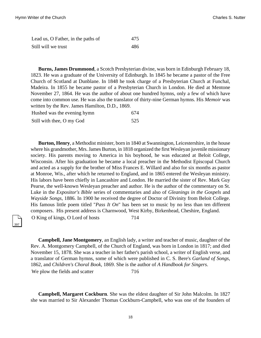| Lead us, O Father, in the paths of | 475  |
|------------------------------------|------|
| Still will we trust                | -486 |

<span id="page-29-0"></span>**Burns, James Drummond**, a Scotch Presbyterian divine, was born in Edinburgh February 18, 1823. He was a graduate of the University of Edinburgh. In 1845 he became a pastor of the Free Church of Scotland at Dunblane. In 1848 he took charge of a Presbyterian Church at Funchal, Madeira. In 1855 he became pastor of a Presbyterian Church in London. He died at Mentone November 27, 1864. He was the author of about one hundred hymns, only a few of which have come into common use. He was also the translator of thirty-nine German hymns. His *Memoir* was written by the Rev. James Hamilton, D.D., 1869.

| Hushed was the evening hymn | 674 |
|-----------------------------|-----|
| Still with thee, O my God   | 525 |

<span id="page-29-1"></span>**Burton, Henry**, a Methodist minister, born in 1840 at Swannington, Leicestershire, in the house where his grandmother, Mrs. James Burton, in 1818 organized the first Wesleyan juvenile missionary society. His parents moving to America in his boyhood, he was educated at Beloit College, Wisconsin. After his graduation he became a local preacher in the Methodist Episcopal Church and acted as a supply for the brother of Miss Frances E. Willard and also for six months as pastor at Monroe, Wis., after which he returned to England, and in 1865 entered the Wesleyan ministry. His labors have been chiefly in Lancashire and London. He married the sister of Rev. Mark Guy Pearse, the well-known Wesleyan preacher and author. He is the author of the commentary on St. Luke in the *Expositor's Bible* series of commentaries and also of *Gleanings in the Gospels* and *Wayside Songs*, 1886. In 1900 he received the degree of Doctor of Divinity from Beloit College. His famous little poem titled "*Pass It On*" has been set to music by no less than ten different composers. His present address is Charnwood, West Kirby, Birkenhead, Cheshire, England. O King of kings, O Lord of hosts 714

<span id="page-29-3"></span><span id="page-29-2"></span>**Campbell, Jane Montgomery**, an English lady, a writer and teacher of music, daughter of the Rev. A. Montgomery Campbell, of the Church of England, was born in London in 1817; and died November 15, 1878. She was a teacher in her father's parish school, a writer of English verse, and a translator of German hymns, some of which were published in C. S. Bere's *Garland of Songs*, 1862, and *Children's Choral Book*, 1869. She is the author of *A Handbook for Singers*. We plow the fields and scatter 716

**Campbell, Margaret Cockburn**. She was the eldest daughter of Sir John Malcolm. In 1827 she was married to Sir Alexander Thomas Cockburn-Campbell, who was one of the founders of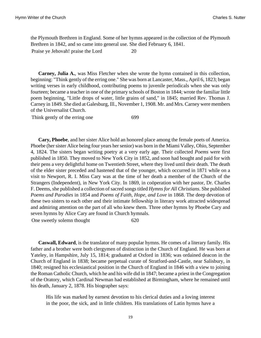the Plymouth Brethren in England. Some of her hymns appeared in the collection of the Plymouth Brethren in 1842, and so came into general use. She died February 6, 1841.

Praise ye Jehovah! praise the Lord 20

<span id="page-30-0"></span>**Carney, Julia A.**, was Miss Fletcher when she wrote the hymn contained in this collection, beginning: "Think gently of the erring one." She was born at Lancaster, Mass., April 6, 1823; began writing verses in early childhood, contributing poems to juvenile periodicals when she was only fourteen; became a teacher in one of the primary schools of Boston in 1844; wrote the familiar little poem beginning, "Little drops of water, little grains of sand," in 1845; married Rev. Thomas J. Carney in 1849. She died at Galesburg, Ill., November 1, 1908. Mr. and Mrs. Carney were members of the Universalist Church.

<span id="page-30-1"></span>Think gently of the erring one 699

**Cary, Phoebe**, and her sister Alice hold an honored place among the female poets of America. Phoebe (her sister Alice being four years her senior) was born in the Miami Valley, Ohio, September 4, 1824. The sisters began writing poetry at a very early age. Their collected *Poems* were first published in 1850. They moved to New York City in 1852, and soon had bought and paid for with their pens a very delightful home on Twentieth Street, where they lived until their death. The death of the elder sister preceded and hastened that of the younger, which occurred in 1871 while on a visit to Newport, R. I. Miss Cary was at the time of her death a member of the Church of the Strangers (Independent), in New York City. In 1869, in coöperation with her pastor, [Dr. Charles](#page-40-3) [F. Deems](#page-40-3), she published a collection of sacred songs titled *Hymns for All Christians*. She published *Poems and Parodies* in 1854 and *Poems of Faith, Hope, and Love* in 1868. The deep devotion of these two sisters to each other and their intimate fellowship in literary work attracted widespread and admiring attention on the part of all who knew them. Three other hymns by Phoebe Cary and seven hymns by Alice Cary are found in Church hymnals.

<span id="page-30-2"></span>One sweetly solemn thought 620

**Caswall, Edward**, is the translator of many popular hymns. He comes of a literary family. His father and a brother were both clergymen of distinction in the Church of England. He was born at Yateley, in Hampshire, July 15, 1814; graduated at Oxford in 1836; was ordained deacon in the Church of England in 1838; became perpetual curate of Stratford-and-Castle, near Salisbury, in 1840; resigned his ecclesiastical position in the Church of England in 1846 with a view to joining the Roman Catholic Church, which he and his wife did in 1847; became a priest in the Congregation of the Oratory, which [Cardinal Newman](#page-82-2) had established at Birmingham, where he remained until his death, January 2, 1878. His biographer says:

His life was marked by earnest devotion to his clerical duties and a loving interest in the poor, the sick, and in little children. His translations of Latin hymns have a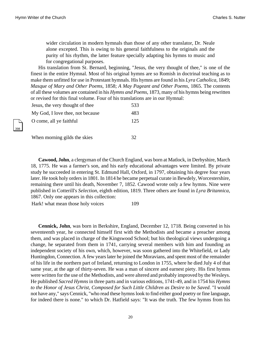wider circulation in modern hymnals than those of any other translator, [Dr. Neale](#page-81-2) alone excepted. This is owing to his general faithfulness to the originals and the purity of his rhythm, the latter feature specially adapting his hymns to music and for congregational purposes.

His translation from [St. Bernard](#page-20-0), beginning, "Jesus, the very thought of thee," is one of the finest in the entire Hymnal. Most of his original hymns are so Romish in doctrinal teaching as to make them unfitted for use in Protestant hymnals. His hymns are found in his *Lyra Catholica*, 1849; *Masque of Mary and Other Poems*, 1858; *A May Pageant and Other Poems*, 1865. The contents of all these volumes are contained in his *Hymns and Poems*, 1873, many of his hymns being rewritten or revised for this final volume. Four of his translations are in our Hymnal:

| Jesus, the very thought of thee  | 533 |
|----------------------------------|-----|
| My God, I love thee, not because | 483 |
| O come, all ye faithful          | 125 |
|                                  |     |
| When morning gilds the skies     | 32  |

<span id="page-31-0"></span>**Cawood, John**, a clergyman of the Church England, was born at Matlock, in Derbyshire, March 18, 1775. He was a farmer's son, and his early educational advantages were limited. By private study he succeeded in entering St. Edmund Hall, Oxford, in 1797, obtaining his degree four years later. He took holy orders in 1801. In 1814 he became perpetual curate in Bewdely, Worcestershire, remaining there until his death, November 7, 1852. Cawood wrote only a few hymns. Nine were published in [Cotterill's](#page-35-2) *Selection*, eighth edition, 1819. Three others are found in *Lyra Britannica*, 1867. Only one appears in this collection:

<span id="page-31-1"></span>Hark! what mean those holy voices 109

**Cennick, John**, was born in Berkshire, England, December 12, 1718. Being converted in his seventeenth year, he connected himself first with the Methodists and became a preacher among them, and was placed in charge of the Kingswood School; but his theological views undergoing a change, he separated from them in 1741, carrying several members with him and founding an independent society of his own, which, however, was soon gathered into the Whitefield, or Lady Huntingdon, Connection. A few years later he joined the Moravians, and spent most of the remainder of his life in the northern part of Ireland, returning to London in 1755, where he died July 4 of that same year, at the age of thirty-seven. He was a man of sincere and earnest piety. His first hymns were written for the use of the Methodists, and were altered and probably improved by the Wesleys. He published *Sacred Hymns* in three parts and in various editions, 1741-49, and in 1754 his *Hymns to the Honor of Jesus Christ, Composed for Such Little Children as Desire to be Saved*. "I would not have any," says Cennick, "who read these hymns look to find either good poetry or fine language, for indeed there is none." to which Dr. Hatfield says: "It was the truth. The few hymns from his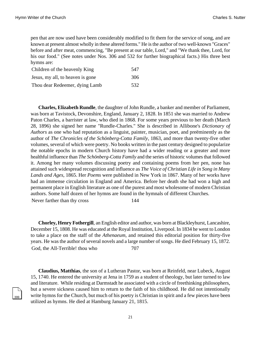pen that are now used have been considerably modified to fit them for the service of song, and are known at present almost wholly in these altered forms." He is the author of two well-known "Graces" before and after meat, commencing, "Be present at our table, Lord," and "We thank thee, Lord, for his our food." (See notes under Nos. 306 and 532 for further biographical facts.) His three best hymns are:

| Children of the heavenly King    | 547 |
|----------------------------------|-----|
| Jesus, my all, to heaven is gone | 306 |
| Thou dear Redeemer, dying Lamb   | 532 |

<span id="page-32-0"></span>**Charles, Elizabeth Rundle**, the daughter of John Rundle, a banker and member of Parliament, was born at Tavistock, Devonshire, England, January 2, 1828. In 1851 she was married to Andrew Paton Charles, a barrister at law, who died in 1868. For some years previous to her death (March 28, 1896) she signed her name "Rundle-Charles." She is described in Allibone's *Dictionary of Authors* as one who had reputation as a linguist, painter, musician, poet, and preëminently as the author of *The Chronicles of the Schönberg-Cotta Family*, 1863, and more than twenty-five other volumes, several of which were poetry. No books written in the past century designed to popularize the notable epochs in modern Church history have had a wider reading or a greater and more healthful influence than *The Schönberg-Cotta Family* and the series of historic volumes that followed it. Among her many volumes discussing poetry and containing poems from her pen, none has attained such widespread recognition and influence as *The Voice of Christian Life in Song in Many Lands and Ages*, 1865. Her *Poems* were published in New York in 1867. Many of her works have had an immense circulation in England and America. Before her death she had won a high and permanent place in English literature as one of the purest and most wholesome of modern Christian authors. Some half dozen of her hymns are found in the hymnals of different Churches. Never farther than thy cross 144

<span id="page-32-2"></span><span id="page-32-1"></span>**Chorley, Henry Fothergill**, an English editor and author, was born at Blackleyhurst, Lancashire, December 15, 1808. He was educated at the Royal Institution, Liverpool. In 1834 he went to London to take a place on the staff of the *Athenaeum*, and retained this editorial position for thirty-five years. He was the author of several novels and a large number of songs. He died February 15, 1872. God, the All-Terrible! thou who 707

**Claudius, Matthias**, the son of a Lutheran Pastor, was born at Reinfeld, near Lubeck, August 15, 1740. He entered the university at Jena in 1759 as a student of theology, but later turned to law and literature. While residing at Darmstadt he associated with a circle of freethinking philosophers, but a severe sickness caused him to return to the faith of his childhood. He did not intentionally write hymns for the Church, but much of his poetry is Christian in spirit and a few pieces have been utilized as hymns. He died at Hamburg January 21, 1815.

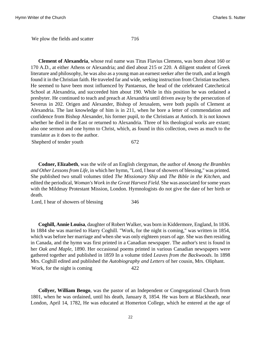We plow the fields and scatter 716

<span id="page-33-0"></span>**Clement of Alexandria**, whose real name was Titus Flavius Clemens, was born about 160 or 170 A.D., at either Athens or Alexandria; and died about 215 or 220. A diligent student of Greek literature and philosophy, he was also as a young man an earnest seeker after the truth, and at length found it in the Christian faith. He traveled far and wide, seeking instruction from Christian teachers. He seemed to have been most influenced by Pantaenus, the head of the celebrated Catechetical School at Alexandria, and succeeded him about 190. While in this position he was ordained a presbyter. He continued to teach and preach at Alexandria until driven away by the persecution of Severus in 202. Origen and Alexander, Bishop of Jerusalem, were both pupils of Clement at Alexandria. The last knowledge of him is in 211, when he bore a letter of commendation and confidence from Bishop Alexander, his former pupil, to the Christians at Antioch. It is not known whether he died in the East or returned to Alexandria. Three of his theological works are extant; also one sermon and one hymn to Christ, which, as found in this collection, owes as much to the translator as it does to the author.

<span id="page-33-1"></span>Shepherd of tender youth 672

**Codner, Elizabeth**, was the wife of an English clergyman, the author of *Among the Brambles and Other Lessons from Life*, in which her hymn, "Lord, I hear of showers of blessing," was printed. She published two small volumes titled *The Missionary Ship* and *The Bible in the Kitchen*, and edited the periodical, *Woman's Work in the Great Harvest Field*. She was associated for some years with the Mildmay Protestant Mission, London. Hymnologists do not give the date of her birth or death.

<span id="page-33-2"></span>Lord, I hear of showers of blessing 346

**Coghill, Annie Louisa**, daughter of Robert Walker, was born in Kiddermore, England, In 1836. In 1884 she was married to Harry Coghill. "Work, for the night is coming," was written in 1854, which was before her marriage and when she was only eighteen years of age. She was then residing in Canada, and the hymn was first printed in a Canadian newspaper. The author's text is found in her *Oak and Maple*, 1890. Her occasional poems printed in various Canadian newspapers were gathered together and published in 1859 In a volume titled *Leaves from the Backwoods*. In 1898 Mrs. Coghill edited and published the *Autobiography and Letters* of her cousin, Mrs. Oliphant. Work, for the night is coming 422

<span id="page-33-3"></span>**Collyer, William Bengo**, was the pastor of an Independent or Congregational Church from 1801, when he was ordained, until his death, January 8, 1854. He was born at Blackheath, near London, April 14, 1782, He was educated at Homerton College, which he entered at the age of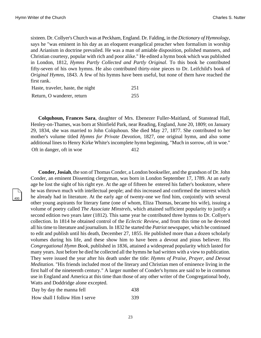sixteen. Dr. Collyer's Church was at Peckham, England. Dr. Falding, in the *Dictionary of Hymnology*, says he "was eminent in his day as an eloquent evangelical preacher when formalism in worship and Arianism in doctrine prevailed. He was a man of amiable disposition, polished manners, and Christian courtesy, popular with rich and poor alike." He edited a hymn book which was published in London, 1812, *Hymns Partly Collected and Partly Original*. To this book he contributed fifty-seven of his own hymns. He also contributed thirty-nine pieces to Dr. Leifchild's book of *Original Hymns*, 1843. A few of his hymns have been useful, but none of them have reached the first rank.

| Haste, traveler, haste, the night | 251 |
|-----------------------------------|-----|
| Return, O wanderer, return        | 255 |

<span id="page-34-0"></span>**Colquhoun, Frances Sara**, daughter of Mrs. Ebenezer Fuller-Maitland, of Stanstead Hall, Henley-on-Thames, was born at Shinfield Park, near Reading, England, June 20, 1809; on January 29, 1834, she was married to John Colquhoun. She died May 27, 1877. She contributed to her mother's volume titled *Hymns for Private Devotion*, 1827, one original hymn, and also some additional lines to [Henry Kirke White's](#page-116-2) incomplete hymn beginning, "Much in sorrow, oft in woe." Oft in danger, oft in woe 412

<span id="page-34-1"></span>**Conder, Josiah**, the son of Thomas Conder, a London bookseller, and the grandson of Dr. John Conder, an eminent Dissenting clergyman, was born in London September 17, 1789. At an early age he lost the sight of his right eye. At the age of fifteen he entered his father's bookstore, where he was thrown much with intellectual people; and this increased and confirmed the interest which he already had in literature. At the early age of twenty-one we find him, conjointly with several other young aspirants for literary fame (one of whom, Eliza Thomas, became his wife), issuing a volume of poetry called *The Associate Minstrels*, which attained sufficient popularity to justify a second edition two years later (1812). This same year he contributed three hymns to [Dr. Collyer's](#page-33-3) collection. In 1814 he obtained control of the *Eclectic Review*, and from this time on he devoted all his time to literature and journalism. In 1832 he started the *Patriot* newspaper, which he continued to edit and publish until his death, December 27, 1855. He published more than a dozen scholarly volumes during his life, and these show him to have been a devout and pious believer. His *Congregational Hymn Book*, published in 1836, attained a widespread popularity which lasted for many years. Just before he died he collected all the hymns he had written with a view to publication. They were issued the year after his death under the title: *Hymns of Praise, Prayer, and Devout Meditation*. "His friends included most of the literary and Christian men of eminence living in the first half of the nineteenth century." A larger number of Conder's hymns are said to be in common use in England and America at this time than those of any other writer of the Congregational body, [Watts](#page-107-3) and [Doddridge](#page-42-2) alone excepted.

| Day by day the manna fell      | 438 |
|--------------------------------|-----|
| How shall I follow Him I serve | 339 |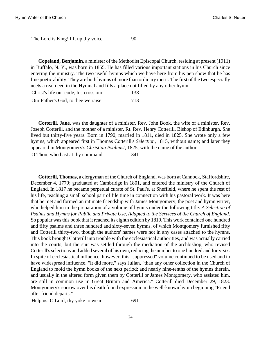The Lord is King! lift up thy voice 90

<span id="page-35-0"></span>**Copeland, Benjamin**, a minister of the Methodist Episcopal Church, residing at present (1911) in Buffalo, N. Y., was born in 1855. He has filled various important stations in his Church since entering the ministry. The two useful hymns which we have here from his pen show that he has fine poetic ability. They are both hymns of more than ordinary merit. The first of the two especially neets a real need in the Hymnal and fills a place not filled by any other hymn.

| Christ's life our code, his cross our | 138 |
|---------------------------------------|-----|
| Our Father's God, to thee we raise    | 713 |

<span id="page-35-1"></span>**Cotterill, Jane**, was the daughter of a minister, Rev. John Book, the wife of a minister, Rev. Joseph Cotterill, and the mother of a minister, Rt. Rev. Henry Cotterill, Bishop of Edinburgh. She lived but thirty-five years. Born in 1790, married in 1811, died in 1825. She wrote only a few hymns, which appeared first in [Thomas Cotterill's](#page-35-2) *Selection*, 1815, without name; and later they appeared in [Montgomery's](#page-79-1) *Christian Psalmist*, 1825, with the name of the author. O Thou, who hast at thy command 341

<span id="page-35-2"></span>**Cotterill, Thomas**, a clergyman of the Church of England, was born at Cannock, Staffordshire, December 4, 1779; graduated at Cambridge in 1801, and entered the ministry of the Church of England. In 1817 he became perpetual curate of St. Paul's, at Sheffield, where he spent the rest of his life, teaching a small school part of file time in connection with his pastoral work. It was here that he met and formed an intimate friendship with [James Montgomery,](#page-79-1) the poet and hymn writer, who helped him in the preparation of a volume of hymns under the following title: *A Selection of Psalms and Hymns for Public and Private Use, Adapted to the Services of the Church of England*. So popular was this book that it reached its eighth edition by 1819. This work contained one hundred and fifty psalms and three hundred and sixty-seven hymns, of which Montgomery furnished fifty and Cotterill thirty-two, though the authors' names were not in any cases attached to the hymns. This book brought Cotterill into trouble with the ecclesiastical authorities, and was actually carried into the courts; but the suit was settled through the mediation of the archbishop, who revised Cotterill's selections and added several of his own, reducing the number to one hundred and forty-six. In spite of ecclesiastical influence, however, this "suppressed" volume continued to be used and to have widespread influence. "It did more," says Julian, "than any other collection in the Church of England to mold the hymn books of the next period; and nearly nine-tenths of the hymns therein, and usually in the altered form given them by Cotterill or James Montgomery, who assisted him, are still in common use in Great Britain and America." Cotterill died December 29, 1823. Montgomery's sorrow over his death found expression in the well-known hymn beginning "Friend after friend departs."

Help us, O Lord, thy yoke to wear 691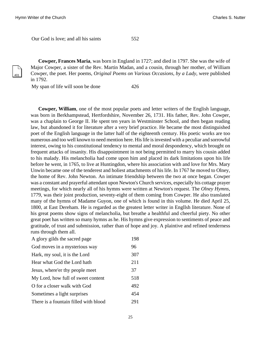Our God is love; and all his saints 552

**Cowper, Frances Maria**, was born in England in 1727; and died in 1797. She was the wife of Major Cowper, a sister of the [Rev. Martin Madan,](#page-73-0) and a cousin, through her mother, of [William](#page-36-0) [Cowper,](#page-36-0) the poet. Her poems, *Original Poems on Various Occasions, by a Lady*, were published in 1792.

<span id="page-36-0"></span>My span of life will soon be done 426

**Cowper, William**, one of the most popular poets and letter writers of the English language, was born in Berkhampstead, Hertfordshire, November 26, 1731. His father, Rev. John Cowper, was a chaplain to George II. He spent ten years in Westminster School, and then began reading law, but abandoned it for literature after a very brief practice. He became the most distinguished poet of the English language in the latter half of the eighteenth century. His poetic works are too numerous and too well known to need mention here. His life is invested with a peculiar and sorrowful interest, owing to his constitutional tendency to mental and moral despondency, which brought on frequent attacks of insanity. His disappointment in not being permitted to marry his cousin added to his malady. His melancholia had come upon him and placed its dark limitations upon his life before he went, in 1765, to live at Huntingdon, where his association with and love for Mrs. Mary Unwin became one of the tenderest and holiest attachments of his life. In 1767 he moved to Olney, the home of [Rev. John Newton](#page-83-0). An intimate friendship between the two at once began. Cowper was a constant and prayerful attendant upon Newton's Church services, especially his cottage prayer meetings, for which nearly all of his hymns were written at Newton's request. The *[Olney Hymns](http:/ccel/newton/olneyhymns.html)*, 1779, was their joint production, seventy-eight of them coming from Cowper. He also translated many of the [hymns of Madame Guyon](http:/ccel/cowper/cowper/guyonpoems.html/), one of which is found in this volume. He died April 25, 1800, at East Dereham. He is regarded as the greatest letter writer in Engllsh literature. None of his great poems show signs of melancholia, but breathe a healthful and cheerful piety. No other great poet has written so many hymns as he. His hymns give expression to sentiments of peace and gratitude, of trust and submission, rather than of hope and joy. A plaintive and refined tenderness runs through them all.

| A glory gilds the sacred page         | 198 |
|---------------------------------------|-----|
| God moves in a mysterious way         | 96  |
| Hark, my soul, it is the Lord         | 307 |
| Hear what God the Lord hath           | 211 |
| Jesus, where'er thy people meet       | 37  |
| My Lord, how full of sweet content    | 518 |
| O for a closer walk with God          | 492 |
| Sometimes a light surprises           | 454 |
| There is a fountain filled with blood | 291 |

25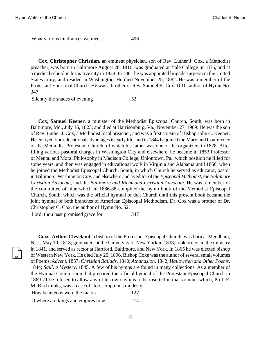What various hindrances we meet  $496$ 

<span id="page-37-1"></span>**Cox, Christopher Christian**, an eminent physician, son of Rev. Luther J. Cox, a Methodist preacher, was born in Baltimore August 28, 1816; was graduated at Yale College in 1835, and at a medical school in his native city in 1838. In 1861 he was appointed brigade surgeon in the United States army, and resided in Washington. He died November 25, 1882. He was a member of the Protestant Episcopal Church. He was a brother of [Rev. Samuel K. Cox, D.D.,](#page-37-0) author of Hymn No. 347.

<span id="page-37-0"></span>Silently the shades of evening 52

**Cox, Samuel Keener**, a minister of the Methodist Episcopal Church, South, was born in Baltimore, Md., July 16, 1823; and died at Harrisonburg, Va., November 27, 1909. He was the son of Rev. Luther J. Cox, a Methodist local preacher, and was a first cousin of Bishop John C. Keener. He enjoyed fine educational advantages in early life, and in 1844 he joined the Maryland Conference of the Methodist Protestant Church, of which his father was one of the organizers in 1828. After filling various pastoral charges in Washington City and elsewhere, he became in 1853 Professor of Mental and Moral Philosophy in Madison College, Uniontown, Pa., which position he filled for some years, and then was engaged in educational work in Virginia and Alabama until 1866, when he joined the Methodist Episcopal Church, South, in which Church he served as educator, pastor in Baltimore, Washington City, and elsewhere and as editor of the *Episcopal Methodist*, the *Baltimore Christian Advocate*, and the *Baltimore and Richmond Christian Advocate*. He was a member of the committee of nine which in 1886-88 compiled the hymn book of the Methodist Episcopal Church, South, which was the official hymnal of that Church until this present book became the joint hymnal of both branches of American Episcopal Methodism. Dr. Cox was a brother of [Dr.](#page-37-1) [Christopher C. Cox,](#page-37-1) the author of Hymn No. 52.

Lord, thou hast promised grace for 347

**Coxe, Arthur Cleveland**, a bishop of the Protestant Episcopal Church, was born at Mendham, N, J., May 10, 1818; graduated at the University of New York in 1838; took orders in the ministry in 1841, and served as rector at Hartford, Baltimore, and New York. In 1865 he was elected bishop of Western New York. He died July 20, 1896. Bishop Coxe was the author of several small volumes of Poems: *Advent*, 1837; *Christian Ballads*, 1840; *Athanasion*, 1842; *Hallowe'en and Other Poems*, 1844; *Saul, a Mystery*, 1845. A few of his hymns are found in many collections. As a member of the Hymnal Commission that prepared the official hymnal of the Protestant Episcopal Church in 1869-71 he refused to allow any of his own hymns to be inserted in that volume, which, Prof. F. M. Bird thinks, was a case of "too scrupulous modesty."

|        | How beauteous were the marks |  |  |  |
|--------|------------------------------|--|--|--|
| $\sim$ |                              |  |  |  |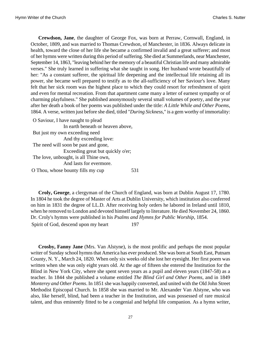**Crewdson, Jane**, the daughter of George Fox, was born at Perraw, Cornwall, England, in October, 1809, and was married to Thomas Crewdson, of Manchester, in 1836. Always delicate in health, toward the close of her life she became a confirmed invalid and a great sufferer; and most of her hymns were written during this period of suffering. She died at Summerlands, near Manchester, September 14, 1863, "leaving behind her the memory of a beautiful Christian life and many admirable verses." She truly learned in suffering what she taught in song. Her husband wrote beautifully of her: "As a constant sufferer, the spiritual life deepening and the intellectual life retaining all its power, she became well prepared to testify as to the all-sufficiency of her Saviour's love. Many felt that her sick room was the highest place to which they could resort for refreshment of spirit and even for mental recreation. From that apartment came many a letter of earnest sympathy or of charming playfulness." She published anonymously several small volumes of poetry, and the year after her death a book of her poems was published under the title: *A Little While and Other Poems*, 1864. A verse, written just before she died, titled "*During Sickness*," is a gem worthy of immortality:

| O Saviour, I have naught to plead     |  |
|---------------------------------------|--|
| In earth beneath or heaven above,     |  |
| But just my own exceeding need        |  |
| And thy exceeding love:               |  |
| The need will soon be past and gone,  |  |
| Exceeding great but quickly o'er;     |  |
| The love, unbought, is all Thine own, |  |
| And lasts for evermore.               |  |
| O Thou, whose bounty fills my cup     |  |

**Croly, George**, a clergyman of the Church of England, was born at Dublin August 17, 1780. In 1804 he took the degree of Master of Arts at Dublin University, which institution also conferred on him in 1831 the degree of LL.D. After receiving holy orders he labored in Ireland until 1810, when he removed to London and devoted himself largely to literature. He died November 24, 1860. Dr. Croly's hymns were published in his *Psalms and Hymns for Public Worship*, 1854. Spirit of God, descend upon my heart 197

**Crosby, Fanny Jane** (Mrs. Van Alstyne), is the most prolific and perhaps the most popular writer of Sunday school hymns that America has ever produced. She was born at South East, Putnam County, N. Y., March 24, 1820. When only six weeks old she lost her eyesight. Her first poem was written when she was only eight years old. At the age of fifteen she entered the Institution for the Blind in New York City, where she spent seven years as a pupil and eleven years (1847-58) as a teacher. In 1844 she published a volume entitled *The Blind Girl and Other Poems*, and in 1849 *Monterey and Other Poems*. In 1851 she was happily converted, and united with the Old John Street Methodist Episcopal Church. In 1858 she was married to Mr. Alexander Van Alstyne, who was also, like herself, blind, had been a teacher in the Institution, and was possessed of rare musical talent, and thus eminently fitted to be a congenial and helpful life companion. As a hymn writer,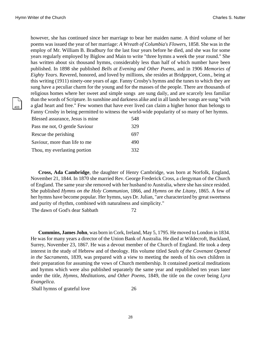however, she has continued since her marriage to bear her maiden name. A third volume of her poems was issued the year of her marriage: *A Wreath of Columbia's Flowers*, 1858. She was in the employ of Mr. William B. Bradbury for the last four years before he died, and she was for some years regularly employed by Biglow and Main to write "three hymns a week the year round." She has written about six thousand hymns, considerably less than half of which number have been published. In 1898 she published *Bells at Evening and Other Poems*, and in 1906 *Memories of Eighty Years*. Revered, honored, and loved by millions, she resides at Bridgeport, Conn., being at this writing (1911) ninety-one years of age. Fanny Crosby's hymns and the tunes to which they are sung have a peculiar charm for the young and for the masses of the people. There are thousands of religious homes where her sweet and simple songs are sung daily, and are scarcely less familiar than the words of Scripture. In sunshine and darkness alike and in all lands her songs are sung "with a glad heart and free." Few women that have ever lived can claim a higher honor than belongs to Fanny Crosby in being permitted to witness the world-wide popularity of so many of her hymns.

| Blessed assurance, Jesus is mine | 548 |
|----------------------------------|-----|
| Pass me not, O gentle Saviour    | 329 |
| Rescue the perishing             | 697 |
| Saviour, more than life to me    | 490 |
| Thou, my everlasting portion     | 332 |

**Cross, Ada Cambridge**, the daughter of Henry Cambridge, was born at Norfolk, England, November 21, 1844. In 1870 she married Rev. George Frederick Cross, a clergyman of the Church of England. The same year she removed with her husband to Australia, where she has since resided. She published *Hymns on the Holy Communion*, 1866, and *Hymns on the Litany*, 1865. A few of her hymns have become popular. Her hymns, says Dr. Julian, "are characterized by great sweetness and purity of rhythm, combined with naturalness and simplicity."

The dawn of God's dear Sabbath 72

**Cummins, James John**, was born in Cork, Ireland, May 5, 1795. He moved to London in 1834. He was for many years a director of the Union Bank of Australia. He died at Wildecroft, Buckland, Surrey, November 23, 1867. He was a devout member of the Church of England. He took a deep interest in the study of Hebrew and of theology. His volume titled *Seals of the Covenant Opened in the Sacraments*, 1839, was prepared with a view to meeting the needs of his own children in their preparation for assuming the vows of Church membership. It contained poetical meditations and hymns which were also published separately the same year and republished ten years later under the title, *Hymns, Meditations, and Other Poems*, 1849, the title on the cover being *Lyra Evangelica*.

Shall hymns of grateful love 26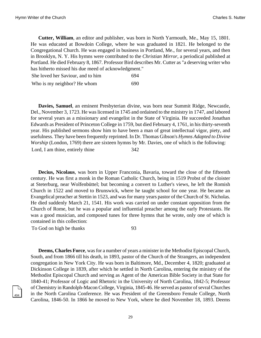**Cutter, William**, an editor and publisher, was born in North Yarmouth, Me., May 15, 1801. He was educated at Bowdoin College, where he was graduated in 1821. He belonged to the Congregational Church. He was engaged in business in Portland, Me., for several years, and then in Brooklyn, N. Y. His hymns were contributed to the *Christian Mirror*, a periodical published at Portland. He died February 8, 1867. Professor Bird describes Mr. Cutter as "a deserving writer who has hitherto missed his due meed of acknowledgment."

| She loved her Saviour, and to him | 694 |
|-----------------------------------|-----|
| Who is my neighbor? He whom       | 690 |

**Davies, Samuel**, an eminent Presbyterian divine, was born near Summit Ridge, Newcastle, Del., November 3, 1723. He was licensed in 1745 and ordained to the ministry in 1747, and labored for several years as a missionary and evangelist in the State of Virginia. He succeeded Jonathan Edwards as President of Princeton College in 1759, but died February 4, 1761, in his thirty-seventh year. His published sermons show him to have been a man of great intellectual vigor, piety, and usefulness. They have been frequently reprinted. In Dr. Thomas Gibson's *Hymns Adapted to Divine Worship* (London, 1769) there are sixteen hymns by Mr. Davies, one of which is the following: Lord, I am thine, entirely thine 342

**Decius, Nicolaus**, was born in Upper Franconia, Bavaria, toward the close of the fifteenth century. He was first a monk in the Roman Catholic Church, being in 1519 Probst of the cloister at Steterburg, near Wolfenbüttel; but becoming a convert to [Luther's](#page-71-0) views, he left the Romish Church in 1522 and moved to Brunswick, where he taught school for one year. He became an Evangelical preacher at Stettin in 1523, and was for many years pastor of the Church of St. Nicholas. He died suddenly March 21, 1541. His work was carried on under constant opposition from the Church of Rome, but he was a popular and influential preacher among the early Protestants. He was a good musician, and composed tunes for three hymns that he wrote, only one of which is contained in this collection:

To God on high be thanks 93

404

**Deems, Charles Force**, was for a number of years a minister in the Methodist Episcopal Church, South, and from 1866 till his death, in 1893, pastor of the Church of the Strangers, an independent congregation in New York City. He was born in Baltimore, Md., December 4, 1820; graduated at Dickinson College in 1839, after which he settled in North Carolina, entering the ministry of the Methodist Episcopal Church and serving as Agent of the American Bible Society in that State for 1840-41; Professor of Logic and Rhetoric in the University of North Carolina, 1842-5; Professor of Chemistry in Randolph-Macon College, Virginia, 1845-46. He served as pastor of sevral Churches in the North Carolina Conference. He was President of the Greensboro Female College, North Carolina, 1846-50. In 1866 he moved to New York, where he died November 18, 1893. Deems

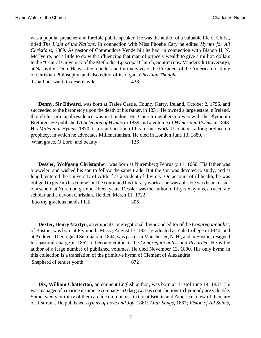was a popular preacher and forcible public speaker. He was the author of a valuable life of Christ, titled *The Light of the Nations*. In connection with [Miss Phoebe Cary](#page-30-0) he edited *Hymns for All Christians*, 1869. As pastor of Commodore Venderbilt he had, in connection with Bishop H. N. McTyeire, not a little to do with influencing that man of princely wealth to give a million dollars to the "Central University of the Methodist Episcopal Church, South" (now Vanderbilt University), at Nashville, Tenn. He was the founder and for many years the President of the American Institute of Christian Philosophy, and also editor of its organ, *Christian Thought*.

I shall not want; in deserts wild 436

**Denny, Sir Edward**, was born at Tralee Castle, County Kerry, Ireland, October 2, 1796, and succeeded to the baronetcy upon the death of his father, in 1831. He owned a large estate in Ireland, though his principal residence was in London. His Church membership was with the Plymouth Brethren. He published *A Selection of Hymns* in 1839 and a volume of *Hymns and Poems* in 1848. His *Millennial Hymns*, 1870, is a republication of his former work. It contains a long preface on prophecy, in which he advocates Millenarianism. He died in London June 13, 1889. What grace, O Lord, and beauty 126

**Dessler, Wolfgang Christopher**, was born at Nuremberg February 11, 1660. His father was a jeweler, and wished his son to follow the same trade. But the son was devoted to study, and at length entered the University of Altdorf as a student of divinity. On account of ill health, he was obliged to give up his course; but he continued his literary work as he was able. He was head master of a school at Nuremberg some fifteen years. Dessler was the author of fifty-six hymns, an accurate scholar and a devout Christian. He died March 11, 1722. Into thy gracious hands I fall 305

**Dexter, Henry Martyn**, an eminent Congregational divine and editor of the *Congregationalist*, of Boston, was born at Plymouth, Mass., August 13, 1821; graduated at Yale College in 1840, and at Andover Theological Seminary in 1844; was pastor in Manchester, N. H., and in Boston; resigned his pastoral charge in 1867 to become editor of the *Congregationalist and Recorder*. He is the author of a large number of published volumes. He died November 13, 1890. His only hymn in this collection is a translation of the primitive hymn of [Clement of Alexandria:](#page-33-0) Shepherd of tender youth 672

**Dix, William Chatterton**, an eminent English author, was born at Bristol June 14, 1837. He was manager of a marine insurance company in Glasgow. His contributions to hymnody are valuable. Some twenty or thirty of them are in common use in Great Britain and America; a few of them are of first rank. He published *Hymns of Love and Joy*, 1861; *Altar Songs*, 1867; *Vision of All Saints*,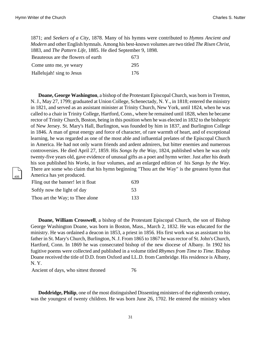1871; and *Seekers of a City*, 1878. Many of his hymns were contributed to *Hymns Ancient and Modern* and other English hymnals. Among his best-known volumes are two titled *The Risen Christ*, 1883, and *The Pattern Life*, 1885. He died September 9, 1898.

| Beauteous are the flowers of earth | 673 |
|------------------------------------|-----|
| Come unto me, ye weary             | 295 |
| Hallelujah! sing to Jesus          | 176 |

<span id="page-42-0"></span>**Doane, George Washington**, a bishop of the Protestant Episcopal Church, was born in Trenton, N. J., May 27, 1799; graduated at Union College, Schenectady, N. Y., in 1818; entered the ministry in 1821, and served as an assistant minister at Trinity Church, New York, until 1824, when he was called to a chair in Trinity College, Hartford, Conn., where he remained until 1828, when he became rector of Trinity Church, Boston, being in this position when he was elected in 1832 to the bishopric of New Jersey. St. Mary's Hall, Burlington, was founded by him in 1837, and Burlington College in 1846. A man of great energy and force of character, of rare warmth of heart, and of exceptional learning, he was regarded as one of the most able and influential prelates of the Episcopal Church in America. He had not only warm friends and ardent admirers, but bitter enemies and numerous controversies. He died April 27, 1859. His *Songs by the Way*, 1824, published when he was only twenty-five years old, gave evidence of unusual gifts as a poet and hymn writer. Just after his death his son published his *Works*, in four volumes, and an enlarged edition of his *Sangs by the Way*. There are some who claim that his hymn beginning "Thou art the Way" is the greatest hymn that America has yet produced.

| Fling out the banner! let it float | 639 |
|------------------------------------|-----|
| Softly now the light of day        | 53  |
| Thou art the Way; to Thee alone    | 133 |

**Doane, William Crosswell**, a bishop of the Protestant Episcopal Church, the son of [Bishop](#page-42-0) [George Washington Doane](#page-42-0), was born in Boston, Mass., March 2, 1832. He was educated for the ministry. He was ordained a deacon in 1853, a priest in 1856. His first work was as assistant to his father in St. Mary's Church, Burlington, N. J. From 1865 to 1867 he was rector of St. John's Church, Hartford, Conn. In 1869 he was consecrated bishop of the new diocese of Albany. In 1902 his fugitive poems were collected and published in a volume titled *Rhymes from Time to Time*. Bishop Doane received the title of D.D. from Oxford and LL.D. from Cambridge. His residence is Albany, N. Y.

<span id="page-42-1"></span>Ancient of days, who sittest throned  $\frac{76}{ }$ 

**Doddridge, Philip**, one of the most distinguished Dissenting ministers of the eighteenth century, was the youngest of twenty children. He was born June 26, 1702. He entered the ministry when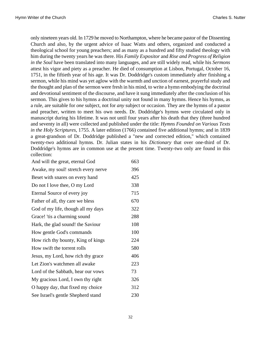only nineteen years old. In 1729 he moved to Northampton, where he became pastor of the Dissenting Church and also, by the urgent advice of [Isaac Watts](#page-107-0) and others, organized and conducted a theological school for young preachers; and as many as a hundred and fifty studied theology with him during the twenty years he was there. His *Family Expositor* and *Rise and Progress of Religion in the Soul* have been translated into many languages, and are still widely read, while his *Sermons* attest his vigor and piety as a preacher. He died of consumption at Lisbon, Portugal, October 16, 1751, in the fiftieth year of his age. It was Dr. Doddridge's custom immediately after finishing a sermon, while his mind was yet aglow with the warmth and unction of earnest, prayerful study and the thought and plan of the sermon were fresh in his mind, to write a hymn embodying the doctrinal and devotional sentiment of the discourse, and have it sung immediately after the conclusion of his sermon. This gives to his hymns a doctrinal unity not found in many hymns. Hence his hymns, as a rule, are suitable for *one* subject, not for *any* subject or occasion. They are the hymns of a pastor and preacher, written to meet his own needs. Dr. Doddridge's hymns were circulated only in manuscript during his lifetime. It was not until four years after his death that they (three hundred and seventy in all) were collected and published under the title: *Hymns Founded on Various Texts in the Holy Scriptures*, 1755. A later edition (1766) contained five additional hymns; and in 1839 a great-grandson of Dr. Doddridge published a "new and corrected edition," which contained twenty-two additional hymns. Dr. Julian states in his *Dictionary* that over one-third of Dr. Doddridge's hymns are in common use at the present time. Twenty-two only are found in this collection:

| And will the great, eternal God     | 663 |
|-------------------------------------|-----|
| Awake, my soul! stretch every nerve | 396 |
| Beset with snares on every hand     | 425 |
| Do not I love thee, O my Lord       | 338 |
| Eternal Source of every joy         | 715 |
| Father of all, thy care we bless    | 670 |
| God of my life, though all my days  | 322 |
| Grace! 'tis a charming sound        | 288 |
| Hark, the glad sound! the Saviour   | 108 |
| How gentle God's commands           | 100 |
| How rich thy bounty, King of kings  | 224 |
| How swift the torrent rolls         | 580 |
| Jesus, my Lord, how rich thy grace  | 406 |
| Let Zion's watchmen all awake       | 223 |
| Lord of the Sabbath, hear our vows  | 73  |
| My gracious Lord, I own thy right   | 326 |
| O happy day, that fixed my choice   | 312 |
| See Israel's gentle Shepherd stand  | 230 |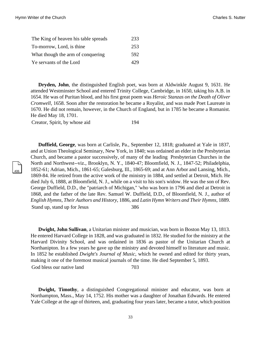| The King of heaven his table spreads | 233 |
|--------------------------------------|-----|
| To-morrow, Lord, is thine            | 253 |
| What though the arm of conquering    | 592 |
| Ye servants of the Lord              | 429 |

**Dryden, John**, the distinguished English poet, was born at Aldwinkle August 9, 1631. He attended Westminster School and entered Trinity College, Cambridge, in 1650, taking his A.B. in 1654. He was of Puritan blood, and his first great poem was *Heroic Stanzas on the Death of Oliver Cromwell*, 1658. Soon after the restoration he became a Royalist, and was made Poet Laureate in 1670. He did not remain, however, in the Church of England, but in 1785 he became a Romanist. He died May 18, 1701.

Creator, Spirit, by whose aid 194

**Duffield, George**, was born at Carlisle, Pa., September 12, 1818; graduated at Yale in 1837, and at Union Theological Seminary, New York, in 1840; was ordained an elder in the Presbyterian Church, and became a pastor successively, of many of the leading Presbyterian Churches in the North and Northwest--viz., Brooklyn, N. Y., 1840-47; Bloomfield, N. J., 1847-52; Philadelphia, 1852-61; Adrian, Mich., 1861-65; Galesburg, Ill., 1865-69; and at Ann Arbor and Lansing, Mich., 1869-84. He retired from the active work of the ministry in 1884, and settled at Detroit, Mich. He died July 6, 1888, at Bloomfield, N. J., while on a visit to his son's widow. He was the son of Rev. George Duffield, D.D., the "patriarch of Michigan," 'who was born in 1796 and died at Detroit in 1868, and the father of the late Rev. Samuel W. Duffield, D.D., of Bloomfield, N. J., author of *English Hymns, Their Authors and History*, 1886, and *Latin Hymn Writers and Their Hymns*, 1889. Stand up, stand up for Jesus 386

**Dwight, John Sullivan**, a Unitarian minister and musician, was born in Boston May 13, 1813. He entered Harvard College in 1828, and was graduated in 1832. He studied for the ministry at the Harvard Divinity School, and was ordained in 1836 as pastor of the Unitarian Church at Northanipton. In a few years he gave up the ministry and devoted himself to literature and music. In 1852 he established *Dwight's Journal of Music*, which he owned and edited for thirty years, making it one of the foremost musical journals of the time. He died September 5, 1893. God bless our native land 703

**Dwight, Timothy**, a distinguished Congregational minister and educator, was born at Northampton, Mass., May 14, 1752. His mother was a daughter of Jonathan Edwards. He entered Yale College at the age of thirteen, and, graduating four years later, became a tutor, which position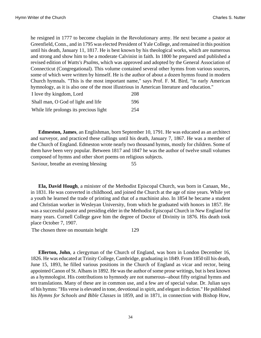he resigned in 1777 to become chaplain in the Revolutionary army. He next became a pastor at Greenfield, Conn., and in 1795 was elected President of Yale College, and remained in this position until his death, January 11, 1817. He is best known by his theological works, which are numerous and strong and show him to be a moderate Calvinist in faith. In 1800 he prepared and published a revised edition of *Watts's Psalms*, which was approved and adopted by the General Association of Connecticut (Congregational). This volume contained several other hymns from various sources, some of which were written by himself. He is the author of about a dozen hymns found in modern Church hymnals. "This is the most important name," says Prof. F. M. Bird, "in early American hymnology, as it is also one of the most illustrious in American literature and education."

| I love thy kingdom, Lord               | 208 |
|----------------------------------------|-----|
| Shall man, O God of light and life     | 596 |
| While life prolongs its precious light | 254 |

**Edmeston, James**, an Englishman, born September 10, 1791. He was educated as an architect and surveyor, and practiced these callings until his death, January 7, 1867. He was a member of the Church of England. Edmeston wrote nearly two thousand hymns, mostly for children. Some of them have been very popular. Between 1817 and 1847 he was the author of twelve small volumes composed of hymns and other short poems on religious subjects.

Saviour, breathe an evening blessing 55

**Ela, David Hough**, a minister of the Methodist Episcopal Church, was born in Canaan, Me., in 1831. He was converted in childhood, and joined the Church at the age of nine years. While yet a youth he learned the trade of printing and that of a machinist also. In 1854 he became a student and Christian worker in Wesleyan University, from which he graduated with honors in 1857. He was a successful pastor and presiding elder in the Methodist Episcopal Church in New England for many years. Cornell College gave him the degree of Doctor of Divinity in 1876. His death took place October 7, 1907.

The chosen three on mountain height 129

**Ellerton, John**, a clergyman of the Church of England, was born in London December 16, 1826. He was educated at Trinity College, Cambridge, graduating in 1849. From 1850 till his death, June 15, 1893, he filled various positions in the Church of England as vicar and rector, being appointed Canon of St. Albans in 1892. He was the author of some prose writings, but is best known as a hymnologist. His contributions to hymnody are not numerous--about fifty original hymns and ten translations. Many of these are in common use, and a few are of special value. Dr. Julian says of his hymns: "His verse is elevated in tone, devotional in spirit, and elegant in diction." He published his *Hymns for Schools and Bible Classes* in 1859, and in 1871, in connection with [Bishop How,](#page-63-0)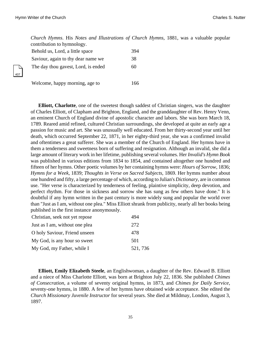*Church Hymns*. His *Notes and Illustrations of Church Hymns*, 1881, was a valuable popular contribution to hymnology.

| Behold us, Lord, a little space     | 394 |
|-------------------------------------|-----|
| Saviour, again to thy dear name we  | 38  |
| The day thou gavest, Lord, is ended | 60  |
|                                     |     |
| Welcome, happy morning, age to      | 166 |

407

<span id="page-46-0"></span>**Elliott, Charlotte**, one of the sweetest though saddest of Christian singers, was the daughter of Charles Elliott, of Clapham and Brighton, England, and the granddaughter of Rev. Henry Venn, an eminent Church of England divine of apostolic character and labors. She was born March 18, 1789. Reared amid refined, cultured Christian surroundings, she developed at quite an early age a passion for music and art. She was unusually well educated. From her thirty-second year until her death, which occurred September 22, 1871, in her eighty-third year, she was a confirmed invalid and oftentimes a great sufferer. She was a member of the Church of England. Her hymns have in them a tenderness and sweetness born of suffering and resignation. Although an invalid, she did a large amount of literary work in her lifetime, publishing several volumes. Her *Invalid's Hymn Book* was published in various editions from 1834 to 1854, and contained altogether one hundred and fifteen of her hymns. Other poetic volumes by her containing hymns were: *Hours of Sorrow*, 1836; *Hymns for a Week*, 1839; *Thoughts in Verse on Sacred Subjects*, 1869. Her hymns number about one hundred and fifty, a large percentage of which, according to Julian's *Dictionary*, are in common use. "Her verse is characterized by tenderness of feeling, plaintive simplicity, deep devotion, and perfect rhythm. For those in sickness and sorrow she has sung as few others have done." It is doubtful if any hymn written in the past century is more widely sung and popular the world over than "Just as I am, without one plea." Miss Elliott shrank from publicity, nearly all her books being published in the first instance anonymously.

| Christian, seek not yet repose | 494     |
|--------------------------------|---------|
| Just as I am, without one plea | 272     |
| O holy Saviour, Friend unseen  | 478     |
| My God, is any hour so sweet   | 501     |
| My God, my Father, while I     | 521,736 |

**Elliott, Emily Elizabeth Steele**, an Englishwoman, a daughter of the Rev. Edward B. Elliott and a niece of [Miss Charlotte Elliott](#page-46-0), was born at Brighton July 22, 1836. She published *Chimes of Consecration*, a volume of seventy original hymns, in 1873, and *Chimes for Daily Service*, seventy-one hymns, in 1880. A few of her hymns have obtained wide acceptance. She edited the *Church Missionary Juvenile Instructor* for several years. She died at Mildmay, London, August 3, 1897.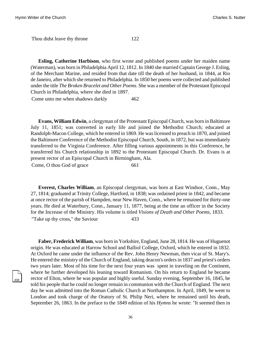Thou didst leave thy throne 122

**Esling, Catherine Harbison**, who first wrote and published poems under her maiden name (Waterman), was born in Philadelphia April 12, 1812. In 1840 she married Captain George J. Esling, of the Merchant Marine, and resided from that date till the death of her husband, in 1844, at Rio de Janeiro, after which she returned to Philadelphia. In 1850 her poems were collected and published under the title *The Broken Bracelet and Other Poems*. She was a member of the Protestant Episcopal Church in Philadelphia, where she died in 1897.

Come unto me when shadows darkly 462

**Evans, William Edwin**, a clergyman of the Protestant Episcopal Church, was born in Baltimore July 11, 1851; was converted in early life and joined the Methodist Church; educated at Randolph-Macon College, which he entered in 1869. He was licensed to preach in 1870, and joined the Baltimore Conference of the Methodist Episcopal Church, South, in 1872, but was immediately transferred to the Virginia Conference. After filling various appointments in this Conference, he transferred his Church relationship in 1892 to the Protestant Episcopal Church. Dr. Evans is at present rector of an Episcopal Church in Birmingham, Ala.

Come, O thou God of grace 661

**Everest, Charles William**, an Episcopal clergyman, was born at East Windsor, Conn., May 27, 1814; graduated at Trinity College, Hartford, in 1838; was ordained priest in 1842, and became at once rector of the parish of Hampden, near New Haven, Conn., where he remained for thirty-one years. He died at Waterbury, Conn., January 11, 1877, being at the time an officer in the Society for the Increase of the Ministry. His volume is titled *Visions of Death and Other Poems*, 1833. "Take up thy cross," the Saviour 433

**Faber, Frederick William**, was born in Yorkshire, England, June 28, 1814. He was of Huguenot origin. He was educated at Harrow School and Balliol College, Oxford, which he entered in 1832. At Oxford he came under the influence of the [Rev. John Henry Newman](#page-82-0), then vicar of St. Mary's. He entered the ministry of the Church of England, taking deacon's orders in 1837 and priest's orders two years later. Most of his time for the next four years was spent in traveling on the Continent, where he further developed his leaning toward Romanism. On his return to England he became rector of Elton, where he was popular and highly useful. Sunday evening, September 16, 1845, he told his people that he could no longer remain in communion with the Church of England. The next day he was admitted into the Roman Catholic Church at Northampton. In April, 1849, he went to London and took charge of the Oratory of St. Philip Neri, where he remained until his death, September 26, 1863. In the preface to the 1849 edition of his *Hymns* he wrote: "It seemed then in

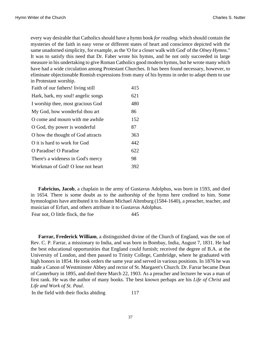every way desirable that Catholics should have a hymn book *for reading*. which should contain the mysteries of the faith in easy verse or different states of heart and conscience depicted with the same unadorned simplicity, for example, as the 'O for a closer walk with God' of the *[Olney Hymns](http://www.ccel.org/ccel/newton/olneyhymns.html)*." It was to satisfy this need that Dr. Faber wrote his hymns, and he not only succeeded in large measure in his undertaking to give Roman Catholics good modern hymns, but he wrote many which have had a wide circulation among Protestant Churches. It has been found necessary, however, to eliminate objectionable Romish expressions from many of his hymns in order to adapt them to use in Protestant worship.

| Faith of our fathers! living still | 415 |
|------------------------------------|-----|
| Hark, hark, my soul! angelic songs | 621 |
| I worship thee, most gracious God  | 480 |
| My God, how wonderful thou art     | 86  |
| O come and mourn with me awhile    | 152 |
| O God, thy power is wonderful      | 87  |
| O how the thought of God attracts  | 363 |
| O it is hard to work for God       | 442 |
| O Paradise! O Paradise             | 622 |
| There's a wideness in God's mercy  | 98  |
| Workman of God! O lose not heart   | 392 |

**Fabricius, Jacob**, a chaplain in the army of [Gustavus Adolphus,](#page-54-0) was born in 1593, and died in 1654. There is some doubt as to the authorship of the hymn here credited to him. Some hymnologists have attributed it to Johann Michael Altenburg (1584-1640), a preacher, teacher, and musician of Erfurt, and others attribute it to Gustavus Adolphus.

Fear not, O little flock, the foe 445

**Farrar, Frederick William**, a distinguished divine of the Church of England, was the son of Rev. C. P. Farrar, a missionary to India, and was born in Bombay, India, August 7, 1831. He had the best educational opportunities that England could furnish; received the degree of B.A. at the University of London, and then passed to Trinity College, Cambridge, where he graduated with high honors in 1854. He took orders the same year and served in various positions. In 1876 he was made a Canon of Westminster Abbey and rector of St. Margaret's Church. Dr. Farrar became Dean of Canterbury in 1895, and died there March 22, 1903. As a preacher and lecturer he was a man of first rank. He was the author of many books. The best known perhaps are his *Life of Christ* and *Life and Work of St. Paul*.

In the field with their flocks abiding 117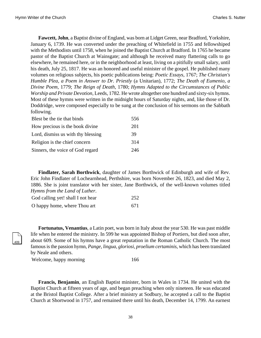**Fawcett, John**, a Baptist divine of England, was born at Lidget Green, near Bradford, Yorkshire, January 6, 1739. He was converted under the preaching of Whitefield in 1755 and fellowshiped with the Methodists until 1758, when he joined the Baptist Church at Bradford. In 1765 he became pastor of the Baptist Church at Wainsgate; and although he received many flattering calls to go elsewhere, he remained here, or in the neighborhood at least, living on a pitifully small salary, until his death, July 25, 1817. He was an honored and useful minister of the gospel. He published many volumes on religious subjects, his poetic publications being: *Poetic Essays*, 1767; *The Christian's Humble Plea, a Poem in Answer to Dr. Priestly* (a Unitarian), 1772; *The Death of Eumenio, a Divine Poem*, 1779; *The Reign of Death*, 1780; *Hymns Adapted to the Circumstances of Public Worship and Private Devotion*, Leeds, 1782. He wrote altogether one hundred and sixty-six hymns. Most of these hymns were written in the midnight hours of Saturday nights, and, like those of [Dr.](#page-42-1) [Doddridge](#page-42-1), were composed especially to be sung at the conclusion of his sermons on the Sabbath following.

| Blest be the tie that binds        | 556 |
|------------------------------------|-----|
| How precious is the book divine    | 201 |
| Lord, dismiss us with thy blessing | 39  |
| Religion is the chief concern      | 314 |
| Sinners, the voice of God regard   | 246 |

**Findlater, Sarah Borthwick**, daughter of James Borthwick of Edinburgh and wife of Rev. Eric John Findlater of Lochearnhead, Perthshire, was born November 26, 1823, and died May 2, 1886. She is joint translator with her sister, [Jane Borthwick](#page-23-0), of the well-known volumes titled *Hymns from the Land of Luther*.

| God calling yet! shall I not hear | 252 |
|-----------------------------------|-----|
| O happy home, where Thou art      | 671 |

**Fortunatus, Venantius**, a Latin poet, was born in Italy about the year 530. He was past middle life when he entered the ministry. In 599 he was appointed Bishop of Portiers, but died soon after, about 609. Some of his hymns have a great reputation in the Roman Catholic Church. The most famous is the passion hymn, *Pange, lingua, gloriosi, proelium certaminis*, which has been translated by [Neale](#page-81-0) and others.

Welcome, happy morning 166

409

**Francis, Benjamin**, an English Baptist minister, born in Wales in 1734. He united with the Baptist Church at fifteen years of age, and began preaching when only nineteen. He was educated at the Bristol Baptist College. After a brief ministry at Sodbury, he accepted a call to the Baptist Church at Shortwood in 1757, and remained there until his death, December 14, 1799. An earnest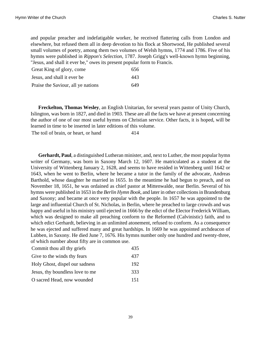and popular preacher and indefatigable worker, he received flattering calls from London and elsewhere, but refused them all in deep devotion to his flock at Shortwood, He published several small volumes of poetry, among them two volumes of Welsh hymns, 1774 and 1786. Five of his hymns were published in *Rippon's Selection*, 1787. [Joseph Grigg's](#page-53-0) well-known hymn beginning, "Jesus, and shall it ever be," owes its present popular form to Francis.

| Great King of glory, come          | 656  |
|------------------------------------|------|
| Jesus, and shall it ever be.       | 443  |
| Praise the Saviour, all ye nations | 649. |

**Freckelton, Thomas Wesley**, an English Unitarian, for several years pastor of Unity Church, Islington, was born in 1827, and died in 1903. These are all the facts we have at present concerning the author of one of our most useful hymns on Christian service. Other facts, it is hoped, will be learned in time to be inserted in later editions of this volume.

<span id="page-50-0"></span>The toil of brain, or heart, or hand 414

**Gerhardt, Paul**, a distinguished Lutheran minister, and, next to [Luther,](#page-71-0) the most popular hymn writer of Germany, was born in Saxony March 12, 1607. He matriculated as a student at the University of Wittenberg January 2, 1628, and seems to have resided in Wittenberg until 1642 or 1643, when he went to Berlin, where he became a tutor in the family of the advocate, Andreas Barthold, whose daughter he married in 1655. In the meantime he had begun to preach, and on November 18, 1651, he was ordained as chief pastor at Mittenwalde, near Berlin. Several of his hymns were published in 1653 in the *Berlin Hymn Book*, and later in other collections in Brandenburg and Saxony; and became at once very popular with the people. In 1657 he was appointed to the large and influential Church of St. Nicholas, in Berlin, where he preached to large crowds and was happy and useful in his ministry until ejected in 1666 by the edict of the Elector Frederick William, which was designed to make all preaching conform to the Reformed (Calvinistic) faith, and to which edict Gerhardt, believing in an unlimited atonement, refused to conform. As a consequence he was ejected and suffered many and great hardships. In 1669 he was appointed archdeacon of Lubben, in Saxony. He died June 7, 1676. His hymns number only one hundred and twenty-three, of which number about fifty are in common use.

| Commit thou all thy griefs      | 435 |
|---------------------------------|-----|
| Give to the winds thy fears     | 437 |
| Holy Ghost, dispel our sadness  | 192 |
| Jesus, thy boundless love to me | 333 |
| O sacred Head, now wounded      | 151 |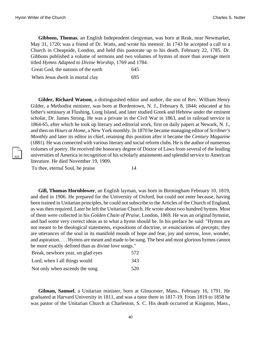**Gibbons, Thomas**, an English Independent clergyman, was born at Reak, near Newmarket, May 31, 1720; was a friend of [Dr. Watts,](#page-107-0) and wrote his memoir. In 1743 he accepted a call to a Church in Cheapside, London, and held this pastorate up to his death, February 22, 1785. Dr. Gibbons published a volume of sermons and two volumes of hymns of more than average merit titled *Hymns Adapted to Divine Worship*, 1769 and 1784.

Great God, the nations of the earth 645 When Jesus dwelt in mortal clay 695

**Gilder, Richard Watson**, a distinguished editor and author, the son of Rev. William Henry Gilder, a Methodist minister, was born at Bordentown, N. J., February 8, 1844; educated at his father's seminary at Flushing, Long Island, and later studied Greek and Hebrew under the eminent scholar, Dr. James Strong. He was a private in the Civil War in 1863, and in railroad service in 1864-65, after which he took up literary and editorial work, first on daily papers at Newark, N. J., and then on *Hours at Home*, a New York monthly. In 1870 he became managing editor of *Scribner's Monthly* and later its editor in chief, retaining this position after it became the *Century Magazine* (1881). He was connected with various literary and social reform clubs. He is the author of numerous volumes of poetry. He received the honorary degree of Doctor of Laws from several of the leading universities of America in recognition of his scholarly attainments and splendid service to American literature. He died November 19, 1909.

To thee, eternal Soul, be praise 14

**Gill, Thomas Hornblower**, an English layman, was born in Birmingham February 10, 1819, and died in 1906. He prepared for the University of Oxford, but could not enter because, having been trained in Unitarian principles, he could not subscribe to the Articles of the Church of England, as was then required. Later he left the Unitarian Church. He wrote about two hundred hymns. Most of them were collected in his *Golden Chain of Praise*, London, 1869. He was an original hymnist, and had some very correct ideas as to what a hymn should be. In his preface he said: "Hymns are not meant to be theological statements, expositions of doctrine, or enunciations of precepts; they are utterances of the soul in its manifold moods of hope and fear, joy and sorrow, love, wonder, and aspiration. . . . Hymns are meant and made to be sung. The best and most glorious hymns cannot be more exactly defined than as divine love songs."

| Break, newborn year, on glad eyes | 572 |
|-----------------------------------|-----|
| Lord, when I all things would     | 343 |
| Not only when ascends the song    | 520 |

**Gilman, Samuel**, a Unitarian minister, born at Gloucester, Mass., February 16, 1791. He graduated at Harvard University in 1811, and was a tutor there in 1817-19. From 1819 to 1858 he was pastor of the Unitarian Church at Charleston, S. C. His death occurred at Kingston, Mass.,

40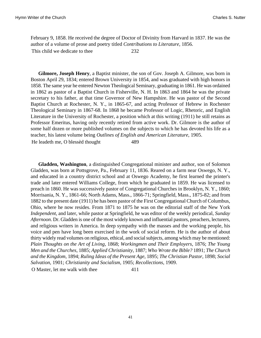February 9, 1858. He received the degree of Doctor of Divinity from Harvard in 1837. He was the author of a volume of prose and poetry titled *Contributions to Literature*, 1856.

This child we dedicate to thee 232

**Gilmore, Joseph Henry**, a Baptist minister, the son of Gov. Joseph A. Gilmore, was born in Boston April 29, 1834; entered Brown University in 1854, and was graduated with high honors in 1858. The same year he entered Newton Theological Seminary, graduating in 1861. He was ordained in 1862 as pastor of a Baptist Church in Fisherville, N. H. In 1863 and 1864 he was the private secretary to his father, at that time Governor of New Hampshire. He was pastor of the Second Baptist Church at Rochester, N. Y., in 1865-67, and acting Professor of Hebrew in Rochester Theological Seminary in 1867-68. In 1868 he became Professor of Logic, Rhetoric, and English Literature in the University of Rochester, a position which at this writing (1911) he still retains as Professor Emeritus, having only recently retired from active work. Dr. Gilmore is the author of some half dozen or more published volumes on the subjects to which he has devoted his life as a teacher, his latest volume being *Outlines of English and American Literature*, 1905.

He leadeth me, O blessèd thought 489

**Gladden, Washington**, a distinguished Congregational minister and author, son of Solomon Gladden, was born at Pottsgrove, Pa., February 11, 1836. Reared on a farm near Oswego, N. Y., and educated in a country district school and at Oswego Academy, he first learned the printer's trade and later entered Williams College, from which he graduated in 1859. He was licensed to preach in 1860. He was successively pastor of Congregational Churches in Brooklyn, N. Y., 1860; Morrisania, N. Y., 1861-66; North Adams, Mass., 1866-71; Springfield, Mass., 1875-82; and from 1882 to the present date (1911) he has been pastor of the First Congregational Church of Columbus, Ohio, where he now resides. From 1871 to 1875 he was on the editorial staff of the New York *Independent*, and later, while pastor at Springfield, he was editor of the weekly periodical, *Sunday Afternoon*. Dr. Gladden is one of the most widely known and influential pastors, preachers, lecturers, and religious writers in America. In deep sympathy with the masses and the working people, his voice and pen have long been exercised in the work of social reform. He is the author of about thirty widely read volumes on religious, ethical, and social subjects, among which may be mentioned: *Plain Thoughts on the Art of Living*, 1868; *Workingmen and Their Employers*, 1876; *The Young Men and the Churches*, 1885; *Applied Christianity*, 1887; *Who Wrote the Bible?* 1891; *The Church and the Kingdom*, 1894; *Ruling Ideas of the Present Age*, 1895; *The Christian Pastor*, 1898; *Social Salvation*, 1901; *Christianity and Socialism*, 1905; *Recollections*, 1909.

O Master, let me walk with thee 411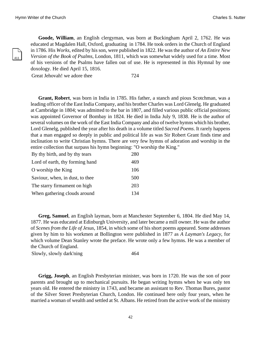**Goode, William**, an English clergyman, was born at Buckingham April 2, 1762. He was educated at Magdalen Hall, Oxford, graduating in 1784. He took orders in the Church of England in 1786. His *Works*, edited by his son, were published in 1822. He was the author of *An Entire New Version of the Book of Psalms*, London, 1811, which was somewhat widely used for a time. Most of his versions of the Psalms have fallen out of use. He is represented in this Hymnal by one doxology. He died April 15, 1816.

Great Jehovah! we adore thee 724

**Grant, Robert**, was born in India in 1785. His father, a stanch and pious Scotchman, was a leading officer of the East India Company, and his brother Charles was Lord Glenelg. He graduated at Cambridge in 1804; was admitted to the bar in 1807, and filled various public official positions; was appointed Governor of Bombay in 1824. He died in India July 9, 1838. He is the author of several volumes on the work of the East India Company and also of twelve hymns which his brother, Lord Glenelg, published the year after his death in a volume titled *Sacred Poems*. It rarely happens that a man engaged so deeply in public and political life as was Sir Robert Grant finds time and inclination to write Christian hymns. There are very few hymns of adoration and worship in the entire collection that surpass his hymn beginning: "O worship the King."

| By thy birth, and by thy tears  | 280 |
|---------------------------------|-----|
| Lord of earth, thy forming hand | 469 |
| O worship the King              | 106 |
| Saviour, when, in dust, to thee | 500 |
| The starry firmament on high    | 203 |
| When gathering clouds around    | 134 |

**Greg, Samuel**, an English layman, born at Manchester September 6, 1804. He died May 14, 1877. He was educated at Edinburgh University, and later became a mill owner. He was the author of *Scenes from the Life of Jesus*, 1854, in which some of his short poems appeared. Some addresses given by him to his workmen at Bollington were published in 1877 as *A Layman's Legacy*, for which volume Dean Stanley wrote the preface. He wrote only a few hymns. He was a member of the Church of England.

<span id="page-53-0"></span>Slowly, slowly dark'ning 464

**Grigg, Joseph**, an English Presbyterian minister, was born in 1720. He was the son of poor parents and brought up to mechanical pursuits. He began writing hymns when he was only ten years old. He entered the ministry in 1743, and became an assistant to Rev. Thomas Bures, pastor of the Silver Street Presbyterian Church, London. He continued here only four years, when he married a woman of wealth and settled at St. Albans. He retired from the active work of the ministry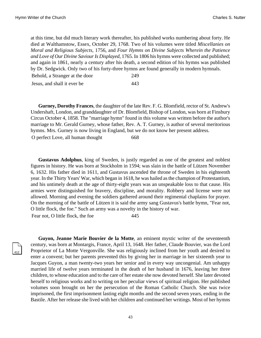at this time, but did much literary work thereafter, his published works numbering about forty. He died at Walthamstow, Essex, October 29, 1768. Two of his volumes were titled *Miscellanies on Moral and Religious Subjects*, 1756, and *Four Hymns on Divine Subjects Wherein the Patience and Love of Our Divine Saviour Is Displayed*, 1765. In 1806 his hymns were collected and published; and again in 1861, nearly a century after his death, a second edition of his hymns was published by Dr. Sedgwick. Only two of his forty-three hymns are found generally in modern hymnals. Behold, a Stranger at the door 249

Jesus, and shall it ever be 443

**Gurney, Dorothy Frances**, the daughter of the late Rev. F. G. Blomfield, rector of St. Andrew's Undershaft, London, and granddaughter of Dr. Blomfield, Bishop of London, was born at Finsbury Circus October 4, 1858. The "marriage hymn" found in this volume was written before the author's marriage to Mr. Gerald Gurney, whose father, Rev. A. T. Gurney, is author of several meritorious hymns. Mrs. Gurney is now living in England, but we do not know her present address. O perfect Love, all human thought 668

<span id="page-54-0"></span>**Gustavus Adolphus**, king of Sweden, is justly regarded as one of the greatest and noblest figures in history. He was born at Stockholm in 1594; was slain in the battle of Lützen November 6, 1632. His father died in 1611, and Gustavus ascended the throne of Sweden in his eighteenth year. In the Thirty Years' War, which began in 1618, he was hailed as the champion of Protestantism, and his untimely death at the age of thirty-eight years was an unspeakable loss to that cause. His armies were distinguished for bravery, discipline, and morality. Robbery and license were not allowed. Morning and evening the soldiers gathered around their regimental chaplains for prayer. On the morning of the battle of Lützen it is said the army sang Gustavus's battle bymn, "Fear not, O little flock, the foe." Such an army was a novelty in the history of war. Fear not, O little flock, the foe 445

**Guyon, Jeanne Marie Bouvier de la Motte**, an eminent mystic writer of the seventeenth century, was born at Montargis, France, April 13, 1648. Her father, Claude Bouvier, was the Lord Proprietor of La Motte Vergonville. She was religiously inclined from her youth and desired to enter a convent; but her parents prevented this by giving her in marriage in her sixteenth year to Jacques Guyon, a man twenty-two years her senior and in every way uncongenial. Am unhappy married life of twelve years terminated in the death of her husband in 1676, leaving her three children, to whose education and to the care of her estate she now devoted herself. She later devoted herself to religious works and to writing on her peculiar views of spiritual religion. Her published volumes soon brought on her the persecution of the Roman Catholic Church. She was twice imprisoned, the first imprisonment lasting eight months and the second seven years, ending in the Bastile. After her release she lived with her children and continued her writings. Most of her hymns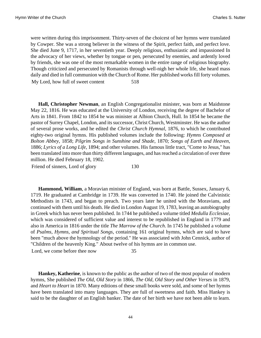were written during this imprisonment. [Thirty-seven of the choicest of her hymns](http://www.ccel.org/ccel/cowper/guyonpoems.htm) were translated by [Cowper](#page-36-0). She was a strong believer in the witness of the Spirit, perfect faith, and perfect love. She died June 9, 1717, in her seventieth year. Deeply religious, enthusiastic and impassioned In the advocacy of her views, whether by tongue or pen, persecuted by enemies, and ardently loved by friends, she was one of the most remarkable women in the entire range of religious biography. Though criticized and persecuted by Romanists through well-nigh her whole life, she heard mass daily and died in full communion with the Church of Rome. Her published works fill forty volumes. My Lord, how full of sweet content 518

**Hall, Christopher Newman**, an English Congregationalist minister, was born at Maidstone May 22, 1816. He was educated at the University of London, receiving the degree of Bachelor of Arts in 1841. From 1842 to 1854 he was minister at Albion Church, Hull. In 1854 he became the pastor of Surrey Chapel, London, and its successor, Christ Church, Westminster. He was the author of several prose works, and he edited the *Christ Church Hymnal*, 1876, to which he contributed eighty-two original hymns. His published volumes include the following: *Hymns Composed at Bolton Abbey*, 1858; *Pilgrim Songs in Sunshine and Shade*, 1870; *Songs of Earth and Heaven*, 1886; *Lyrics of a Long Life*, 1894; and other volumes. His famous little tract, "Come to Jesus," has been translated into more than thirty different languages, and has reached a circulation of over three million. He died February 18, 1902.

Friend of sinners, Lord of glory 130

**Hammond, William**, a Moravian minister of England, was born at Battle, Sussex, January 6, 1719. He graduated at Cambridge in 1739. He was converted in 1740. He joined the Calvinistic Methodists in 1743, and began to preach. Two years later he united with the Moravians, and continued with them until his death. He died in London August 19, 1783, leaving an autobiography in Greek which has never been published. In 1744 he published a volume titled *Medulla Ecclesiae*, which was considered of sufficient value and interest to be republished in England in 1779 and also in America in 1816 under the title *The Marrow of the Church*. In 1745 he published a volume of *Psalms, Hymns, and Spiritual Songs*, containing 161 original hymns, which are said to have been "much above the hymnology of the period." He was associated with [John Cennick,](#page-31-0) author of "Children of the heavenly King." About twelve of his hymns are in common use.

Lord, we come before thee now 35

**Hankey, Katherine**, is known to the public as the author of two of the most popular of modern hymns, She published *The Old, Old Story* in 1866, *The Old, Old Story and Other Verses* in 1879, and *Heart to Heart* in 1870. Many editions of these small books were sold, and some of her hymns have been translated into many languages. They are full of sweetness and faith. Miss Hankey is said to be the daughter of an English banker. The date of her birth we have not been able to learn.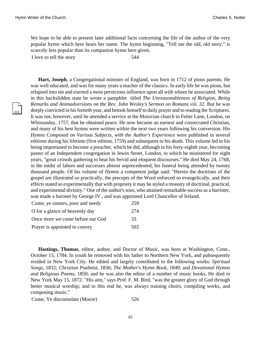We hope to be able to present later additional facts concerning the life of the author of the very popular hymn which here bears her name. The hymn beginning, "Tell me the old, old story," is scarcely less popular than its companion hymn here given. I love to tell the story 544

**Hart, Joseph**, a Congregational minister of England, was born in 1712 of pious parents. He was well educated, and was for many years a teacher of the classics. In early life he was pious, but relapsed into sin and exerted a most pernicious influence upon all with whom he associated. While in this backslidden state he wrote a pamphlet titled *The Unreasonableness of Religion, Being Remarks and Animadversions on the Rev. John Wesley's Sermon on [Romans viii. 32](http://www.ccel.org/b/bible/asv/xml/asv.Rom.8.xml#Rom.8.32)*. But he was deeply convicted in his fortieth year, and betook himself to daily prayer and to reading the Scriptures. It was not, however, until he attended a service at the Moravian church in Fetter Lane, London, on Whitsunday, 1757, that he obtained peace. He now became an earnest and consecrated Christian, and many of his best hymns were written within the next two years following his conversion. His *Hymns Composed on Various Subjects, with the Author's Experience* were published in several editions during his lifetime (first edition, 1759) and subsequent to his death. This volume led to his being importuned to become a preacher, which he did, although in his forty-eighth year, becoming pastor of an Independent congregation in Jewin Street, London, to which he ministered for eight years, "great crowds gathering to hear his fervid and eloquent discourses." He died May 24, 1768, in the midst of labors and successes almost unprecedented, his funeral being attended by twenty thousand people. Of his volume of *Hymns* a competent judge said: "Herein the doctrines of the gospel are illustrated so practically, the precepts of the Word enforced so evangelically, and their effects stated so experimentally that with propriety it may be styled a treasury of doctrinal, practical, and experimental divinity." One of the author's sons, who attained remarkable success as a barrister, was made a baronet by George IV., and was appointed Lord Chancellor of Ireland.

| Come, ye sinners, poor and needy | 259 |
|----------------------------------|-----|
| O for a glance of heavenly day   | 274 |
| Once more we come before our God | 33. |
| Prayer is appointed to convey    | 502 |

**Hastings, Thomas**, editor, author, and Doctor of Music, was born at Washington, Conn., October 15, 1784. In youth he removed with his father to Northern New York, and pubsequently resided in New York City. He edited and largely contributed to the following works: *Spiritual Songs*, 1832; *Christian Psalmist*, 1836; *The Mother's Hymn Book*, 1849; and *Devotional Hymns and Religious Poems*, 1850; and he was also the editor of a number of music books. He died in New York May 15, 1872. "His aim," says Prof. F. M. Bird, "was the greater glory of God through better musical worship; and to this end he, was always training choirs, compiling works, and composing music."

Come, Ye disconsolate (Moore) 526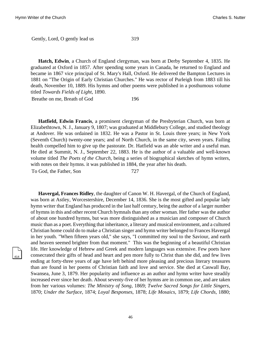Gently, Lord, O gently lead us 319

**Hatch, Edwin**, a Church of England clergyman, was born at Derby September 4, 1835. He graduated at Oxford in 1857. After spending some years in Canada, he returned to England and became in 1867 vice principal of St. Mary's Hall, Oxford. He delivered the Bampton Lectures in 1881 on "The Origin of Early Christian Churches." He was rector of Purleigh from 1883 till his death, November 10, 1889. His hymns and other poems were published in a posthumous volume titled *Towards Fields of Light*, 1890.

Breathe on me, Breath of God 196

**Hatfield, Edwin Francis**, a prominent clergyman of the Presbyterian Church, was born at Elizabethtown, N. J., January 9, 1807; was graduated at Middlebury College, and studied theology at Andover. He was ordained in 1832. He was a Pastor in St. Louis three years; in New York (Seventh Church) twenty-one years; and of North Church, in the same city, seven years. Failing health compelled him to give up the pastorate. Dr. Hatfield was an able writer and a useful man. He died at Summit, N. J., September 22, 1883. He is the author of a valuable and well-known volume titled *The Poets of the Church*, being a series of biographical sketches of hymn writers, with notes on their hymns. it was published in 1884, the year after his death.

To God, the Father, Son 727

**Havergal, Frances Ridley**, the daughter of Canon W. H. Havergal, of the Church of England, was born at Astley, Worcestershire, December 14, 1836. She is the most gifted and popular lady hymn writer that England has produced in the last half century, being the author of a larger number of hymns in this and other recent Church hymnals than any other woman. Her father was the author of about one hundred hymns, but was more distinguished as a musician and composer of Church music than as a poet. Everything that inheritance, a literary and musical environment, and a cultured Christian home could do to make a Christian singer and hymn writer belonged to Frances Havergal in her youth. "When fifteen years old," she says, "I committed my soul to the Saviour, and earth and heaven seemed brighter from that moment." This was the beginning of a beautiful Christian life. Her knowledge of Hebrew and Greek and modern languages was extensive. Few poets have consecrated their gifts of head and heart and pen more fully to Christ than she did, and few lives ending at forty-three years of age have left behind more pleasing and precious literary treasures than are found in her poems of Christian faith and love and service. She died at Caswall Bay, Swansea, June 3, 1879. Her popularity and influence as an author and hymn writer have steadily increased ever since her death. About seventy-five of her hymns are in common use, and are taken from her various volumes: *The Ministry of Song*, 1869; *Twelve Sacred Songs for Little Singers*, 1870; *Under the Surface*, 1874; *Loyal Besponses*, 1878; *Life Mosaics*, 1879; *Life Chords*, 1880;

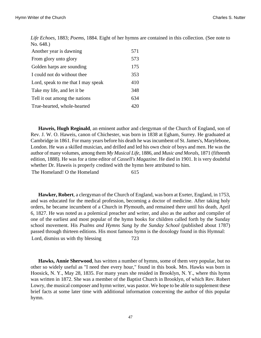| No. 648.)                          |     |
|------------------------------------|-----|
| Another year is dawning            | 571 |
| From glory unto glory              | 573 |
| Golden harps are sounding          | 175 |
| I could not do without thee.       | 353 |
| Lord, speak to me that I may speak | 410 |
| Take my life, and let it be        | 348 |
| Tell it out among the nations      | 634 |
| True-hearted, whole-hearted        |     |

*Life Echoes*, 1883; *Poems*, 1884. Eight of her hymns are contained in this collection. (See note to

**Haweis, Hugh Reginald**, an eminent author and clergyman of the Church of England, son of Rev. J. W. O. Haweis, canon of Chichester, was born in 1838 at Egham, Surrey. He graduated at Cambridge in 1861. For many years before his death he was incumbent of St. James's, Marylebone, London. He was a skilled musician, and drilled and led his own choir of boys and men. He was the author of many volumes, among them *My Musical Life*, 1886, and *Music and Morals*, 1871 (fifteenth edition, 1888). He was for a time editor of *Cassell's Magazine*. He died in 1901. It is very doubtful whether Dr. Haweis is properly credited with the hymn here attributed to him. The Homeland! O the Homeland 615

**Hawker, Robert**, a clergyman of the Church of England, was born at Exeter, England, in 1753, and was educated for the medical profession, becoming a doctor of medicine. After taking holy orders, he became incumbent of a Church in Plymouth, and remained there until his death, April 6, 1827. He was noted as a polemical preacher and writer, and also as the author and compiler of one of the earliest and most popular of the hymn books for children called forth by the Sunday school movement. His *Psalms and Hymns Sung by the Sunday School* (published about 1787) passed through thirteen editions. His most famous hymn is the doxology found in this Hymnal: Lord, dismiss us with thy blessing 723

**Hawks, Annie Sherwood**, has written a number of hymns, some of them very popular, but no other so widely useful as "I need thee every hour," found in this book. Mrs. Hawks was born in Hoosick, N. Y., May 28, 1835. For many years she resided in Brooklyn, N. Y., where this hymn was written in 1872. She was a member of the Baptist Church in Brooklyn, of which Rev. Robert Lowry, the musical composer and hymn writer, was pastor. We hope to be able to supplement these brief facts at some later time with additional information concerning the author of this popular hymn.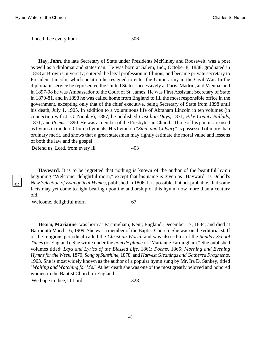I need thee every hour 506

**Hay, John**, the late Secretary of State under Presidents McKinley and Roosevelt, was a poet as well as a diplomat and statesman. He was born at Salem, Ind., October 8, 1838; graduated in 1858 at Brown University; entered the legal profession in Illinois, and became private secretary to President Lincoln, which position he resigned to enter the Union army in the Civil War. In the diplomatic service he represented the United States successively at Paris, Madrid, and Vienna; and in 1897-98 he was Ambassador to the Court of St. James. He was First Assistant Secretary of State in 1879-81, and in 1898 he was called home from England to fill the most responsible office in the government, excepting only that of the chief executive, being Secretary of State from 1898 until his death, July 1, 1905. In addition to a voluminous life of Abraham Lincoln in ten volumes (in connection with J. G. Nicolay), 1887, he published *Castilian Days*, 1871; *Pike County Ballads*, 1871; and *Poems*, 1890. He was a member of the Presbyterian Church. Three of his poems are used as hymns in modern Church hymnals. His hymn on "*Sinai and Calvary*" is possessed of more than ordinary merit, and shows that a great statesman may rightly estimate the moral value and lessons of both the law and the gospel.

Defend us, Lord, from every ill 403

415

**Hayward**. It is to be regretted that nothing is known of the author of the beautiful hymn beginning "Welcome, delightful morn," except that his name is given as "Hayward" is Dobell's *New Selection of Evangelical Hymns*, published in 1806. It is possible, but not probable, that some facts may yet come to light bearing upon the authorship of this hymn, now more than a century old.

Welcome, delightful morn 67

**Hearn, Marianne**, was born at Farningham, Kent, England, December 17, 1834; and died at Barmouth March 16, 1909. She was a member of the Baptist Church. She was on the editorial staff of the religious periodical called the *Christian World*, and was also editor of the *Sunday School Times* (of England). She wrote under the *nom de plume* of "Marianne Farningham." She published volumes titled: *Lays and Lyrics of the Blessed Life*, 1861; *Poems*, 1865; *Morning and Evening Hymns for the Week*, 1870; *Song of Sunshine*, 1878; and *Harvest Gleanings and Gathered Fragments*, 1903. She is most widely known as the author of a popular hymn sung by Mr. Ira D. Sankey, titled "*Waiting and Watching for Me*." At her death she was one of the most greatly beloved and honored women in the Baptist Church in England.

We hope in thee, O Lord 328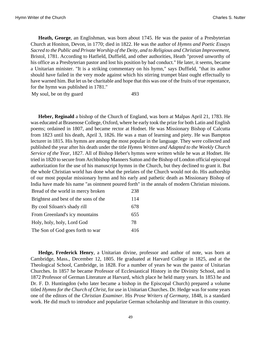**Heath, George**, an Englishman, was born about 1745. He was the pastor of a Presbyterian Church at Honiton, Devon, in 1770; died in 1822. He was the author of *Hymns and Poetic Essays Sacred to the Public and Private Worship of the Deity, and to Religious and Christian Improvement*, Bristol, 1781. According to Hatfield, Duffield, and other authorities, Heath "proved unworthy of his office as a Presbyterian pastor and lost his position by bad conduct." He later, it seems, became a Unitarian minister. "It is a striking commentary on his hymn," says Duffield, "that its author should have failed in the very mode against which his stirring trumpet blast ought effectually to have warned him. But let us be charitable and hope that this was one of the fruits of true repentance, for the hymn was published in 1781."

My soul, be on thy guard 493

**Heber, Reginald** a bishop of the Church of England, was born at Malpas April 21, 1783. He was educated at Brasenose College, Oxford, where he early took the prize for both Latin and English poems; ordained in 1807, and became rector at Hodnet. He was Missionary Bishop of Calcutta from 1823 until his death, April 3, 1826. He was a man of learning and piety. He was Bampton lecturer in 1815. His hymns are among the most popular in the language. They were collected and published the year after his death under the title *Hymns Written and Adapted to the Weekly Church Service of the Year*, 1827. All of Bishop Heber's hymns were written while he was at Hodnet. He tried in 1820 to secure from Archbishop Manners Sutton and the Bishop of London official episcopal authorization for the use of his manuscript hymns in the Church, but they declined to grant it. But the whole Christian world has done what the prelates of the Church would not do. His authorship of our most popular missionary hymn and his early and pathetic death as Missionary Bishop of India have made his name "as ointment poured forth" in the annals of modern Christian missions.

| Bread of the world in mercy broken    | 238 |
|---------------------------------------|-----|
| Brightest and best of the sons of the | 114 |
| By cool Siloam's shady rill           | 678 |
| From Greenland's icy mountains        | 655 |
| Holy, holy, holy, Lord God            | 78  |
| The Son of God goes forth to war      | 416 |

**Hedge, Frederick Henry**, a Unitarian divine, professor and author of note, was born at Cambridge, Mass., December 12, 1805. He graduated at Harvard College in 1825, and at the Theological School, Cambridge, in 1828. For a number of years he was the pastor of Unitarian Churches. In 1857 he became Professor of Ecclesiastical History in the Divinity School, and in 1872 Professor of German Literature at Harvard, which place he held many years. In 1853 he and Dr. F. D. Huntingdon (who later became a bishop in the Episcopal Church) prepared a volume titled *Hymns for the Church of Christ*, for use in Unitarian Churches. Dr. Hedge was for some years one of the editors of the *Christian Examiner*. His *Prose Writers of Germany*, 1848, is a standard work. He did much to introduce and popularize German scholarship and literature in this country.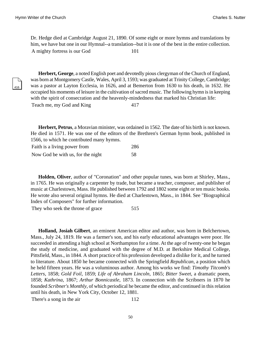Dr. Hedge died at Cambridge August 21, 1890. Of some eight or more hymns and translations by him, we have but one in our Hymnal--a translation--but it is one of the best in the entire collection. A mighty fortress is our God 101

416

**Herbert, George**, a noted English poet and devotedly pious clergyman of the Church of England, was born at Montgomery Castle, Wales, April 3, 1593; was graduated at Trinity College, Cambridge; was a pastor at Layton Ecclesia, in 1626, and at Bemerton from 1630 to his death, in 1632. He occupied his moments of leisure in the cultivation of sacred music. The following hymn is in keeping with the spirit of consecration and the heavenly-mindedness that marked his Christian life: Teach me, my God and King 417

**Herbert, Petrus**, a Moravian minister, was ordained in 1562. The date of his birth is not known. He died in 1571. He was one of the editors of the Brethren's German hymn book, published in 1566, to which he contributed many hymns.

| Faith is a living power from      | 286 |
|-----------------------------------|-----|
| Now God be with us, for the night | 58  |

**Holden, Oliver**, author of "Coronation" and other popular tunes, was born at Shirley, Mass., in 1765. He was originally a carpenter by trade, but became a teacher, composer, and publisher of music at Charlestown, Mass. He published between 1792 and 1802 some eight or ten music books. He wrote also several original hymns. He died at Charlestown, Mass., in 1844. See "Biographical Index of Composers" for further information.

They who seek the throne of grace 515

**Holland, Josiah Gilbert**, an eminent American editor and author, was born in Belchertown, Mass., July 24, 1819. He was a farmer's son, and his early educational advantages were poor. He succeeded in attending a high school at Northampton for a time. At the age of twenty-one he began the study of medicine, and graduated with the degree of M.D. at Berkshire Medical College, Pittsfield, Mass., in 1844. A short practice of his profession developed a dislike for it, and he turned to literature. About 1850 he became connected with the Springfield *Republican*, a position which he held fifteen years. He was a voluminous author. Among his works we find: *Timothy Titcomb's Letters*, 1858; *Gold Foil*, 1859; *Life of Abraham Lincoln*, 1865; *Bitter Sweet*, a dramatic poem, 1858; *Kathrina*, 1867; *Arthur Bonnicastle*, 1873. In connection with the Scribners in 1870 he founded *Scribner's Monthly*, of which periodical he became the editor, and continued in this relation until his death, in New York City, October 12, 1881.

There's a song in the air 112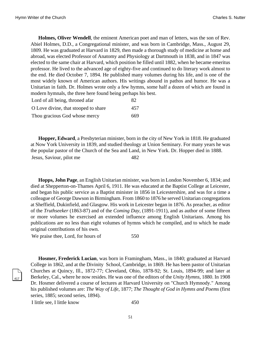**Holmes, Oliver Wendell**, the eminent American poet and man of letters, was the son of Rev. Abiel Holmes, D.D., a Congregational minister, and was born in Cambridge, Mass., August 29, 1809. He was graduated at Harvard in 1829, then made a thorough study of medicine at home and abroad, was elected Professor of Anatomy and Physiology at Dartmouth in 1838, and in 1847 was elected to the same chair at Harvard, which position he filled until 1882, when he became emeritus professor. He lived to the advanced age of eighty-five and continued to do literary work almost to the end. He died October 7, 1894. He published many volumes during his life, and is one of the most widely known of American authors. His writings abound in pathos and humor. He was a Unitarian in faith. Dr. Holmes wrote only a few hymns, some half a dozen of which are found in modern hymnals, the three here found being perhaps his best.

| Lord of all being, throned afar      | 82  |
|--------------------------------------|-----|
| O Love divine, that stooped to share | 457 |
| Thou gracious God whose mercy        | 669 |

**Hopper, Edward**, a Presbyterian minister, born in the city of New York in 1818. He graduated at Now York University in 1839, and studied theology at Union Seminary. For many years he was the popular pastor of the Church of the Sea and Land, in New York. Dr. Hopper died in 1888. Jesus, Saviour, pilot me 482

**Hopps, John Page**, an English Unitarian minister, was born in London November 6, 1834; and died at Shepperton-on-Thames April 6, 1911. He was educated at the Baptist College at Leicester, and began his public service as a Baptist minister in 1856 in Leicestershire, and was for a time a colleague of George Dawson in Birmingham. From 1860 to 1876 he served Unitarian congregations at Sheffield, Dukinfield, and Glasgow. His work in Leicester began in 1876. As preacher, as editor of the *Truthseeker* (1863-87) and of the *Coming Day*, (1891-1911), and as author of some fifteen or more volumes he exercised an extended influence among English Unitarians. Among his publications are no less than eight volumes of hymns which he compiled, and to which he made original contributions of his own.

We praise thee, Lord, for hours of 550

**Hosmer, Frederick Lucian**, was born in Framingham, Mass., in 1840; graduated at Harvard College in 1862, and at the Divinity School, Cambridge, in 1869. He has been pastor of Unitarian Churches at Quincy, Ill., 1872-77; Cleveland, Ohio, 1878-92; St. Louis, 1894-99; and later at Berkeley, Cal., where he now resides. He was one of the editors of the *Unity Hymns*, 1880. In 1908 Dr. Hosmer delivered a course of lectures at Harvard University on "Church Hymnody." Among his published volumes are: *The Way of Life*, 1877; *The Thought of God in Hymns and Poems* (first series, 1885; second series, 1894).

I little see, I little know 450

417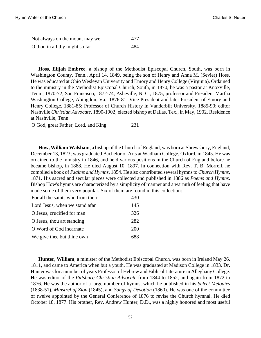| Not always on the mount may we | 477 |
|--------------------------------|-----|
| O thou in all thy might so far | 484 |

**Hoss, Elijah Embree**, a bishop of the Methodist Episcopal Church, South, was born in Washington County, Tenn., April 14, 1849, being the son of Henry and Anna M. (Sevier) Hoss. He was educated at Ohio Wesleyan University and Emory and Henry College (Virginia). Ordained to the ministry in the Methodist Episcopal Church, South, in 1870, he was a pastor at Knoxville, Tenn., 1870-72, San Francisco, 1872-74, Asheville, N. C., 1875; professor and President Martha Washington College, Abingdon, Va., 1876-81; Vice President and later President of Emory and Henry College, 1881-85; Professor of Church History in Vanderbilt University, 1885-90; editor Nashville *Christian Advocate*, 1890-1902; elected bishop at Dallas, Tex., in May, 1902. Residence at Nashville, Tenn.

<span id="page-63-0"></span>O God, great Father, Lord, and King 231

**How, William Walsham**, a bishop of the Church of England, was born at Shrewsbury, England, December 13, 1823; was graduated Bachelor of Arts at Wadham College, Oxford, in 1845. He was ordained to the ministry in 1846, and held various positions in the Church of England before he became bishop, in 1888. He died August 10, 1897. In connection with Rev. T. B. Morrell, he compiled a book of *Psalms and Hymns*, 1854. He also contributed several hymns to *Church Hymns*, 1871. His sacred and secular pieces were collected and published in 1886 as *Poems and Hymns*. Bishop How's hymns are characterized by a simplicity of manner and a warmth of feeling that have made some of them very popular. Six of them are found in this collection:

| 145<br>Lord Jesus, when we stand afar<br>326<br>O Jesus, crucified for man<br>282<br>O Jesus, thou art standing<br>200<br>O Word of God incarnate<br>We give thee but thine own<br>688 | For all the saints who from their | 430 |
|----------------------------------------------------------------------------------------------------------------------------------------------------------------------------------------|-----------------------------------|-----|
|                                                                                                                                                                                        |                                   |     |
|                                                                                                                                                                                        |                                   |     |
|                                                                                                                                                                                        |                                   |     |
|                                                                                                                                                                                        |                                   |     |
|                                                                                                                                                                                        |                                   |     |

**Hunter, William**, a minister of the Methodist Episcopal Church, was born in Ireland May 26, 1811, and came to America when but a youth. He was graduated at Madison College in 1833. Dr. Hunter was for a number of years Professor of Hebrew and Biblical Literature in Alleghany College. He was editor of the *Pittsburg Christian Advocate* from 1844 to 1852, and again from 1872 to 1876. He was the author of a large number of hymns, which he published in his *Select Melodies* (1838-51), *Minstrel of Zion* (1845), and *Songs of Devotion* (1860). He was one of the committee of twelve appointed by the General Conference of 1876 to revise the Church hymnal. He died October 18, 1877. His brother, Rev. Andrew Hunter, D.D., was a highly honored and most useful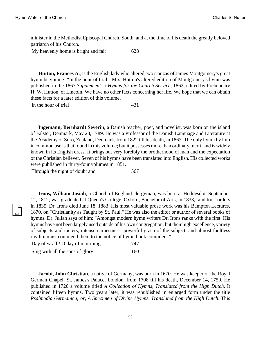minister in the Methodist Episcopal Church, South, and at the time of his death the greatly beloved patriarch of his Church.

My heavenly home is bright and fair 628

**Hutton, Frances A.**, is the English lady who altered two stanzas of [James Montgomery's](#page-79-0) great hymn beginning: "In the hour of trial." Mrs. Hutton's altered edition of Montgomery's hymn was published in the 1867 *Supplement* to *Hymns for the Church Service*, 1862, edited by Prebendary H. W. Hutton, of Lincoln. We have no other facts concerning her life. We hope that we can obtain these facts for a later edition of this volume.

In the hour of trial 431

418

**Ingemann, Bernhardt Severin**, a Danish teacher, poet, and novelist, was born on the island of Falster, Denmark, May 28, 1789. He was a Professor of the Danish Language and Literature at the Academy of Sorö, Zealand, Denmark, from 1822 till his death, in 1862. The only hymn by him in common use is that found in this volume; but it possesses more than ordinary merit, and is widely known in its English dress. It brings out very forcibly the brotherhood of man and the expectation of the Christian believer. Seven of his hymns have been translated into English. His collected works were published in thirty-four volumes in 1851.

Through the night of doubt and 567

**Irons, William Josiah**, a Church of England clergyman, was born at Hoddesdon September 12, 1812; was graduated at Queen's College, Oxford, Bachelor of Arts, in 1833, and took orders in 1835. Dr. Irons died June 18, 1883. His most valuable prose work was his Bampton Lectures, 1870, on "Christianity as Taught by St. Paul." He was also the editor or author of several books of hymns. Dr. Julian says of him: "Amongst modern hymn writers Dr. Irons ranks with the first. His hymns have not been largely used outside of his own congregation, but their high excellence, variety of subjects and meters, intense earnestness, powerful grasp of the subject, and almost faultless rhythm must commend them to the notice of hymn book compilers."

| Day of wrath! O day of mourning | 747 |
|---------------------------------|-----|
| Sing with all the sons of glory | 160 |

**Jacobi, John Christian**, a native of Germany, was born in 1670. He was keeper of the Royal German Chapel, St. James's Palace, London, from 1708 till his death, December 14, 1750. He published in 1720 a volume titled *A Collection of Hymns, Translated front the High Dutch*. It contained fifteen hymns. Two years later, it was republished in enlarged form under the title *Psalmodia Germanica; or, A Specimen of Divine Hymns. Translated from the High Dutch*. This

53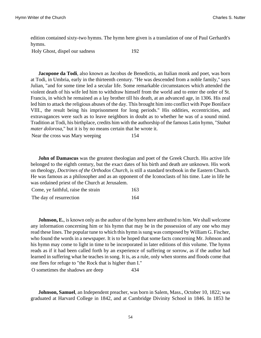edition contained sixty-two hymns. The hymn here given is a translation of one of [Paul Gerhardt's](#page-50-0) hymns.

Holy Ghost, dispel our sadness 192

**Jacopone da Todi**, also known as Jacobus de Benedictis, an Italian monk and poet, was born at Todi, in Umbria, early in the thirteenth century. "He was descended from a noble family," says Julian, "and for some time led a secular life. Some remarkable circumstances which attended the violent death of his wife led him to withdraw himself from the world and to enter the order of St. Francis, in which he remained as a lay brother till his death, at an advanced age, in 1306. His zeal led him to attack the religious abuses of the day. This brought him into conflict with Pope Boniface VIII., the result being his imprisonment for long periods." His oddities, eccentricities, and extravagances were such as to leave neighbors in doubt as to whether he was of a sound mind. Tradition at Todi, his birthplace, credits him with the authorship of the famous Latin hymn, "*Stabat mater dolorosa*," but it is by no means certain that he wrote it.

Near the cross was Mary weeping 154

**John of Damascus** was the greatest theologian and poet of the Greek Church. His active life belonged to the eighth century, but the exact dates of his birth and death are unknown. His work on theology, *Doctrines of the Orthodox Church*, is still a standard textbook in the Eastern Church. He was famous as a philosopher and as an opponent of the Iconoclasts of his time. Late in life he was ordained priest of the Church at Jerusalem.

| Come, ye faithful, raise the strain | 163 |
|-------------------------------------|-----|
| The day of resurrection             | 164 |

**Johnson, E.**, is known only as the author of the hymn here attributed to him. We shall welcome any information concerning him or his hymn that may be in the possession of any one who may read these lines. The popular tune to which this hymn is sung was composed by William G. Fischer, who found the words in a newspaper. It is to be hoped that some facts concerning Mr. Johnson and his hymn may come to light in time to be incorporated in later editions of this volume. The hymn reads as if it had been called forth by an experience of suffering or sorrow, as if the author had learned in suffering what he teaches in song. It is, as a rule, only when storms and floods come that one flees for refuge to "the Rock that is higher than I."

<span id="page-65-0"></span>O sometimes the shadows are deep 434

**Johnson, Samuel**, an Independent preacher, was born in Salem, Mass., October 10, 1822; was graduated at Harvard College in 1842, and at Cambridge Divinity School in 1846. In 1853 he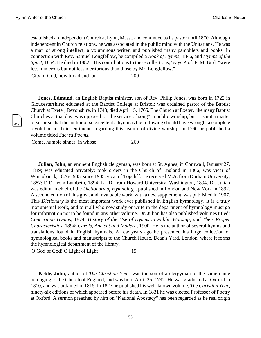established an Independent Church at Lynn, Mass., and continued as its pastor until 1870. Although independent in Church relations, he was associated in the public mind with the Unitarians. He was a man of strong intellect, a voluminous writer, and published many pamphlets and books. In connection with [Rev. Samuel Longfellow,](#page-70-0) he compiled a *Book of Hymns*, 1846, and *Hymns of the Spirit*, 1864. He died in 1882. "His contributions to these collections," says Prof. F. M. Bird, "were less numerous but not less meritorious than those by Mr. Longfellow."

City of God, how broad and far 209

**Jones, Edmund**, an English Baptist minister, son of Rev. Philip Jones, was born in 1722 in Gloucestershire; educated at the Baptist College at Bristol; was ordained pastor of the Baptist Church at Exeter, Devonshire, in 1743; died April 15, 1765. The Church at Exeter, like many Baptist Churches at that day, was opposed to "the service of song" in public worship, but it is not a matter of surprise that the author of so excellent a hymn as the following should have wrought a complete revolution in their sentiments regarding this feature of divine worship. in 1760 he published a volume titled *Sacred Poems*.

Come, humble sinner, in whose 260

**Julian, John**, an eminent English clergyman, was born at St. Agnes, in Cornwall, January 27, 1839; was educated privately; took orders in the Church of England in 1866; was vicar of Wincobanck, 1876-1905; since 1905, vicar of Topcliff. He received M.A. from Durham University, 1887; D.D. from Lambeth, 1894; LL.D. from Howard University, Washington, 1894. Dr. Julian was editor in chief of the *Dictionary of Hymnology*, published in London and New York in 1892. A second edition of this great and invaluable work, with a new supplement, was published in 1907. This *Dictionary* is the most important work ever published in English hymnology. It is a truly monumental work, and to it all who now study or write in the department of hymnology must go for information not to be found in any other volume. Dr. Julian has also published volumes titled: *Concerning Hymns*, 1874; *History of the Use of Hymns in Public Worship, and Their Proper Characteristics*, 1894; *Carols, Ancient and Modern*, 1900. He is the author of several hymns and translations found in English hymnals. A few years ago he presented his large collection of hymnological books and manuscripts to the Church House, Dean's Yard, London, where it forms the hymnological department of the library.

O God of God! O Light of Light 15

**Keble, John**, author of *The Christian Year*, was the son of a clergyman of the same name belonging to the Church of England, and was born April 25, 1792. He was graduated at Oxford in 1810, and was ordained in 1815. In 1827 he published his well-known volume, *The Christian Year*, ninety-six editions of which appeared before his death. In 1831 he was elected Professor of Poetry at Oxford. A sermon preached by him on "National Apostacy" has been regarded as he real origin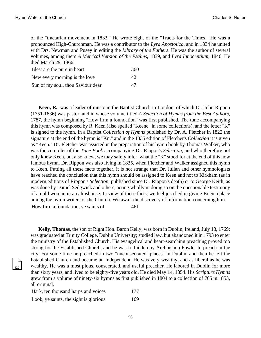of the "tractarian movement in 1833." He wrote eight of the "Tracts for the Times." He was a pronounced High-Churchman. He was a contributor to the *Lyra Apostolica*, and in 1834 he united with Drs. [Newman](#page-82-0) and Pusey in editing the *Library of the Fathers*. He was the author of several volumes, among them *A Metrical Version of the Psalms*, 1839, and *Lyra Innocentium*, 1846. He died March 29, 1866.

| Blest are the pure in heart       | 360 |
|-----------------------------------|-----|
| New every morning is the love     | 42  |
| Sun of my soul, thou Saviour dear | 47  |

**Keen, R.**, was a leader of music in the Baptist Church in London, of which Dr. John Rippon (1751-1836) was pastor, and in whose volume titled *A Selection of Hymns from the Best Authors*, 1787, the hymn beginning "How firm a foundation" was first published. The tune accompanying this hymn was composed by R. Keen (also spelled "Keene" in some collections), and the letter "K" is signed to the hymn. In a Baptist *Collection of Hymns* published by Dr. A. Fletcher in 1822 the signature at the end of the hymn is "Kn," and in the 1835 edition of Fletcher's *Collection* it is given as "Keen." Dr. Fletcher was assisted in the preparation of his hymn book by Thomas Walker, who was the compiler of the *Tune Book* accompanying Dr. Rippon's *Selection*, and who therefore not only knew Keen, but also knew, we may safely infer, what the "K" stood for at the end of this now famous hymn. Dr. Rippon was also living in 1835, when Fletcher and Walker assigned this hymn to Keen. Putting all these facts together, it is not strange that Dr. Julian and other hymnologists have reached the conclusion that this hymn should be assigned to Keen and not to Kirkham (as in modern editions of Rippon's *Selection*, published since Dr. Rippon's death) or to George Keith, as was done by Daniel Sedgwick and others, acting wholly in doing so on the questionable testimony of an old woman in an almshouse. In view of these facts, we feel justified in giving Keen a place among the hymn writers of the Church. We await the discovery of information concerning him. How firm a foundation, ye saints of 461

**Kelly, Thomas**, the son of Right Hon. Baron Kelly, was born in Dublin, Ireland, July 13, 1769; was graduated at Trinity College, Dublin University; studied law. but abandoned it in 1793 to enter the ministry of the Established Church. His evangelical and heart-searching preaching proved too strong for the Established Church, and he was forbidden by Archbishop Fowler to preach in the city. For some time he preached in two "unconsecrated places" in Dublin, and then he left the Established Church and became an Independent. He was very wealthy, and as liberal as he was wealthy. He was a most pious, consecrated, and useful preacher. He labored in Dublin for more than sixty years, and lived to be eighty-five years old. He died May 14, 1854. His *Scripture Hymns* grew from a volume of ninety-six hymns as first published in 1804 to a collection of 765 in 1853, all original.

| Hark, ten thousand harps and voices    | 177 |
|----------------------------------------|-----|
| Look, ye saints, the sight is glorious | 169 |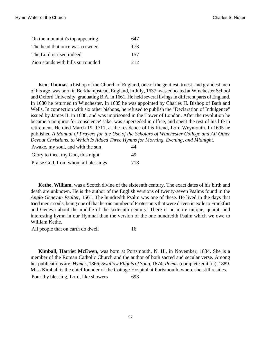| On the mountain's top appearing   | 647 |
|-----------------------------------|-----|
| The head that once was crowned    | 173 |
| The Lord is risen indeed          | 157 |
| Zion stands with hills surrounded | 212 |

**Ken, Thomas**, a bishop of the Church of England, one of the gentlest, truest, and grandest men of his age, was born in Berkhampstead, England, in July, 1637; was educated at Winchester School and Oxford University, graduating B.A. in 1661. He held several livings in different parts of England. In 1680 he returned to Winchester. In 1685 he was appointed by Charles H. Bishop of Bath and Wells. In connection with six other bishops, he refused to publish the "Declaration of Indulgence" issued by James II. in 1688, and was imprisoned in the Tower of London. After the revolution he became a nonjuror for conscience' sake, was superseded in office, and spent the rest of his life in retirement. He died March 19, 1711, at the residence of his friend, Lord Weymouth. In 1695 he published *A Manual of Prayers for the Use of the Scholars of Winchester College and All Other Devout Christians, to Which Is Added Three Hymns for Morning, Evening, and Midnight*.

| Awake, my soul, and with the sun    | 44  |
|-------------------------------------|-----|
| Glory to thee, my God, this night   | 49  |
| Praise God, from whom all blessings | 718 |

**Kethe, William**, was a Scotch divine of the sixteenth century. The exact dates of his birth and death are unknown. He is the author of the English versions of twenty-seven Psalms found in the *Anglo-Genevan Psalter*, 1561. The hundredth Psalm was one of these. He lived in the days that tried men's souls, being one of that heroic number of Protestants that were driven in exile to Frankfurt and Geneva about the middle of the sixteenth century. There is no more unique, quaint, and interesting hymn in our Hymnal than the version of the one hundredth Psalm which we owe to William Kethe.

All people that on earth do dwell 16

**Kimball, Harriet McEwen**, was born at Portsmouth, N. H., in November, 1834. She is a member of the Roman Catholic Church and the author of both sacred and secular verse. Among her publications are: *Hymns*, 1866; *Swallow Flights of Song*, 1874; *Poems* (complete edition), 1889. Miss Kimball is the chief founder of the Cottage Hospital at Portsmouth, where she still resides. Pour thy blessing, Lord, like showers 693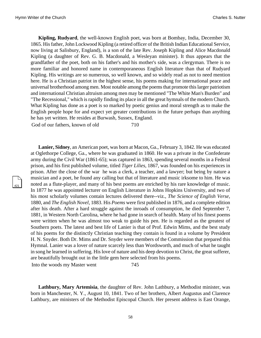**Kipling, Rudyard**, the well-known English poet, was born at Bombay, India, December 30, 1865. His father, John Lockwood Kipling (a retired officer of the British Indian Educational Service, now living at Salisbury, England), is a son of the late Rev. Joseph Kipling and Alice Macdonald Kipling (a daughter of Rev. G. B. Macdonald, a Wesleyan minister). It thus appears that the grandfather of the poet, both on his father's and his mother's side, was a clergyman. There is no more familiar and honored name in contemporaneous English literature than that of Rudyard Kipling. His writings are so numerous, so well known, and so widely read as not to need mention here. He is a Christian patriot in the highest sense, his poems making for international peace and universal brotherhood among men. Most notable among the poems that promote this larger patriotism and international Christian altruism among men may be mentioned "The White Man's Burden" and "The Recessional," which is rapidly finding its place in all the great hymnals of the modern Church. What Kipling has done as a poet is so marked by poetic genius and moral strength as to make the English people hope for and expect yet greater contributions in the future perhaps than anything he has yet written. He resides at Burwash, Sussex, England.

God of our fathers, known of old  $710$ 

**Lanier, Sidney**, an American poet, was born at Macon, Ga., February 3, 1842. He was educated at Oglethorpe College, Ga., where he was graduated in 1860. He was a private in the Confederate army during the Civil War (1861-65); was captured in 1863, spending several months in a Federal prison, and his first published volume, titled *Tiger Lilies*, 1867, was founded on his experiences in prison. After the close of the war he was a clerk, a teacher, and a lawyer; but being by nature a musician and a poet, he found any calling but that of literature and music irksome to him. He was noted as a flute-player, and many of his best poems are enriched by his rare knowledge of music. In 1877 he was appointed lecturer on English Literature in Johns Hopkins University, and two of his most scholarly volumes contain lectures delivered there--viz., *The Science of English Verse*, 1880, and *The English Novel*, 1883. His *Poems* were first published in 1876, and a complete edition after his death. After a hard struggle against the inroads of consumption, he died September 7, 1881, in Western North Carolina, where he had gone in search of health. Many of his finest poems were written when he was almost too weak to guide his pen. He is regarded as the greatest of Southern poets. The latest and best life of Lanier is that of Prof. Edwin Mims, and the best study of his poems for the distinctly Christian teaching they contain is found in a volume by President H. N. Snyder. Both Dr. Mims and Dr. Snyder were members of the Commission that prepared this Hymnal. Lanier was a lover of nature scarcely less than Wordsworth, and much of what he taught in song he learned in suffering. His love of nature and his deep devotion to Christ, the great sufferer, are beautifully brought out in the little gem here selected from his poems. Into the woods my Master went 745

**Lathbury, Mary Artemisia**, the daughter of Rev. John Lathbury, a Methodist minister, was born in Manchester, N. Y., August 10, 1841. Two of her brothers, Albert Augustus and Clarence Lathbury, are ministers of the Methodist Episcopal Church. Her present address is East Orange,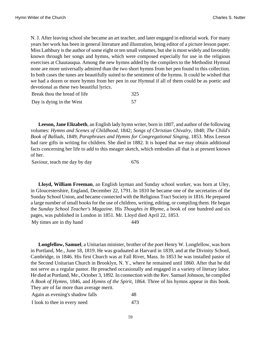N. J. After leaving school she became an art teacher, and later engaged in editorial work. For many years her work has been in general literature and illustration, being editor of a picture lesson paper. Miss Lathbury is the author of some eight or ten small volumes, but she is most widely and favorably known through her songs and hymns, which were composed especially for use in the religious exercises at Chautauqua. Among the new hymns added by the compilers to the Methodist Hymnal none are more universally admired than the two short hymns from her pen found in this collection. In both cases the tunes are beautifully suited to the sentiment of the hymns. It could be wished that we had a dozen or more hymns from her pen in our Hymnal if all of them could be as poetic and devotional as these two beautiful lyrics.

| Break thou the bread of life | 325 |
|------------------------------|-----|
| Day is dying in the West     |     |

**Leeson, Jane Elizabeth**, an English lady hymn writer, born in 1807, and author of the following volumes: *Hymns and Scenes of Childhood*, 1842; *Songs of Christian Chivalry*, 1848; *The Child's Book of Ballads*, 1849; *Paraphrases and Hymns for Congregational Singing*, 1853. Miss Leeson had rare gifts in writing for children. She died in 1882. It is hoped that we may obtain additional facts concerning her life to add to this meager sketch, which embodies all that is at present known of her.

Saviour, teach me day by day 676

**Lloyd, William Freeman**, an English layman and Sunday school worker, was born at Uley, in Gloucestershire, England, December 22, 1791. In 1810 he became one of the secretaries of the Sunday School Union, and became connected with the Religious Tract Society in 1816. He prepared a large number of small books for the use of children, writing, editing, or compiling them. He began the *Sunday School Teacher's Magazine*. His *Thoughts in Rhyme*, a book of one hundred and six pages, was published in London in 1851. Mr. Lloyd died April 22, 1853. My times are in thy hand 449

<span id="page-70-0"></span>**Longfellow, Samuel**, a Unitarian minister, brother of the poet Henry W. Longfellow, was born in Portland, Me., June 18, 1819. He was graduated at Harvard in 1839, and at the Divinity School, Cambridge, in 1846. His first Church was at Fall River, Mass. In 1853 he was installed pastor of the Second Unitarian Church in Brooklyn, N. Y., where he remained until 1860. After that he did not serve as a regular pastor. He preached occasionally and engaged in a variety of literary labor. He died at Portland, Me., October 3, 1892. In connection with the [Rev. Samuel Johnson](#page-65-0), he compiled *A Book of Hymns*, 1846, and *Hymns of the Spirit*, 1864. Three of his hymns appear in this book. They are of far more than average merit.

| Again as evening's shadow falls | 48  |
|---------------------------------|-----|
| I look to thee in every need    | 473 |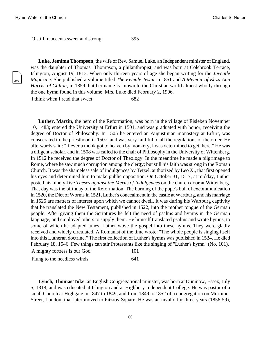O still in accents sweet and strong 395

**Luke, Jemima Thompson**, the wife of Rev. Samuel Luke, an Independent minister of England, was the daughter of Thomas Thompson, a philanthropist, and was born at Colebrook Terrace, Islington, August 19, 1813. When only thirteen years of age she began writing for the *Juvenile Magazine.* She published a volume titled *The Female Jesuit* in 1851 and *A Memoir of Eliza Ann Harris, of Clifton*, in 1859, but her name is known to the Christian world almost wholly through the one hymn found in this volume. Mrs. Luke died February 2, 1906. I think when I read that sweet 682

<span id="page-71-0"></span>**Luther, Martin**, the hero of the Reformation, was born in the village of Eisleben November 10, 1483; entered the University at Erfurt in 1501, and was graduated with honor, receiving the degree of Doctor of Philosophy. In 1505 he entered an Augustinian monastery at Erfurt, was consecrated to the priesthood in 1507, and was very faithful to all the regulations of the order. He afterwards said: "If ever a monk got to heaven by monkery, I was determined to get there." He was a diligent scholar, and in 1508 was called to the chair of Philosophy in the University of Wittenberg. In 1512 he received the degree of Doctor of Theology. In the meantime he made a pilgrimage to Rome, where he saw much corruption among the clergy; but still his faith was strong in the Roman Church. It was the shameless sale of indulgences by Tetzel, authorized by Leo X., that first opened his eyes and determined him to make public opposition. On October 31, 1517, at midday, Luther posted his ninety-five *Theses against the Merits of Indulgences* on the church door at Wittenberg. That day was the birthday of the Reformation. The burning of the pope's bull of excommunication in 1520, the Diet of Worms in 1521, Luther's concealment in the castle at Wartburg, and his marriage in 1525 are matters of interest upon which we cannot dwell. It was during his Wartburg captivity that he translated the New Testament, published in 1522, into the mother tongue of the German people. After giving them the Scriptures he felt the need of psalms and hymns in the German language, and employed others to supply them. He himself translated psalms and wrote hymns, to some of which he adapted tunes. Luther wove the gospel into these hymns. They were gladly received and widely circulated. A Romanist of the time wrote: "The whole people is singing itself into this Lutheran doctrine." The first collection of Luther's hymns was published in 1524. He died February 18, 1546. Few things can stir Protestants like the singing of "Luther's hymn" (No. 101). A mighty fortress is our God 101

Flung to the heedless winds 641

**Lynch, Thomas Toke**, an English Congregational minister, was born at Dunmow, Essex, July 5, 1818, and was educated at Islington and at Highbury Independent College. He was pastor of a small Church at Highgate in 1847 to 1849, and from 1849 to 1852 of a congregation on Mortimer Street, London, that later moved to Fitzroy Square. He was an invalid for three years (1856-59),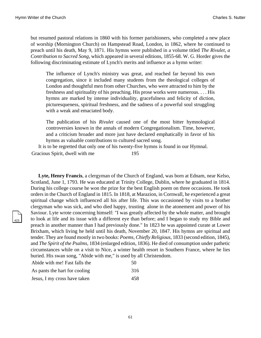but resumed pastoral relations in 1860 with his former parishioners, who completed a new place of worship (Mornington Church) on Hampstead Road, London, in 1862, where he continued to preach until his death, May 9, 1871. His hymns were published in a volume titled *The Rivulet, a Contribution to Sacred Song*, which appeared in several editions, 1855-68. W. G. Horder gives the following discriminating estimate of Lynch's merits and influence as a hymn writer:

The influence of Lynch's ministry was great, and reached far beyond his own congregation, since it included many students from the theological colleges of London and thoughtful men from other Churches, who were attracted to him by the freshness and spirituality of his preaching. His prose works were numerous. . . . His hymns are marked by intense individuality, gracefulness and felicity of diction, picturesqueness, spiritual freshness, and the sadness of a powerful soul struggling with a weak and emaciated body.

The publication of his *Rivulet* caused one of the most bitter hymnological controversies known in the annals of modern Congregationalism. Time, however, and a criticism broader and more just have declared emphatically in favor of his hymns as valuable contributions to cultured sacred song.

It is to be regretted that only one of his twenty-five hymns is found in our Hymnal. Gracious Spirit, dwell with me 195

**Lyte, Henry Francis**, a clergyman of the Church of England, was born at Ednam, near Kelso, Scotland, June 1, 1793. He was educated at Trinity College, Dublin, where he graduated in 1814. During his college course he won the prize for the best English poem on three occasions. He took orders in the Church of England in 1815. In 1818, at Marazion, in Cornwall, he experienced a great spiritual change which influenced all his after life. This was occasioned by visits to a brother clergyman who was sick, and who died happy, trusting alone in the atonement and power of his Saviour. Lyte wrote concerning himself: "I was greatly affected by the whole matter, and brought to look at life and its issue with a different eye than before; and I began to study my Bible and preach in another manner than I had previously done." In 1823 he was appointed curate at Lower Brixham, which living he held until his death, November 20, 1847. His hymns are spiritual and tender. They are found mostly in two books: *Poems, Chiefly Religious*, 1833 (second edition, 1845), and *The Spirit of the Psalms*, 1834 (enlarged edition, 1836). He died of consumption under pathetic circumstances while on a visit to Nice, a winter health resort in Southern France, where he lies buried. His swan song, "Abide with me," is used by all Christendom.

| Abide with me! Fast falls the | 50  |
|-------------------------------|-----|
| As pants the hart for cooling | 316 |
| Jesus, I my cross have taken  | 458 |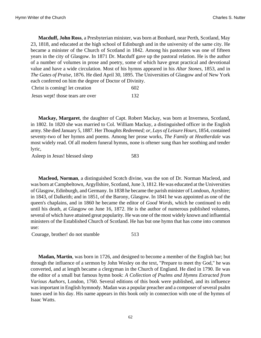**Macduff, John Ross**, a Presbyterian minister, was born at Bonhard, near Perth, Scotland, May 23, 1818, and educated at the high school of Edinburgh and in the university of the same city. He became a minister of the Church of Scotland in 1842. Among his pastorates was one of fifteen years in the city of Glasgow. In 1871 Dr. Macduff gave up the pastoral relation. He is the author of a number of volumes in prose and poetry, some of which have great practical and devotional value and have a wide circulation. Most of his hymns appeared in his *Altar Stones*, 1853, and in *The Gates of Praise*, 1876. He died April 30, 1895. The Universities of Glasgow and of New York each conferred on him the degree of Doctor of Divinity. Christ is coming! let creation 602

| Jesus wept! those tears are over |  |
|----------------------------------|--|

**Mackay, Margaret**, the daughter of Capt. Robert Mackay, was born at Inverness, Scotland, in 1802. In 1820 she was married to Col. William Mackay, a distinguished officer in the English army. She died January 5, 1887. Her *Thoughts Redeemed; or, Lays of Leisure Hours*, 1854, contained seventy-two of her hymns and poems. Among her prose works, *The Family at Heatherdale* was most widely read. Of all modern funeral hymns, none is oftener sung than her soothing and tender lyric,

Asleep in Jesus! blessed sleep 583

**Macleod, Norman**, a distinguished Scotch divine, was the son of Dr. Norman Macleod, and was born at Campbeltown, Argyllshire, Scotland, June 3, 1812. He was educated at the Universities of Glasgow, Edinburgh, and Germany. In 1838 he became the parish minister of Londoun, Ayrshire; in 1843, of Dalkeith; and in 1851, of the Barony, Glasgow. In 1841 he was appointed as one of the queen's chaplains, and in 1860 he became the editor of *Good Words*, which he continued to edit until his death, at Glasgow on June 16, 1872. He is the author of numerous published volumes, several of which have attained great popularity. He was one of the most widely known and influential ministers of the Established Church of Scotland. He has but one hymn that has come into common use:

Courage, brother! do not stumble 513

**Madan, Martin**, was born in 1726, and designed to become a member of the English bar; but through the influence of a sermon by [John Wesley](#page-115-0) on the text, "Prepare to meet thy God," he was converted, and at length became a clergyman in the Church of England. He died in 1790. Ile was the editor of a small but famous hymn book: *A Collection of Psalms and Hymns Extracted from Various Authors*, London, 1760. Several editions of this book were published, and its influence was important in English hymnody. Madan was a popular preacher and a composer of several psalm tunes used in his day. His name appears in this book only in connection with one of the hymns of [Isaac Watts.](#page-107-0)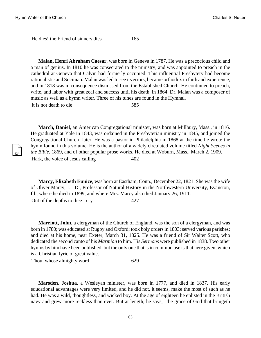He dies! the Friend of sinners dies 165

**Malan, Henri Abraham Caesar**, was born in Geneva in 1787. He was a precocious child and a man of genius. In 1810 he was consecrated to the ministry, and was appointed to preach in the cathedral at Geneva that Calvin had formerly occupied. This influential Presbytery had become rationalistic and Socinian. Malan was led to see its errors, became orthodox in faith and experience, and in 1818 was in consequence dismissed from the Established Church. He continued to preach, write, and labor with great zeal and success until his death, in 1864. Dr. Malan was a composer of music as well as a hymn writer. Three of his tunes are found in the Hymnal. It is not death to die 585

**March, Daniel**, an American Congregational minister, was born at Millbury, Mass., in 1816. He graduated at Yale in 1843, was ordained in the Presbyterian ministry in 1845, and joined the Congregational Church later. He was a pastor in Philadelphia in 1868 at the time he wrote the hymn found in this volume. He is the author of a widely circulated volume titled *Night Scenes in the Bible*, 1869, and of other popular prose works. He died at Woburn, Mass., March 2, 1909. Hark, the voice of Jesus calling 402

**Marcy, Elizabeth Eunice**, was born at Eastham, Conn., December 22, 1821. She was the wife of Oliver Marcy, LL.D., Professor of Natural History in the Northwestern University, Evanston, Ill., where he died in 1899, and where Mrs. Marcy also died January 26, 1911. Out of the depths to thee I cry 427

**Marriott, John**, a clergyman of the Church of England, was the son of a clergyman, and was born in 1780; was educated at Rugby and Oxford; took holy orders in 1803; served various parishes; and died at his home, near Exeter, March 31, 1825. He was a friend of [Sir Walter Scott](#page-93-0), who dedicated the second canto of his *Marmion* to him. His *Sermons* were published in 1838. Two other hymns by him have been published, but the only one that is in common use is that here given, which is a Christian lyric of great value.

Thou, whose almighty word 629

**Marsden, Joshua**, a Wesleyan minister, was born in 1777, and died in 1837. His early educational advantages were very limited, and he did not, it seems, make the most of such as he had. He was a wild, thoughtless, and wicked boy. At the age of eighteen he enlisted in the British navy and grew more reckless than ever. But at length, he says, "the grace of God that bringeth

63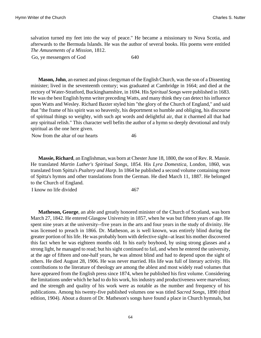salvation turned my feet into the way of peace." He became a missionary to Nova Scotia, and afterwards to the Bermuda Islands. He was the author of several books. His poems were entitled *The Amusements of a Mission*, 1812.

Go, ye messengers of God 640

**Mason, John**, an earnest and pious clergyman of the English Church, was the son of a Dissenting minister; lived in the seventeenth century; was graduated at Cambridge in 1664; and died at the rectory of Water-Stratford, Buckinghamshire, in 1694. His *Spiritual Songs* were published in 1683. He was the best English hymn writer preceding [Watts](#page-107-0), and many think they can detect his influence upon Watts and [Wesley](#page-110-0). [Richard Baxter](#page-19-0) styled him "the glory of the Church of England," and said that "the frame of his spirit was so heavenly, his deportment so humble and obliging, his discourse of spiritual things so weighty, with such apt words and delightful air, that it charmed all that had any spiritual relish." This character well befits the author of a hymn so deeply devotional and truly spiritual as the one here given.

Now from the altar of our hearts 46

**Massie, Richard**, an Englishman, was born at Chester June 18, 1800, the son of Rev. R. Massie. He translated *Martin Luther's Spiritual Songs*, 1854. His *Lyra Domestica*, London, 1860, was translated from [Spitta's](#page-96-0) *Psaltery and Harp*. In 1864 he published a second volume containing more of Spitta's hymns and other translations from the German. He died March 11, 1887. He belonged to the Church of England.

I know no life divided 467

**Matheson, George**, an able and greatly honored minister of the Church of Scotland, was born March 27, 1842. He entered Glasgow University in 1857, when he was but fifteen years of age. He spent nine years at the university--five years in the arts and four years in the study of divinity. He was licensed to preach in 1866. Dr. Matheson, as is well known, was entirely blind during the greater portion of his life. He was probably born with defective sight--at least his mother discovered this fact when he was eighteen months old. In his early boyhood, by using strong glasses and a strong light, he managed to read; but his sight continued to fail, and when he entered the university, at the age of fifteen and one-half years, he was almost blind and had to depend upon the sight of others. He died August 28, 1906. He was never married. His life was full of literary activity. His contributions to the literature of theology are among the ablest and most widely read volumes that have appeared from the English press since 1874, when he published his first volume. Considering the limitations under which he had to do his work, his industry and productiveness were marvelous; and the strength and quality of his work were as notable as the number and frequency of his publications. Among his twenty-five published volumes one was titled *Sacred Songs*, 1890 (third edition, 1904). About a dozen of Dr. Matheson's songs have found a place in Church hymnals, but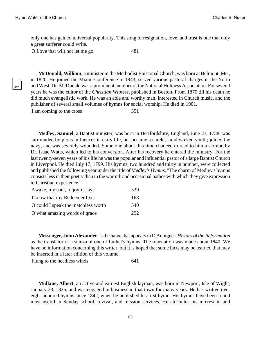only one has gained universal popularity. This song of resignation, love, and trust is one that only a great sufferer could write.

O Love that wilt not let me go 481

**McDonald, William**, a minister in the Methodist Episcopal Church, was born at Belmont, Me., in 1820. He joined the Miami Conference in 1843; served various pastoral charges in the North and West. Dr. McDonald was a prominent member of the National Holiness Association. For several years he was the editor of the *Christian Witness*, published in Boston. From 1870 till his death he did much evangelistic work. He was an able and worthy man, interested in Church music, and the publisher of several small volumes of hymns for social worship. He died in 1901.

I am coming to the cross 351

**Medley, Samuel**, a Baptist minister, was born in Hertfordshire, England, June 23, 1738; was surrounded by pious influences in early life, but became a careless and wicked youth; joined the navy, and was severely wounded. Some one about this time chanced to read to him a sermon by [Dr. Isaac Watts](#page-107-0), which led to his conversion. After his recovery he entered the ministry. For the last twenty-seven years of his life he was the popular and influential pastor of a large Baptist Church in Liverpool. He died July 17, 1799. His hymns, two hundred and thirty in number, were collected and published the following year under the title of *Medley's Hymns*. "The charm of Medley's hymns consists less in their poetry than in the warmth and occasional pathos with which they give expression to Christian experience."

| Awake, my soul, to joyful lays      | 539 |
|-------------------------------------|-----|
| I know that my Redeemer lives       | 168 |
| O could I speak the matchless worth | 540 |
| O what amazing words of grace       | 292 |

**Messenger, John Alexander**, is the name that appears in D'Aubigne's *History of the Reformation* as the translator of a stanza of one of Luther's hymns. The translation was made about 1840. We have no information concerning this writer, but it is hoped that some facts may be learned that may be inserted in a later edition of this volume.

Flung to the heedless winds 641

**Midlane, Albert**, an active and earnest English layman, was born in Newport, Isle of Wight, January 23, 1825, and was engaged in business in that town for many years. He has written over eight hundred hymns since 1842, when he published his first hymn. His hymns have been found most useful in Sunday school, revival, and mission services. He attributes his interest in and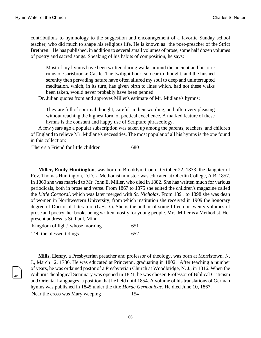contributions to hymnology to the suggestion and encouragement of a favorite Sunday school teacher, who did much to shape his religious life. He is known as "the poet-preacher of the Strict Brethren." He has published, in addition to several small volumes of prose, some half dozen volumes of poetry and sacred songs. Speaking of his habits of composition, he says:

Most of my hymns have been written during walks around the ancient and historic ruins of Carisbrooke Castle. The twilight hour, so dear to thought, and the hushed serenity then pervading nature have often allured my soul to deep and uninterrupted meditation, which, in its turn, has given birth to lines which, had not these walks been taken, would never probably have been penned.

Dr. Julian quotes from and approves Miller's estimate of Mr. Midlane's hymns:

They are full of spiritual thought, careful in their wording, and often very pleasing without reaching the highest form of poetical excellence. A marked feature of these hymns is the constant and happy use of Scripture phraseology.

A few years ago a popular subscription was taken up among the parents, teachers, and children of England to relieve Mr. Midlane's necessities. The most popular of all his hymns is the one found in this collection:

There's a Friend for little children 680

**Miller, Emily Huntington**, was born in Brooklyn, Conn., October 22, 1833, the daughter of Rev. Thomas Huntington, D.D., a Methodist minister; was educated at Oberlin College, A.B. 1857. In 1860 she was married to Mr. John E. Miller, who died in 1882. She has written much for various periodicals, both in prose and verse. From 1867 to 1875 she edited the children's magazine called the *Little Corporal*, which was later merged with *St. Nicholas*. From 1891 to 1898 she was dean of women in Northwestern University, from which institution she received in 1909 the honorary degree of Doctor of Literature (L.H.D.). She is the author of some fifteen or twenty volumes of prose and poetry, her books being written mostly for young people. Mrs. Miller is a Methodist. Her present address is St. Paul, Minn.

| Kingdom of light! whose morning | 651 |
|---------------------------------|-----|
| Tell the blessed tidings        | 652 |

**Mills, Henry**, a Presbyterian preacher and professor of theology, was born at Morristown, N. J., March 12, 1786. He was educated at Princeton, graduating in 1802. After teaching a number of years, he was ordained pastor of a Presbyterian Church at Woodbridge, N. J., in 1816. When the Auburn Theological Seminary was opened in 1821, he was chosen Professor of Biblical Criticism and Oriental Languages, a position that he held until 1854. A volume of his translations of German hymns was published in 1845 under the title *Horae Germanicae*. He died June 10, 1867.

Near the cross was Mary weeping 154

426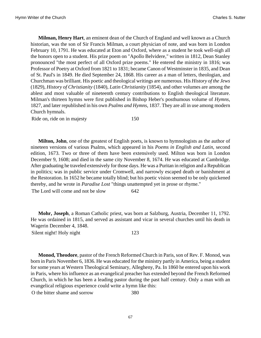**Milman, Henry Hart**, an eminent dean of the Church of England and well known as a Church historian, was the son of Sir Francis Milman, a court physician of note, and was born in London February 10, 1791. He was educated at Eton and Oxford, where as a student he took well-nigh all the honors open to a student. His prize poem on "Apollo Belvidere," written in 1812, Dean Stanley pronounced "the most perfect of all Oxford prize poems." He entered the ministry in 1816; was Professor of Poetry at Oxford from 1821 to 1831; became Canon of Westminster in 1835, and Dean of St. Paul's in 1849. He died September 24, 1868. His career as a man of letters, theologian, and Churchman was brilliant. His poetic and theological writings are numerous. His *History of the Jews* (1829), *History of Christianity* (1840), *Latin Christianity* (1854), and other volumes are among the ablest and most valuable of nineteenth century contributions to English theological literature. Milman's thirteen hymns were first published in [Bishop Heber's](#page-60-0) posthumous volume of *Hymns*, 1827, and later republished in his own *Psalms and Hymns*, 1837. They are all in use among modern Church hymnals.

Ride on, ride on in majesty 150

**Milton, John**, one of the greatest of English poets, is known to hymnologists as the author of nineteen versions of various Psalms, which appeared in his *Poems in English and Latin*, second edition, 1673. Two or three of them have been extensively used. Milton was born in London December 9, 1608; and died in the same city November 8, 1674. He was educated at Cambridge. After graduating he traveled extensively for those days. He was a Puritan in religion and a Republican in politics; was in public service under Cromwell, and narrowly escaped death or banishment at the Restoration. In 1652 he became totally blind; but his poetic vision seemed to be only quickened thereby, and he wrote in *Paradise Lost* "things unattempted yet in prose or rhyme." The Lord will come and not be slow 642

**Mohr, Joseph**, a Roman Catholic priest, was born at Salzburg, Austria, December 11, 1792. He was ordained in 1815, and served as assistant and vicar in several churches until his death in Wagerin December 4, 1848.

Silent night! Holy night 123

**Monod, Theodore**, pastor of the French Reformed Church in Paris, son of Rev. F. Monod, was born in Paris November 6, 1836. He was educated for the ministry partly in America, being a student for some years at Western Theological Seminary, Allegheny, Pa. In 1860 he entered upon his work in Paris, where his influence as an evangelical preacher has extended beyond the French Reformed Church, in which he has been a leading pastor during the past half century. Only a man with an evangelical religious experience could write a hymn like this:

O the bitter shame and sorrow 380

67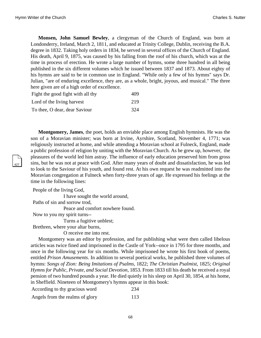**Monsen, John Samuel Bewley**, a clergyman of the Church of England, was born at Londonderry, Ireland, March 2, 1811, and educated at Trinity College, Dublin, receiving the B.A. degree in 1832. Taking holy orders in 1834, he served in several offices of the Church of England. His death, April 9, 1875, was caused by his falling from the roof of his church, which was at the time in process of erection. He wrote a large number of hymns, some three hundred in all being published in the six different volumes which he issued between 1837 and 1873. About eighty of his hymns are said to be in common use in England. "While only a few of his hymns" says Dr. Julian, "are of enduring excellence, they are, as a whole, bright, joyous, and musical." The three here given are of a high order of excellence.

| Fight the good fight with all thy | 409 |
|-----------------------------------|-----|
| Lord of the living harvest        | 219 |
| To thee, O dear, dear Saviour     | 324 |

**Montgomery, James**, the poet, holds an enviable place among English hymnists. He was the son of a Moravian minister; was born at Irvine, Ayrshire, Scotland, November 4, 1771; was religiously instructed at home, and while attending a Moravian school at Fulneck, England, made a public profession of religion by uniting with the Moravian Church. As he grew up, however, the pleasures of the world led him astray. The influence of early education preserved him from gross sins, but he was not at peace with God. After many years of doubt and dissatisfaction, he was led to look to the Saviour of his youth, and found rest. At his own request he was readmitted into the Moravian congregation at Fulneck when forty-three years of age. He expressed his feelings at the time in the following lines:

People of the living God,

427

I have sought the world around,

Paths of sin and sorrow trod,

Peace and comfort nowhere found.

Now to you my spirit turns--

Turns a fugitive unblest;

Brethren, where your altar burns,

O receive me into rest.

Montgomery was an editor by profession, and for publishing what were then called libelous articles was twice fined and imprisoned in the Castle of York--once in 1795 for three months, and once in the following year for six months. While imprisoned he wrote his first book of poems, entitled *Prison Amusements*. In addition to several poetical works, he published three volumes of hymns: *Songs of Zion: Being Imitations of Psalms*, 1822; *The Christian Psalmist*, 1825; *Original Hymns for Public, Private, and Social Devotion*, 1853. From 1833 till his death he received a royal pension of two hundred pounds a year. He died quietly in his sleep on April 30, 1854, at his home, in Sheffield. Nineteen of Montgomery's hymns appear in this book:

| According to thy gracious word  | 234 |
|---------------------------------|-----|
| Angels from the realms of glory | 113 |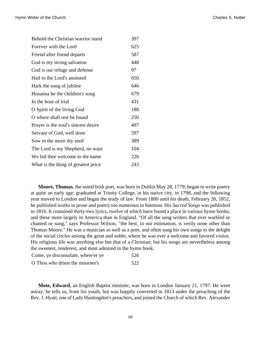| Behold the Christian warrior stand  | 397 |
|-------------------------------------|-----|
| Forever with the Lord               | 625 |
| Friend after friend departs         | 587 |
| God is my strong salvation          | 448 |
| God is our refuge and defense       | 97  |
| Hail to the Lord's anointed         | 650 |
| Hark the song of jubilee            | 646 |
| Hosanna be the children's song      | 679 |
| In the hour of trial                | 431 |
| O Spirit of the living God          | 188 |
| O where shall rest be found         | 250 |
| Prayer is the soul's sincere desire | 497 |
| Servant of God, well done           | 597 |
| Sow in the morn thy seed            | 389 |
| The Lord is my Shepherd, no want    | 104 |
| We bid thee welcome in the name.    | 226 |
| What is the thing of greatest price | 243 |

**Moore, Thomas**, the noted Irish poet, was born in Dublin May 28, 1779; began to write poetry at quite an early age; graduated at Trinity College, in his native city, in 1798, and the following year moved to London and began the study of law. From 1800 until his death, February 26, 1852, he published works in prose and poetry too numerous to hiention. His *Sacred Songs* was published in 1816. It contained thirty-two lyrics, twelve of which have found a place in various hymn books, and these more largely in America than in England. "Of all the song writers that ever warbled or chanted or sung," says Professor Wilson, "the best, in our estimation, is verily none other than Thomas Moore." He was a musician as well as a poet, and often sung his own songs to the delight of the social circles aniong the great and noble, where he was ever a welcome and favored visitor. His religious life was anything else but that of a Christian; but his songs are nevertheless among the sweetest, tenderest, and most admired in the hymn book.

| Come, ye disconsolate, where'er ye | 526 |
|------------------------------------|-----|
| O Thou who driest the mourner's    | 522 |

**Mote, Edward**, an English Baptist minister, was born in London January 21, 1797. He went astray, he tells us, from his youth, but was happily converted in 1813 under the preaching of the Rev. J. Hyatt, one of Lady Huntingdon's preachers, and joined the Church of which Rev. Alexander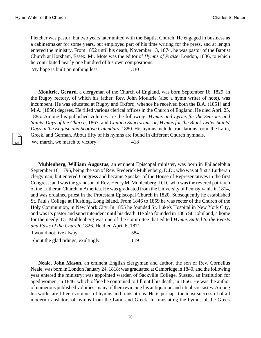Fletcher was pastor, but two years later united with the Baptist Church. He engaged in business as a cabinetmaker for some years, but employed part of his time writing for the press, and at length entered the ministry. From 1852 until his death, November 13, 1874, he was pastor of the Baptist Church at Horsham, Essex. Mr. Mote was the editor of *Hymns of Praise*, London, 1836, to which he contributed nearly one hundred of his own compositions.

My hope is built on nothing less 330

**Moultrie, Gerard**, a clergyman of the Church of England, was born September 16, 1829, in the Rugby rectory, of which his father, Rev. John Moultrie (also a hymn writer of note), was incumbent. He was educated at Rugby and Oxford, whence he received both the B.A. (1851) and M.A. (1856) degrees. He filled various clerical offices in the Church of England. He died April 25, 1885. Among his published volumes are the following: *Hymns and Lyrics for the Seasons and Saints' Days of the Church*, 1867, and *Cantica Sanctorum; or, Hymns for the Black Letter Saints' Days in the English and Scottish Calendars*, 1880. His hymns include translations from the Latin, Greek, and German. About fifty of his hymns are found in different Church hymnals.

We march, we march to victory 418

**Muhlenberg, William Augustus**, an eminent Episcopal minister, was born in Philadelphia September 16, 1796, being the son of Rev. Frederick Muhlenberg, D.D., who was at first a Lutheran clergyman, but entered Congress and became Speaker of the House of Representatives in the first Congress; and was the grandson of Rev. Henry M. Muhlenberg, D.D., who was the revered patriarch of the Lutheran Church in America. He was graduated from the University of Pennsylvania in 1814, and was ordained priest in the Protestant Episcopal Church in 1820. Subsequently he established St. Paul's College at Flushing, Long Island. From 1846 to 1859 he was recter of the Church of the Holy Communion, in New York City. In 1855 he founded St. Luke's Hospital in New York City, and was its pastor and superintendent until his death. He also founded in 1865 St. Johnland, a home for the needy. Dr. Muhlenberg was one of the committee that edited *Hymns Suited to the Feasts and Fasts of the Church*, 1826. He died April 6, 1871.

| I would not live alway             | 584 |
|------------------------------------|-----|
| Shout the glad tidings, exultingly | 119 |

**Neale, John Mason**, an eminent English clergyman and author, the son of Rev. Cornelius Neale, was born in London January 24, 1818; was graduated at Cambridge in 1840, and the following year entered the ministry; was appointed warden of Sackville College, Sussex, an institution for aged women, in 1846, which office he continued to fill until his death, in 1866. He was the author of numerous published volumes, many of them evincing his antiquarian and ritualistic tastes. Among his works are fifteen volumes of hymns and translations. He is perhaps the most successful of all modern translators of hymns from the Latin and Greek. In translating the hymns of the Greek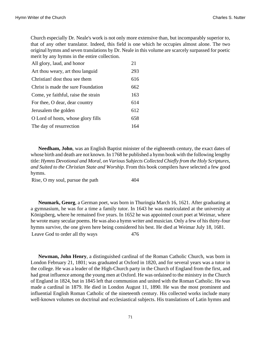Church especially Dr. Neale's work is not only more extensive than, but incomparably superior to, that of any other translator. Indeed, this field is one which he occupies almost alone. The two original hymns and seven translations by Dr. Neale in this volume are scarcely surpassed for poetic merit by any hymns in the entire collection.

| All glory, laud, and honor          | 21  |
|-------------------------------------|-----|
| Art thou weary, art thou languid    | 293 |
| Christian! dost thou see them       | 616 |
| Christ is made the sure Foundation  | 662 |
| Come, ye faithful, raise the strain | 163 |
| For thee, O dear, dear country      | 614 |
| Jerusalem the golden                | 612 |
| O Lord of hosts, whose glory fills  | 658 |
| The day of resurrection             | 164 |

**Needham, John**, was an English Baptist minister of the eighteenth century, the exact dates of whose birth and death are not known. In 1768 he published a hymn book with the following lengthy title: *Hymns Devotional and Moral, on Various Subjects Collected Chiefly from the Holy Scriptures, and Suited to the Christian State and Worship*. From this book compilers have selected a few good hymns.

Rise, O my soul, pursue the path 404

**Neumark, Georg**, a German poet, was born in Thuringia March 16, 1621. After graduating at a gymnasium, he was for a time a family tutor. In 1643 he was matriculated at the university at Königsberg, where he remained five years. In 1652 he was appointed court poet at Weimar, where he wrote many secular poems. He was also a hymn writer and musician. Only a few of his thirty-four hymns survive, the one given here being considered his best. He died at Weimar July 18, 1681. Leave God to order all thy ways 476

**Newman, John Henry**, a distinguished cardinal of the Roman Catholic Church, was born in London February 21, 1801; was graduated at Oxford in 1820, and for several years was a tutor in the college. He was a leader of the High-Church party in the Church of England from the first, and had great influence among the young men at Oxford. He was ordained to the ministry in the Church of England in 1824, but in 1845 left that communion and united with the Roman Catholic. He was made a cardinal in 1879. He died in London August 11, 1890. He was the most prominent and influential English Roman Catholic of the nineteenth century. His collected works include many well-known volumes on doctrinal and ecclesiastical subjects. His translations of Latin hymns and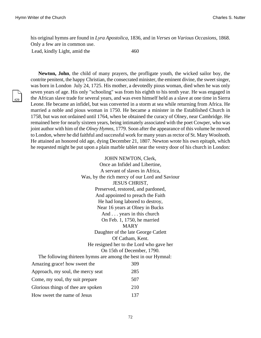his original hymns are found in *Lyra Apostolica*, 1836, and in *Verses on Various Occasions*, 1868. Only a few are in common use.

Lead, kindly Light, amid the 460

**Newton, John**, the child of many prayers, the profligate youth, the wicked sailor boy, the contrite penitent, the happy Christian, the consecrated minister, the eminent divine, the sweet singer, was born in London July 24, 1725. His mother, a devotedly pious woman, died when he was only seven years of age. His only "schooling" was from his eighth to his tenth year. He was engaged in the African slave trade for several years, and was even himself held as a slave at one time in Sierra Leone. He became an infidel, but was converted in a storm at sea while returning from Africa. He married a noble and pious woman in 1750. He became a minister in the Established Church in 1758, but was not ordained until 1764, when be obtained the curacy of Olney, near Cambridge. He remained here for nearly sixteen years, being intimately associated with the poet Cowper, who was joint author with him of the *[Olney Hymns](http://www.ccel.org/ccel/newton/olneyhymns.html)*, 1779. Soon after the appearance of this volume he moved to London, where he did faithful and successful work for many years as rector of St. Mary Woolnoth. He attained an honored old age, dying December 21, 1807. Newton wrote his own epitaph, which he requested might be put upon a plain marble tablet near the vestry door of his church in London:

JOHN NEWTON, Clerk, Once an Infidel and Libertine, A servant of slaves in Africa, Was, by the rich mercy of our Lord and Saviour JESUS CHRIST, Preserved, restored, and pardoned, And appointed to preach the Faith He had long labored to destroy, Near 16 years at Olney in Bucks And . . . years in this church On Feb. 1, 1750, he married MARY Daughter of the late George Catlett Of Catham, Kent. He resigned her to the Lord who gave her On 15th of December, 1790. The following thirteen hymns are among the best in our Hymnal: Amazing grace! how sweet the 309

| Attrazing grace: now sweet the     | . $\cdots$ |
|------------------------------------|------------|
| Approach, my soul, the mercy seat  | 285        |
| Come, my soul, thy suit prepare    | 507        |
| Glorious things of thee are spoken | 210        |
| How sweet the name of Jesus        | 137        |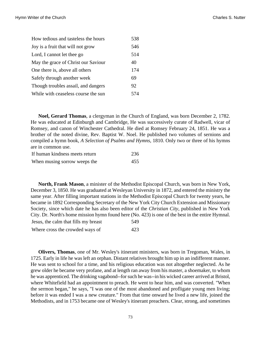| How tedious and tasteless the hours | 538 |
|-------------------------------------|-----|
| Joy is a fruit that will not grow   | 546 |
| Lord, I cannot let thee go          | 514 |
| May the grace of Christ our Saviour | 40  |
| One there is, above all others      | 174 |
| Safely through another week         | 69  |
| Though troubles assail, and dangers | 92  |
| While with ceaseless course the sun |     |

**Noel, Gerard Thomas**, a clergyman in the Church of England, was born December 2, 1782. He was educated at Edinburgh and Cambridge, He was successively curate of Radwell, vicar of Romsey, and canon of Winchester Cathedral. He died at Romsey February 24, 1851. He was a brother of the noted divine, Rev. Baptist W. Noel. He published two volumes of sernions and compiled a hymn book, *A Selection of Psalms and Hymns*, 1810. Only two or three of his hymns are in common use.

| If human kindness meets return | 236 |
|--------------------------------|-----|
| When musing sorrow weeps the   | 455 |

**North, Frank Mason**, a minister of the Methodist Episcopal Church, was born in New York, December 3, 1850. He was graduated at Wesleyan University in 1872, and entered the ministry the same year. After filling important stations in the Methodist Episcopal Church for twenty years, he became in 1892 Corresponding Secretary of the New York City Church Extension and Missionary Society, since which date he has also been editor of the *Christian City*, published in New York City. Dr. North's home mission hymn found here (No. 423) is one of the best in the entire Hymnal. Jesus, the calm that fills my breast 549 Where cross the crowded ways of 423

**Olivers, Thomas**, one of [Mr. Wesley's](#page-115-0) itinerant ministers, was born in Tregoman, Wales, in 1725. Early in life he was left an orphan. Distant relatives brought him up in an indifferent manner. He was sent to school for a time, and his religious education was not altogether neglected. As he grew older he became very profane, and at length ran away from his master, a shoemaker, to whom he was apprenticed. The drinking vagabond--for such he was--in his wicked career arrived at Bristol, where Whitefield had an appointment to preach. He went to hear him, and was converted. "When the sermon began," he says, "I was one of the most abandoned and profligate young men living; before it was ended I was a new creature." From that time onward he lived a new life, joined the Methodists, and in 1753 became one of Wesley's itinerant preachers. Clear, strong, and sometimes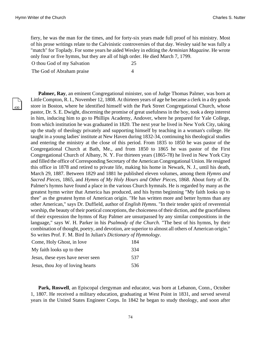fiery, he was the man for the times, and for forty-six years made full proof of his ministry. Most of his prose writings relate to the Calvinistic controversies of that day. Wesley said he was fully a "match" for Toplady. For some years he aided Wesley in editing the *Arminian Magazine*. He wrote only four or five hymns, but they are all of high order. He died March 7, 1799.

O thou God of my Salvation 25

The God of Abraham praise 4

430

**Palmer, Ray**, an eminent Congregational minister, son of Judge Thomas Palmer, was born at Little Compton, R. I., November 12, 1808. At thirteen years of age he became a clerk in a dry goods store in Boston, where he identified himself with the Park Street Congregational Church, whose pastor, Dr. S. E. Dwight, discerning the promise of great usefulness in the boy, took a deep interest in him, inducing him to go to Phillips Academy, Andover, where he prepared for Yale College, from which institution he was graduated in 1820. The next year he lived in New York City, taking up the study of theology privately and supporting himself by teaching in a woman's college. He taught in a young ladies' institute at New Haven during 1832-34, continuing his theological studies and entering the ministry at the close of this period. From 1835 to 1850 he was pastor of the Congregational Church at Bath, Me., and from 1850 to 1865 he was pastor of the First Congregational Church of Albany, N. Y. For thirteen years (1865-78) he lived in New York City and filled the office of Corresponding Secretary of the American Congregational Union. He resigned this office in 1878 and retired to private life, making his home in Newark, N. J., until his death, March 29, 1887. Between 1829 and 1881 he published eleven volumes, among them *Hymns and Sacred Pieces*, 1865, and *Hymns of My Holy Hours and Other Pieces*, 1868. About forty of Dr. Palmer's hymns have found a place in the various Church hymnals. He is regarded by many as the greatest hymn writer that America has produced, and his hymn beginning "My faith looks up to thee" as the greatest hymn of American origin. "He has written more and better hymns than any other American," says Dr. Duffield, author of *English Hymns*. "In their tender spirit of reverential worship, the beauty of their poetical conceptions, the choiceness of their diction, and the gracefulness of their expression the hymns of Ray Palmer are unsurpassed by any similar compositions in the language," says W. H. Parker in his *Psalmody of the Church.* "The best of his hymns, by their combination of thought, poetry, and devotion, are superior to almost all others of American origin." So writes Prof. F. M. Bird In Julian's *Dictionary of Hymnology*.

| Come, Holy Ghost, in love         | 184 |
|-----------------------------------|-----|
| My faith looks up to thee.        | 334 |
| Jesus, these eyes have never seen | 537 |
| Jesus, thou Joy of loving hearts  | 536 |

**Park, Roswell**, an Episcopal clergyman and educator, was born at Lebanon, Conn., October 1, 1807. He received a military education, graduating at West Point in 1831, and served several years in the United States Engineer Corps. In 1842 he began to study theology, and soon after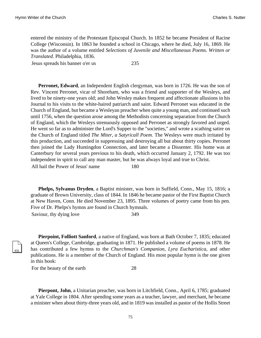entered the ministry of the Protestant Episcopal Church. In 1852 he became President of Racine College (Wisconsin). In 1863 he founded a school in Chicago, where he died, July 16, 1869. He was the author of a volume entitled *Selections of Juvenile and Miscellaneous Poems. Written or Translated*. Philadelphia, 1836.

Jesus spreads his banner o'er us 235

**Perronet, Edward**, an Independent English clergyman, was born in 1726. He was the son of Rev. Vincent Perronet, vicar of Shoreham, who was a friend and supporter of the Wesleys, and lived to be ninety-one years old; and [John Wesley](#page-115-0) makes frequent and affectionate allusions in his Journal to his visits to the white-haired patriarch and saint. Edward Perronet was educated in the Church of England, but became a Wesleyan preacher when quite a young man, and continued such until 1756, when the question arose among the Methodists concerning separation from the Church of England, which the Wesleys strenuously opposed and Perronet as strongly favored and urged. He went so far as to administer the Lord's Supper to the "societies," and wrote a scathing satire on the Church of England titled *The Miter, a Satyricall Poem*. The Wesleys were much irritated by this production, and succeeded in suppressing and destroying all but about thirty copies. Perronet then joined the Lady Huntingdon Connection, and later became a Dissenter. His home was at Canterbury for several years previous to his death, which occurred January 2, 1792. He was too independent in spirit to call any man master, but he was always loyal and true to Christ.

All hail the Power of Jesus' name 180

**Phelps, Sylvanus Dryden**, a Baptist minister, was born in Suffield, Conn., May 15, 1816; a graduate of Brown University, class of 1844. In 1846 he became pastor of the First Baptist Church at New Haven, Conn. He died November 23, 1895. Three volumes of poetry came from his pen. Five of Dr. Phelps's hymns are found in Church hymnals. Saviour, thy dying love 349

**Pierpoint, Folliott Sanford**, a native of England, was born at Bath October 7, 1835; educated at Queen's College, Cambridge, graduating in 1871. He published a volume of poems in 1878. He has contributed a few hymns to the *Churchman's Companion*, *Lyra Eucharistica*, and other publications. He is a member of the Church of England. His most popular hymn is the one given in this book:

For the beauty of the earth 28

431

**Pierpont, John**, a Unitarian preacher, was born in Litchfield, Conn., April 6, 1785; graduated at Yale College in 1804. After spending some years as a teacher, lawyer, and merchant, he became a minister when about thirty-three years old, and in 1819 was installed as pastor of the Hollis Street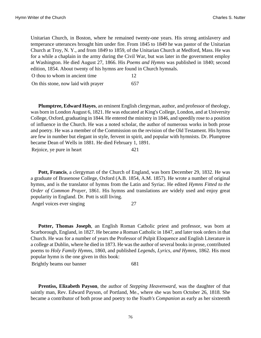Unitarian Church, in Boston, where he remained twenty-one years. His strong antislavery and temperance utterances brought him under fire. From 1845 to 1849 he was pastor of the Unitarian Church at Troy, N. Y., and from 1849 to 1859, of the Unitarian Church at Medford, Mass. He was for a while a chaplain in the army during the Civil War, but was later in the government employ at Washington. He died August 27, 1866. His *Poems and Hymns* was published in 1840; second edition, 1854. About twenty of his hymns are found in Church hymnals.

| O thou to whom in ancient time      |     |
|-------------------------------------|-----|
| On this stone, now laid with prayer | 657 |

**Plumptree, Edward Hayes**, an eminent English clergyman, author, and professor of theology, was born in London August 6, 1821. He was educated at King's College, London, and at University College, Oxford, graduating in 1844. He entered the ministry in 1846, and speedily rose to a position of influence in the Church. He was a noted scholar, the author of numerous works in both prose and poetry. He was a member of the Commission on the revision of the Old Testament. His hymns are few in number but elegant in style, fervent in spirit, and popular with hymnists. Dr. Plumptree became Dean of Wells in 1881. He died February 1, 1891.

Rejoice, ye pure in heart 421

**Pott, Francis**, a clergyman of the Church of England, was born December 29, 1832. He was a graduate of Brasenose College, Oxford (A.B. 1854, A.M. 1857). He wrote a number of original hymns, and is the translator of hymns from the Latin and Syriac. He edited *Hymns Fitted to the Order of Common Prayer*, 1861. His hymns and translations are widely used and enjoy great popularity in England. Dr. Pott is still living.

Angel voices ever singing 27

**Potter, Thomas Joseph**, an English Roman Catholic priest and professor, was born at Scarborough, England, in 1827. He became a Roman Catholic in 1847, and later took orders in that Church. He was for a number of years the Professor of Pulpit Eloquence and English Literature in a college at Dublin, where he died in 1873. He was the author of several books in prose, contributed poems to *Holy Family Hymns*, 1860, and published *Legends, Lyrics, and Hymns*, 1862. His most popular hymn is the one given in this book:

Brightly beams our banner 681

**Prentiss, Elizabeth Payson**, the author of *Stepping Heavenward*, was the daughter of that saintly man, Rev. Edward Payson, of Portland, Me., where she was born October 26, 1818. She became a contributor of both prose and poetry to the *Youth's Companion* as early as her sixteenth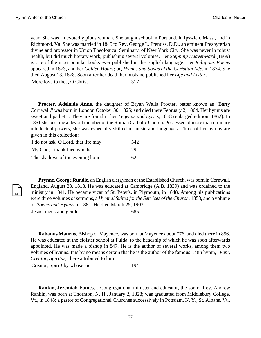year. She was a devotedly pious woman. She taught school in Portland, in Ipswich, Mass., and in Richmond, Va. She was married in 1845 to Rev. George L. Prentiss, D.D., an eminent Presbyterian divine and professor in Union Theological Seminary, of New York City. She was never in robust health, but did much literary work, publishing several volumes. Her *Stepping Heavenward* (1869) is one of the most popular books ever published in the English language. Her *Religious Poems* appeared in 1873, and her *Golden Hours; or, Hymns and Songs of the Christian Life*, in 1874. She died August 13, 1878. Soon after her death her husband published her *Life and Letters*. More love to thee, O Christ 317

**Procter, Adelaide Anne**, the daughter of Bryan Walla Procter, better known as "Barry Cornwall," was born in London October 30, 1825; and died there February 2, 1864. Her hymns are sweet and pathetic. They are found in her *Legends and Lyrics*, 1858 (enlarged edition, 1862). In 1851 she became a devout member of the Roman Catholic Church. Possessed of more than ordinary intellectual powers, she was especially skilled in music and languages. Three of her hymns are given in this collection:

| I do not ask, O Lord, that life may | 542 |
|-------------------------------------|-----|
| My God, I thank thee who hast       | 29  |
| The shadows of the evening hours    | 62. |

**Prynne, George Rundle**, an English clergyman of the Established Church, was born in Cornwall, England, August 23, 1818. He was educated at Cambridge (A.B. 1839) and was ordained to the ministry in 1841. He became vicar of St. Peter's, in Plymouth, in 1848. Among his publications were three volumes of sermons, a *Hymnal Suited for the Services of the Church*, 1858, and a volume of *Poems and Hymns* in 1881. He died March 25, 1903.

Jesus, meek and gentle 685

432

**Rabanus Maurus**, Bishop of Mayence, was born at Mayence about 776, and died there in 856. He was educated at the cloister school at Fulda, to the headship of which he was soon afterwards appointed. He was made a bishop in 847. He is the author of several works, among them two volumes of hymns. It is by no means certain that he is the author of the famous Latin hymn, "*Veni,*

*Creator, Spiritus*," here attributed to him.

Creator, Spirit! by whose aid 194

**Rankin, Jeremiah Eames**, a Congregational minister and educator, the son of Rev. Andrew Rankin, was born at Thornton, N. H., January 2, 1828; was graduated from Middlebury College, Vt., in 1848; a pastor of Congregational Churches successively in Potsdam, N. Y., St. Albans, Vt.,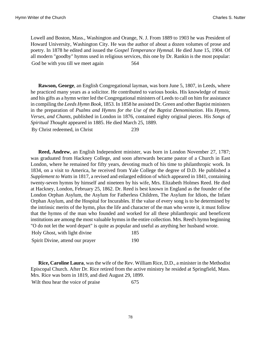Lowell and Boston, Mass., Washington and Orange, N. J. From 1889 to 1903 he was President of Howard University, Washington City. He was the author of about a dozen volumes of prose and poetry. In 1878 he edited and issued the *Gospel Temperance Hymnal*. He died June 15, 1904. Of all modern "goodby" hymns used in religious services, this one by Dr. Rankin is the most popular: God be with you till we meet again 564

**Rawson, George**, an English Congregational layman, was born June 5, 1807, in Leeds, where he practiced many years as a solicitor. He contributed to various books. His knowledge of music and his gifts as a hymn writer led the Congregational ministers of Leeds to call on him for assistance in compiling the *Leeds Hymn Book*, 1853. In 1858 he assisted Dr. Green and other Baptist ministers in the preparation of *Psalms and Hymns for the Use of the Baptist Denomination*. His *Hymns, Verses, and Chants*, published in London in 1876, contained eighty original pieces. His *Songs of Spiritual Thought* appeared in 1885. He died March 25, 1889.

By Christ redeemed, in Christ 239

**Reed, Andrew**, an English Independent minister, was born in London November 27, 1787; was graduated from Hackney College, and soon afterwards became pastor of a Church in East London, where he remained for fifty years, devoting much of his time to philanthropic work. In 1834, on a visit to America, he received from Yale College the degree of D.D. He published a *Supplement to Watts* in 1817, a revised and enlarged edition of which appeared in 1841, containing twenty-seven hymns by himself and nineteen by his wife, Mrs. Elizabeth Holmes Reed. He died at Hackney, London, February 25, 1862. Dr. Reed is best known in England as the founder of the London Orphan Asylum, the Asylum for Fatherless Children, The Asylum for Idiots, the Infant Orphan Asylum, and the Hospital for Incurables. If the value of every song is to be determined by the intrinsic merits of the hymn, plus the life and character of the man who wrote it, it must follow that the hymns of the man who founded and worked for all these philanthropic and beneficent institutions are among the most valuable hymns in the entire collection. Mrs. Reed's hymn beginning "O do not let the word depart" is quite as popular and useful as anything her husband wrote. Holy Ghost, with light divine 185

| Spirit Divine, attend our prayer | 190 |
|----------------------------------|-----|

**Rice, Caroline Laura**, was the wife of the Rev. William Rice, D.D., a minister in the Methodist Episcopal Church. After Dr. Rice retired from the active ministry he resided at Springfield, Mass. Mrs. Rice was born in 1819, and died August 29, 1899.

Wilt thou hear the voice of praise 675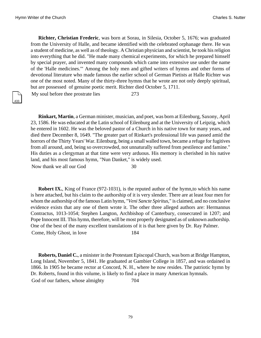**Richter, Christian Frederic**, was born at Sorau, in Silesia, October 5, 1676; was graduated from the University of Halle, and became identified with the celebrated orphanage there. He was a student of medicine, as well as of theology. A Christian physician and scientist, he took his religion into everything that he did. "He made many chemical experiments, for which he prepared himself by special prayer, and invented many compounds which came into extensive use under the name of the 'Halle medicines.'" Among the holy men and gifted writers of hymns and other forms of devotional literature who made famous the earlier school of German Pietists at Halle Richter was one of the most noted. Many of the thirty-three hymns that he wrote are not only deeply spiritual, but are possessed of genuine poetic merit. Richter died October 5, 1711.

My soul before thee prostrate lies 273

**Rinkart, Martin**, a German minister, musician, and poet, was born at Eilenburg, Saxony, April 23, 1586. He was educated at the Latin school of Eilenburg and at the University of Leipzig, which he entered in 1602. He was the beloved pastor of a Church in his native town for many years, and died there December 8, 1649. "The greater part of Rinkart's professional life was passed amid the horrors of the Thirty Years' War. Eilenburg, being a small walled town, became a refuge for fugitives from all around, and, being so overcrowded, not unnaturally suffered from pestilence and famine." His duties as a clergyman at that time were very arduous. His memory is cherished in his native land, and his most famous hymn, "Nun Danket," is widely used.

Now thank we all our God 30

**Robert IX.**, King of France (972-1031), is the reputed author of the hymn, to which his name is here attached, but his claim to the authorship of it is very slender. There are at least four men for whom the authorship of the famous Latin hymn, "*Veni Sancte Spiritus*," is claimed, and no conclusive evidence exists that any one of them wrote it. The other three alleged authors are: Hermannus Contractus, 1013-1054; Stephen Langton, Archbishop of Canterbury, consecrated in 1207; and Pope Innocent III. This hymn, therefore, will be most properly designated as of unknown authorship. One of the best of the many excellent translations of it is that here given by Dr. Ray Palmer. Come, Holy Ghost, in love 184

**Roberts, Daniel C.**, a minister in the Protestant Episcopal Church, was born at Bridge Hampton, Long Island, November 5, 1841. He graduated at Gambier College in 1857, and was ordained in 1866. In 1905 he became rector at Concord, N. H., where he now resides. The patriotic hymn by Dr. Roberts, found in this volume, is likely to find a place in many American hymnals. God of our fathers, whose almighty 704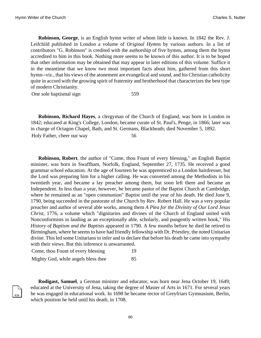**Robinson, George**, is an English hymn writer of whom little is known. In 1842 the Rev. J. Leifchild published in London a volume of *Original Hymns* by various authors. In a list of contributors "G. Robinson" is credited with the authorship of five hymns, among them the hymn accredited to him in this book. Nothing more seems to be known of this author. It is to be hoped that other information may be obtained that may appear in later editions of this volume. Suffice it in the meantime that we know two most important facts about him, gathered from this short hymn--viz., that his views of the atonement are evangelical and sound, and his Christian catholicity quite in accord with the growing spirit of fraternity and brotherhood that characterizes the best type of modern Christianity.

One sole baptismal sign 559

**Robinson, Richard Hayes**, a clergyman of the Church of England, was born in London in 1842; educated at King's College, London; became curate of St. Paul's, Penge, in 1866; later was in charge of Octagon Chapel, Bath, and St. Germans, Blackheath; died November 5, 1892. Holy Father, cheer our way 56

**Robinson, Robert**, the author of "Come, thou Fount of every blessing," an English Baptist minister, was born in Swaffham, Norfolk, England, September 27, 1735. He received a good grammar school education. At the age of fourteen he was apprenticed to a London hairdresser, but the Lord was preparing him for a higher calling. He was converted among the Methodists in his twentieth year, and became a lay preacher among them, but soon left them and became an Independent. In less than a year, however, he became pastor of the Baptist Church at Cambridge, where he remained as an "open communion" Baptist until the year of his death. He died June 9, 1790, being succeeded in the pastorate of the Church by Rev. Robert Hall. He was a very popular preacher and author of several able works, among them *A Plea for the Divinity of Our Lord Jesus Christ*, 1776, a volume which "dignitaries and divines of the Church of England united with Nonconformists in lauding as an exceptionally able, scholarly, and pungently written book," His *History of Baptism and the Baptists* appeared in 1790. A few months before he died he retired to Birmingham, where he seems to have had friendly fellowship with Dr. Priestley, the noted Unitarian divine. This led some Unitarians to infer and to declare that before his death he came into sympathy with their views. But this inference is unwarranted.

| Come, thou Fount of every blessing  | 19. |
|-------------------------------------|-----|
| Mighty God, while angels bless thee | 85  |

434

**Rodigast, Samuel**, a German minister and educator, was born near Jena October 19, 1649; educated at the University of Jena, taking the degree of Master of Arts in 1671. For several years he was engaged in educational work. In 1698 he became rector of Greyfriars Gymnasium, Berlin, which position he held until his death, in 1708.

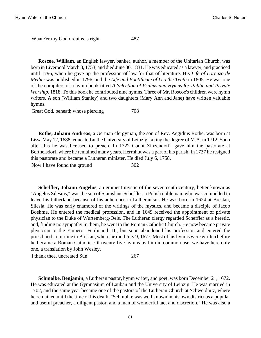Whate'er my God ordains is right 487

**Roscoe, William**, an English lawyer, banker, author, a member of the Unitarian Church, was born in Liverpool March 8, 1753; and died June 30, 1831. He was educated as a lawyer, and practiced until 1796, when he gave up the profession of law for that of literature. His *Life of Lorenzo de Medici* was published in 1796, and the *Life and Pontificate of Leo the Tenth* in 1805. He was one of the compilers of a hymn book titled *A Selection of Psalms and Hymns for Public and Private Worship*, 1818. To this book he contributed nine hymns. Three of Mr. Roscoe's children were hymn writers. A son (William Stanley) and two daughters (Mary Ann and Jane) have written valuable hymns.

Great God, beneath whose piercing 708

**Rothe, Johann Andreas**, a German clergyman, the son of Rev. Aegidius Rothe, was born at Lissa May 12, 1688; educated at the University of Leipzig, taking the degree of M.A. in 1712. Soon after this he was licensed to preach. In 1722 [Count Zinzendorf](#page-121-0) gave him the pastorate at Berthelsdorf, where he remained many years. Herrnhut was a part of his parish. In 1737 he resigned this pastorate and became a Lutheran minister. He died July 6, 1758.

Now I have found the ground 302

**Scheffler, Johann Angelus**, an eminent mystic of the seventeenth century, better known as "Angelus Silesius," was the son of Stanislaus Scheffler, a Polish nobleman, who was compelled to leave his fatherland because of his adherence to Lutheranism. He was born in 1624 at Breslau, Silesia. He was early enamored of the writings of the mystics, and became a disciple of Jacob Boehme. He entered the medical profession, and in 1649 received the appointment of private physician to the Duke of Wurtemberg-Oels. The Lutheran clergy regarded Scheffler as a heretic, and, finding no sympathy in them, he went to the Roman Catholic Church. He now became private physician to the Emperor Ferdinand III., but soon abandoned his profession and entered the priesthood, returning to Breslau, where he died July 9, 1677. Most of his hymns were written before he became a Roman Catholic. Of twenty-five hymns by him in common use, we have here only one, a translation by [John Wesley.](#page-115-0)

I thank thee, uncreated Sun 267

**Schmolke, Benjamin**, a Lutheran pastor, hymn writer, and poet, was born December 21, 1672. He was educated at the Gymnasium of Lauban and the University of Leipzig. He was married in 1702, and the same year became one of the pastors of the Lutheran Church at Schweidnitz, where he remained until the time of his death. "Schmolke was well known in his own district as a popular and useful preacher, a diligent pastor, and a man of wonderful tact and discretion." He was also a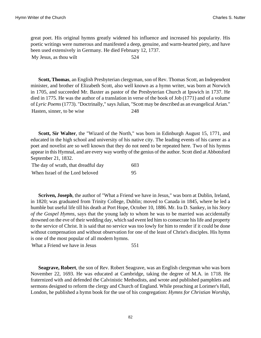great poet. His original hymns greatly widened his influence and increased his popularity. His poetic writings were numerous and manifested a deep, genuine, and warm-hearted piety, and have been used extensively in Germany. He died February 12, 1737. My Jesus, as thou wilt 524

**Scott, Thomas**, an English Presbyterian clergyman, son of Rev. Thomas Scott, an Independent minister, and brother of Elizabeth Scott, also well known as a hymn writer, was born at Norwich in 1705, and succeeded Mr. Baxter as pastor of the Presbyterian Church at Ipswich in 1737. He died in 1775. He was the author of a translation in verse of the book of Job (1771) and of a volume of *Lyric Poems* (1773). "Doctrinally," says Julian, "Scott may be described as an evangelical Arian." Hasten, sinner, to be wise 248

<span id="page-93-0"></span>**Scott, Sir Walter**, the "Wizard of the North," was born in Edinburgh August 15, 1771, and educated in the high school and university of his native city. The leading events of his career as a poet and novelist are so well known that they do not need to be repeated here. Two of his hymns appear in this Hymnal, and are every way worthy of the genius of the author. Scott died at Abbotsford September 21, 1832.

| The day of wrath, that dreadful day | 603 |
|-------------------------------------|-----|
| When Israel of the Lord beloved     | -95 |

**Scriven, Joseph**, the author of "What a Friend we have in Jesus," was born at Dublin, Ireland, in 1820; was graduated from Trinity College, Dublin; moved to Canada in 1845, where he led a humble but useful life till his death at Port Hope, October 10, 1886. Mr. Ira D. Sankey, in his *Story of the Gospel Hymns*, says that the young lady to whom he was to be married was accidentally drowned on the eve of their wedding day, which sad event led him to consecrate his life and property to the service of Christ. It is said that no service was too lowly for him to render if it could be done without compensation and without observation for one of the least of Christ's disciples. His hymn is one of the most popular of all modern hymns.

What a Friend we have in Jesus 551

**Seagrave, Robert**, the son of Rev. Robert Seagrave, was an English clergyman who was born November 22, 1693. He was educated at Cambridge, taking the degree of M.A. in 1718. He fraternized with and defended the Calvinistic Methodists, and wrote and published pamphlets and sermons designed to reform the clergy and Church of England. While preaching at Lorimer's Hall, London, he published a hymn book for the use of his congregation: *Hymns for Christian Worship*,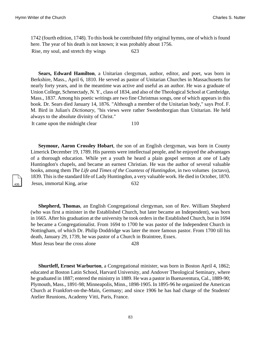1742 (fourth edition, 1748). To this book he contributed fifty original hymns, one of which is found here. The year of his death is not known; it was probably about 1756.

Rise, my soul, and stretch thy wings 623

**Sears, Edward Hamilton**, a Unitarian clergyman, author, editor, and poet, was born in Berkshire, Mass., April 6, 1810. He served as pastor of Unitarian Churches in Massachusetts for nearly forty years, and in the meantime was active and useful as an author. He was a graduate of Union College, Schenectady, N. Y., class of 1834, and also of the Theological School at Cambridge, Mass., 1837. Among his poetic writings are two fine Christmas songs, one of which appears in this book. Dr. Sears died January 14, 1876. "Although a member of the Unitarian body," says Prof. F. M. Bird in Julian's *Dictionary*, "his views were rather Swedenborgian than Unitarian. He held always to the absolute divinity of Christ."

It came upon the midnight clear 110

**Seymour, Aaron Crossley Hobart**, the son of an English clergyman, was born in County Limerick December 19, 1789. His parents were intellectual people, and he enjoyed the advantages of a thorough education. While yet a youth he heard a plain gospel sermon at one of Lady Huntingdon's chapels, and became an earnest Christian. He was the author of several valuable books, among them *The Life and Times of the Countess of Huntingdon*, in two volumes (octavo), 1839. This is the standard life of Lady Huntingdon, a very valuable work. He died in October, 1870. Jesus, immortal King, arise 632

**Shepherd, Thomas**, an English Congregational clergyman, son of Rev. William Shepherd (who was first a minister in the Established Church, but later became an Independent), was born in 1665. After his graduation at the university he took orders in the Established Church, but in 1694 he became a Congregationalist. From 1694 to 1700 he was pastor of the Independent Church in Nottingham, of which [Dr. Philip Doddridge](#page-42-0) was later the more famous pastor. From 1700 till his death, January 29, 1739, he was pastor of a Church in Braintree, Essex. Must Jesus bear the cross alone 428

**Shurtleff, Ernest Warburton**, a Congregational minister, was born in Boston April 4, 1862; educated at Boston Latin School, Harvard University, and Andover Theological Seminary, where he graduated in 1887; entered the ministry in 1889. He was a pastor in Buenaventura, Cal., 1889-90; Plymouth, Mass., 1891-98; Minneapolis, Minn., 1898-1905. In 1895-96 he organized the American Church at Frankfort-on-the-Main, Germany; and since 1906 he has had charge of the Students' Atelier Reunions, Academy Vitti, Paris, France.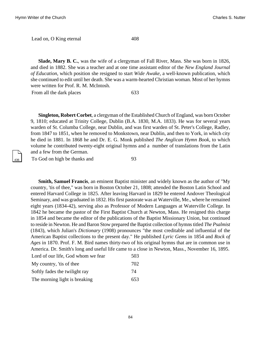Lead on, O King eternal 408

**Slade, Mary B. C.**, was the wife of a clergyman of Fall River, Mass. She was born in 1826, and died in 1882. She was a teacher and at one time assistant editor of the *New England Journal of Education*, which position she resigned to start *Wide Awake*, a well-known publication, which she continued to edit until her death. She was a warm-hearted Christian woman. Most of her hymns were written for Prof. R. M. McIntosh.

From all the dark places 633

**Singleton, Robert Corbet**, a clergyman of the Established Church of England, was born October 9, 1810; educated at Trinity College, Dublin (B.A. 1830, M.A. 1833). He was for several years warden of St. Columba College, near Dublin, and was first warden of St. Peter's College, Radley, from 1847 to 1851, when he removed to Monkstown, near Dublin, and then to York, in which city he died in 1881. In 1868 he and Dr. E. G. Monk published *The Anglican Hymn Book*, to which volume he contributed twenty-eight original hymns and a number of translations from the Latin and a few from the German.

To God on high be thanks and 93

**Smith, Samuel Francis**, an eminent Baptist minister and widely known as the author of "My country, 'tis of thee," was born in Boston October 21, 1808; attended the Boston Latin School and entered Harvard College in 1825. After leaving Harvard in 1829 he entered Andover Theological Seminary, and was graduated in 1832. His first pastorate was at Waterville, Me., where he remained eight years (1834-42), serving also as Professor of Modern Languages at Waterville College. In 1842 he became the pastor of the First Baptist Church at Newton, Mass. He resigned this charge in 1854 and became the editor of the publications of the Baptist Missionary Union, but continued to reside in Newton. He and Baron Stow prepared the Baptist collection of hymns titled *The Psalmist* (1843), which Julian's *Dictionary* (1908) pronounces "the most creditable and influential of the American Baptist collections to the present day." He published *Lyric Gems* in 1854 and *Rock of Ages* in 1870. Prof. F. M. Bird names thirty-two of his original hymns that are in common use in America. Dr. Smith's long and useful life came to a close in Newton, Mass., November 16, 1895. Lord of our life,  $C_{\Omega}$  whom we fear  $503$ 

| Lord of our file, God whom we lear | .JU 0 |
|------------------------------------|-------|
| My country, 'tis of thee           | 702   |
| Softly fades the twilight ray      | 74    |
| The morning light is breaking      | 653   |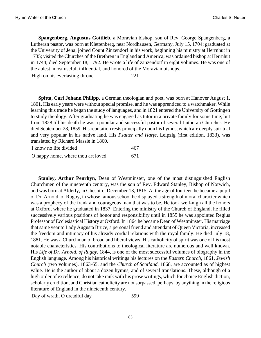**Spangenberg, Augustus Gottlieb**, a Moravian bishop, son of Rev. George Spangenberg, a Lutheran pastor, was born at Klettenberg, near Nordhausen, Germany, July 15, 1704; graduated at the University of Jena; joined [Count Zinzendorf](#page-121-0) in his work, beginning his ministry at Herrnhut in 1735; visited the Churches of the Brethren in England and America; was ordained bishop at Herrnhut in 1744; died September 18, 1792. He wrote a life of Zinzendorf in eight volumes. He was one of the ablest, most useful, influential, and honored of the Moravian bishops.

High on his everlasting throne 221

<span id="page-96-0"></span>**Spitta, Carl Johann Philipp**, a German theologian and poet, was born at Hanover August 1, 1801. His early years were without special promise, and he was apprenticed to a watchmaker. While learning this trade he began the study of languages, and in 1821 entered the University of Gottingen to study theology. After graduating he was engaged as tutor in a private family for some time; but from 1828 till his death he was a popular and successful pastor of several Lutheran Churches. He died September 28, 1859. His reputation rests principally upon his hymns, which are deeply spiritual and very popular in his native land. His *Psalter and Harfe*, Leipzig (first edition, 1833), was translated by Richard Massie in 1860.

| I know no life divided             | 467 |
|------------------------------------|-----|
| O happy home, where thou art loved | 671 |

**Stanley, Arthur Penrhyn**, Dean of Westminster, one of the most distinguished English Churchmen of the nineteenth century, was the son of Rev. Edward Stanley, Bishop of Norwich, and was born at Alderly, in Cheshire, December 13, 1815. At the age of fourteen he became a pupil of Dr. Arnold, of Rugby, in whose famous school he displayed a strength of moral character which was a prophecy of the frank and courageous man that was to be. He took well-nigh all the honors at Oxford, where he graduated in 1837. Entering the ministry of the Church of England, he filled successively various positions of honor and responsibility until in 1855 he was appointed Regius Professor of Ecclesiastical History at Oxford. In 1864 he became Dean of Westminster. His marriage that same year to Lady Augusta Bruce, a personal friend and attendant of Queen Victoria, increased the freedom and intimacy of his already cordial relations with the royal family. He died July 18, 1881. He was a Churchman of broad and liberal views. His catholicity of spirit was one of his most notable characteristics. His contributions to theological literature are numerous and well known. His *Life of Dr. Arnold, of Rugby*, 1844, is one of the most successful volumes of biography in the English language. Among his historical writings his lectures on the *Eastern Church*, 1861, *Jewish Church* (two volumes), 1863-65, and the *Church of Scotland*, 1868, are accounted as of highest value. He is the author of about a dozen hymns, and of several translations. These, although of a high order of excellence, do not take rank with his prose writings, which for choice English diction, scholarly erudition, and Christian catholicity are not surpassed, perhaps, by anything in the religious literature of England in the nineteenth century.

Day of wrath, O dreadful day 599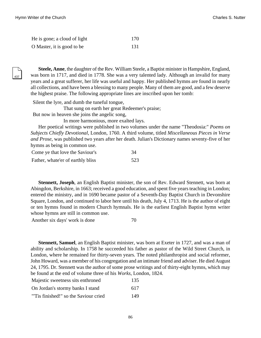| He is gone; a cloud of light | 170 |
|------------------------------|-----|
| O Master, it is good to be   | 131 |

**Steele, Anne**, the daughter of the Rev. William Steele, a Baptist minister in Hampshire, England, was born in 1717, and died in 1778. She was a very talented lady. Although an invalid for many years and a great sufferer, her life was useful and happy. Her published hymns are found in nearly all collections, and have been a blessing to many people. Many of them are good, and a few deserve the highest praise. The following appropriate lines are inscribed upon her tomb:

Silent the lyre, and dumb the tuneful tongue,

That sung on earth her great Redeemer's praise;

But now in heaven she joins the angelic song,

In more harmonious, more exalted lays.

Her poetical writings were published in two volumes under the name "Theodosia:" *Poems on Subjects Chiefly Devotional*, London, 1760. A third volume, titled *Miscellaneous Pieces in Verse and Prose*, was published two years after her death. Julian's Dictionary names seventy-five of her hymns as being in common use.

| Come ye that love the Saviour's   | 34  |
|-----------------------------------|-----|
| Father, whate'er of earthly bliss | 523 |

**Stennett, Joseph**, an English Baptist minister, the son of Rev. Edward Stennett, was born at Abingdon, Berkshire, in 1663; received a good education, and spent five years teaching in London; entered the ministry, and in 1690 became pastor of a Seventh-Day Baptist Church in Devonshire Square, London, and continued to labor here until his death, July 4, 1713. He is the author of eight or ten hymns found in modern Church hymnals. He is the earliest English Baptist hymn writer whose hymns are still in common use.

Another six days' work is done 70

**Stennett, Samuel**, an English Baptist minister, was born at Exeter in 1727, and was a man of ability and scholarship. In 1758 he succeeded his father as pastor of the Wild Street Church, in London, where he remained for thirty-seven years. The noted philanthropist and social reformer, John Howard, was a member of his congregation and an intimate friend and adviser. He died August 24, 1795. Dr. Stennett was the author of some prose writings and of thirty-eight hymns, which may be found at the end of volume three of his *Works*, London, 1824.

| Majestic sweetness sits enthroned    | 135 |
|--------------------------------------|-----|
| On Jordan's stormy banks I stand     | 617 |
| "Tis finished!" so the Saviour cried | 149 |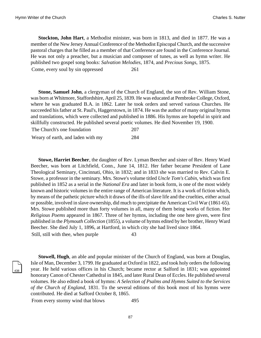**Stockton, John Hart**, a Methodist minister, was born in 1813, and died in 1877. He was a member of the New Jersey Annual Conference of the Methodist Episcopal Church, and the successive pastoral charges that he filled as a member of that Conference are found in the Conference Journal. He was not only a preacher, but a musician and composer of tunes, as well as hymn writer. He published two gospel song books: *Salvation Melodies*, 1874, and *Precious Songs*, 1875. Come, every soul by sin oppressed 261

**Stone, Samuel John**, a clergyman of the Church of England, the son of Rev. William Stone, was born at Whitmore, Staffordshire, April 25, 1839. He was educated at Pembroke College, Oxford, where he was graduated B.A. in 1862. Later he took orders and served various Churches. He succeeded his father at St. Paul's, Haggerstown, in 1874. He was the author of many original hymns and translations, which were collected and published in 1886. His hymns are hopeful in spirit and skillfully constructed. He published several poetic volumes. He died November 19, 1900.

| The Church's one foundation       | 207 |
|-----------------------------------|-----|
| Weary of earth, and laden with my | 284 |

**Stowe, Harriet Beecher**, the daughter of Rev. Lyman Beecher and sister of Rev. Henry Ward Beecher, was born at Litchfield, Conn., June 14, 1812. Her father became President of Lane Theological Seminary, Cincinnati, Ohio, in 1832; and in 1833 she was married to Rev. Calvin E. Stowe, a professor in the seminary. Mrs. Stowe's volume titled *Uncle Tom's Cabin*, which was first published in 1852 as a serial in the *National Era* and later in book form, is one of the most widely known and historic volumes in the entire range of American literature. It is a work of fiction which, by means of the pathetic picture which it draws of the ills of slave life and the cruelties, either actual or possible, involved in slave ownership, did much to precipitate the American Civil War (1861-65). Mrs. Stowe published more than forty volumes in all, many of them being works of fiction. Her *Religious Poems* appeared in 1867. Three of her hymns, including the one here given, were first published in the *Plymouth Collection* (1855), a volume of hymns edited by her brother, Henry Ward Beecher. She died July 1, 1896, at Hartford, in which city she had lived since 1864. Still, still with thee, when purple 43

438

**Stowell, Hugh**, an able and popular minister of the Church of England, was born at Douglas, Isle of Man, December 3, 1799. He graduated at Oxford in 1822, and took holy orders the following year. He held various offices in his Church; became rector at Salford in 1831; was appointed honorary Canon of Chester Cathedral in 1845, and later Rural Dean of Eccles. He published several volumes. He also edited a book of hymns: *A Selection of Psalms and Hymns Suited to the Services of the Church of England*, 1831. To the several editions of this book most of his hymns were contributed. He died at Safford October 8, 1865.

From every stormy wind that blows 495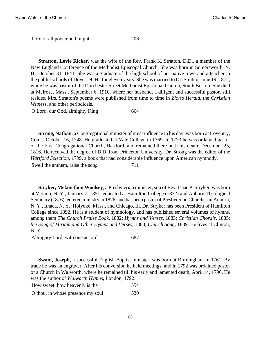Lord of all power and might 206

**Stratton, Lovie Ricker**, was the wife of the Rev. Frank K. Stratton, D.D., a member of the New England Conference of the Methodist Episcopal Church. She was born in Somersworth, N. H., October 31, 1841. She was a graduate of the high school of her native town and a teacher in the public schools of Dover, N. H., for eleven years. She was married to Dr. Stratton June 19, 1872, while he was pastor of the Dorchester Street Methodist Episcopal Church, South Boston. She died at Melrose, Mass., September 6, 1910, where her husband, a diligent and successful pastor, still resides. Mrs. Stratton's poems were published from time to time in *Zion's Herald*, the *Christian Witness*, and other periodicals.

O Lord, our God, almighty King 664

**Strong, Nathan**, a Congregational minister of great influence in his day, was born at Coventry, Conn., October 16, 1748. He graduated at Yale College in 1769. In 1773 he was ordained pastor of the First Congregational Church, Hartford, and remained there until his death, December 25, 1816. He received the degree of D.D. from Princeton University. Dr. Strong was the editor of the *Hartford Selection*, 1799, a book that had considerable influence upon American hymnody. Swell the anthem, raise the song 711

**Stryker, Melancthon Woolsey**, a Presbyterian minister, son of Rev. Isaac P. Stryker, was born at Vernon, N. Y., January 7, 1851; educated at Hamilton College (1872) and Auburn Theological Seminary (1876); entered ministry in 1876, and has been pastor of Presbyterian Churches in Auburn, N. Y., Ithaca, N. Y., Holyoke, Mass., and Chicago, Ill. Dr. Stryker has been President of Hamilton College since 1892. He is a student of hymnology, and has published several volumes of hymns, among them *The Church Praise Book*, 1882; *Hymns and Verses*, 1883; *Christian Chorals*, 1885; *the Song of Miriam and Other Hymns and Verses*, 1888; *Church Song*, 1889. He lives at Clinton, N, Y.

Almighty Lord, with one accord 687

**Swain, Joseph**, a successful English Baptist minister, was born at Birmingham in 1761. By trade he was an engraver. After his conversion he held meetings, and in 1792 was ordained pastor of a Church in Walworth, where he remained till his early and lamented death, April 14, 1796. He was the author of *Walworth Hymns*, London, 1792.

| How sweet, how heavenly is the    | 554 |
|-----------------------------------|-----|
| O thou, in whose presence my soul | 530 |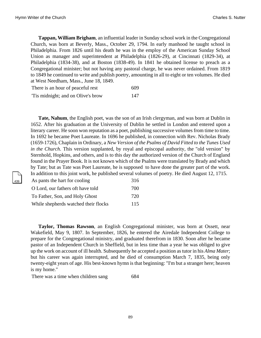**Tappan, William Brigham**, an influential leader in Sunday school work in the Congregational Church, was born at Beverly, Mass., October 29, 1794. In early manhood he taught school in Philadelphia. From 1826 until his death he was in the employ of the American Sunday School Union as manager and superintendent at Philadelphia (1826-29), at Cincinnati (1829-34), at Philadelphia (1834-38), and at Boston (1838-49). In 1841 he obtained license to preach as a Congregational minister; but not having any pastoral charge, he was never ordained. From 1819 to 1849 he continued to write and publish poetry, amounting in all to eight or ten volumes. He died at West Needham, Mass., June 18, 1849.

| There is an hour of peaceful rest | 609 |
|-----------------------------------|-----|
| Tis midnight; and on Olive's brow | 147 |

**Tate, Nahum**, the English poet, was the son of an Irish clergyman, and was born at Dublin in 1652. After his graduation at the University of Dublin he settled in London and entered upon a literary career. He soon won reputation as a poet, publishing successive volumes from time to time. In 1692 he became Poet Laureate. In 1696 he published, in connection with [Rev. Nicholas Brady](#page-25-0) (1659-1726), Chaplain in Ordinary, a *New Version of the Psalms of David Fitted to the Tunes Used in the Church*. This version supplanted, by royal and episcopal authority, the "old version" by Sternhold, Hopkins, and others, and is to this day the authorized version of the Church of England found in the Prayer Book. It is not known which of the Psalms were translated by Brady and which by Tate; but as Tate was Poet Laureate, he is supposed to have done the greater part of the work. In addition to this joint work, he published several volumes of poetry. He died August 12, 1715.

| As pants the hart for cooling        | 316 |
|--------------------------------------|-----|
| O Lord, our fathers oft have told    | 700 |
| To Father, Son, and Holy Ghost       | 720 |
| While shepherds watched their flocks | 115 |

**Taylor, Thomas Rawson**, an English Congregational minister, was born at Ossett, near Wakefield, May 9, 1807. In September, 1826, he entered the Airedale Independent College to prepare for the Congregational ministry, and graduated therefrom in 1830. Soon after he became pastor of an Independent Church in Sheffield, but in less time than a year he was obliged to give up the work on account of ill health. Subsequently he accepted a position as tutor in his *Alma Mater*; but his career was again interrupted, and he died of consumption March 7, 1835, being only twenty-eight years of age. His best-known hymn is that beginning: "I'm but a stranger here; heaven is my home."

There was a time when children sang 684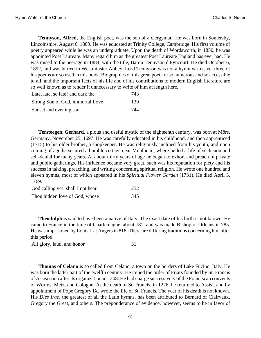**Tennyson, Alfred**, the English poet, was the son of a clergyman. He was born in Somersby, Lincolnshire, August 6, 1809. He was educated at Trinity College, Cambridge. His first volume of poetry appeared while he was an undergraduate. Upon the death of Wordsworth, in 1850, he was appointed Poet Laureate. Many regard him as the greatest Poet Laureate England has ever had. He was raised to the peerage in 1884, with the title, Baron Tennyson d'Eyncourt. He died October 6, 1892, and was buried in Westminster Abbey. Lord Tennyson was not a hymn writer, yet three of his poems are so used in this book. Biographies of this great poet are so numerous and so accessible to all, and the important facts of his life and of his contributions to modern English literature are so well known as to render it unnecessary to write of him at length here.

| Late, late, so late! and dark the | 743 |
|-----------------------------------|-----|
| Strong Son of God, immortal Love  | 139 |
| Sunset and evening star           | 744 |

**Tersteegen, Gerhard**, a pious and useful mystic of the eighteenth century, was born at Mörs, Germany, November 25, 1697. He was carefully educated in his childhood, and then apprenticed (1715) to his older brother, a shopkeeper. He was religiously inclined from his youth, and upon coming of age he secured a humble cottage near Mühlheim, where he led a life of seclusion and self-denial for many years. At about thirty years of age he began to exhort and preach in private and public gatherings. His influence became very great, such was his reputation for piety and his success in talking, preaching, and writing concerning spiritual religion. He wrote one hundred and eleven hymns, most of which appeared in his *[Spiritual Flower Garden](http://www.ccel.org/ccel/bevan/tersteegen.html)* (1731). He died April 3, 1769.

| God calling yet! shall I not hear | 252 |
|-----------------------------------|-----|
| Thou hidden love of God, whose    | 345 |

**Theodulph** is said to have been a native of Italy. The exact date of his birth is not known. He came to France in the time of Charlemagne, about 781, and was made Bishop of Orleans in 785. He was imprisoned by Louis I. at Angers in 818. There are differing traditions concerning him after this period.

All glory, laud, and honor 31

**Thomas of Celano** is so called from Celano, a town on the borders of Lake Fucino, Italy. He was born the latter part of the twelfth century. He joined the order of Friars founded by St. Francis of Assisi soon after its organization in 1208. He had charge successively of the Franciscan convents of Worms, Metz, and Cologne. At the death of St. Francis, in 1226, he returned to Assisi, and by appointment of Pope Gregory IX. wrote the life of St. Francis. The year of his death is not known. His *Dies Irae*, the greatest of all the Latin hymns, has been attributed to [Bernard of Clairvaux,](#page-20-0) Gregory the Great, and others. The preponderance of evidence, however, seems to be in favor of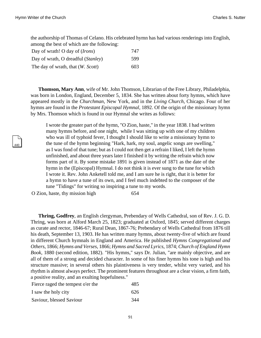the authorship of Thomas of Celano. His celebrated hymn has had various renderings into English, among the best of which are the following:

| Day of wrath! O day of <i>(Irons)</i>       | 747 |
|---------------------------------------------|-----|
| Day of wrath, O dreadful ( <i>Stanley</i> ) | 599 |
| The day of wrath, that <i>(W. Scott)</i>    | 603 |

**Thomson, Mary Ann**, wife of Mr. John Thomson, Librarian of the Free Library, Philadelphia, was born in London, England, December 5, 1834. She has written about forty hymns, which have appeared mostly in the *Churchman*, New York, and in the *Living Church*, Chicago. Four of her hymns are found in the *Protestant Episcopal Hymnal*, 1892. Of the origin of the missionary hymn by Mrs. Thomson which is found in our Hymnal she writes as follows:

I wrote the greater part of the hymn, "O Zion, haste," in the year 1838. I had written many hymns before, and one night, while I was sitting up with one of my children who was ill of typhoid fever, I thought I should like to write a missionary hymn to the tune of the hymn beginning "Hark, hark, my soul, angelic songs are swelling," as I was fond of that tune; but as I could not then get a refrain I liked, I left the hymn unfinished, and about three years later I finished it by writing the refrain which now forms part of it. By some mistake 1891 is given instead of 1871 as the date of the hymn in the (Episcopal) Hymnal. I do not think it is ever sung to the tune for which I wrote it. Rev. John Anketell told me, and I am sure he is right, that it is better for a hymn to have a tune of its own, and I feel much indebted to the composer of the tune "Tidings" for writing so inspiring a tune to my words.

O Zion, haste, thy mission high 654

**Thring, Godfrey**, an English clergyman, Prebendary of Wells Cathedral, son of Rev. J. G. D. Thring, was born at Alford March 25, 1823; graduated at Oxford, 1845; served different charges as curate and rector, 1846-67; Rural Dean, 1867-76; Prebendary of Wells Cathedral from 1876 till his death, September 13, 1903. He has written many hymns, about twenty-five of which are found in different Church hymnals in England and America. He published *Hymns Congregational and Others*, 1866; *Hymns and Verses*, 1866; *Hymns and Sacred Lyrics*, 1874; *Church of England Hymn Book*, 1880 (second edition, 1882). "His hymns," says Dr. Julian, "are mainly objective, and are all of them of a strong and decided character. In some of his finer hymns his tone is high and his structure massive; in several others his plaintiveness is very tender, whilst very varied, and his rhythm is almost always perfect. The prominent features throughout are a clear vision, a firm faith, a positive reality, and an exulting hopefulness."

| Fierce raged the tempest o'er the | 485. |
|-----------------------------------|------|
| I saw the holy city               | 626  |
| Saviour, blessed Saviour          | 344  |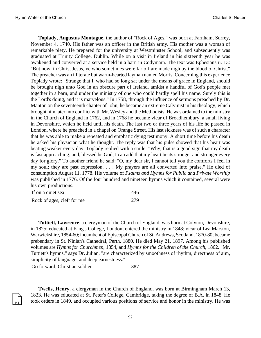**Toplady, Augustus Montague**, the author of "Rock of Ages," was born at Farnham, Surrey, November 4, 1740. His father was an officer in the British army. His mother was a woman of remarkable piety. He prepared for the university at Westminster School, and subsequently was graduated at Trinity College, Dublin. While on a visit in Ireland in his sixteenth year he was awakened and converted at a service held in a barn in Codymain. The text was [Ephesians ii. 13:](http://www.ccel.org/b/bible/asv/xml/asv.Eph.2.xml#Eph.2.13) "But now, in Christ Jesus, ye who sometimes were far off are made nigh by the blood of Christ." The preacher was an illiterate but warm-hearted layman named Morris. Concerning this experience Toplady wrote: "Strange that I, who had so long sat under the means of grace in England, should be brought nigh unto God in an obscure part of Ireland, amidst a handful of God's people met together in a barn, and under the ministry of one who could hardly spell his name. Surely this is the Lord's doing, and it is marvelous." In 1758, through the influence of sermons preached by Dr. Manton on the seventeenth chapter of John, he became an extreme Calvinist in his theology, which brought him later into conflict with [Mr. Wesley](#page-115-0) and the Methodists. He was ordained to the ministry in the Church of England in 1762, and in 1768 he became vicar of Broadhembury, a small living in Devonshire, which he held until his death. The last two or three years of his life he passed in London, where he preached in a chapel on Orange Street. His last sickness was of such a character that he was able to make a repeated and emphatic dying testimony. A short time before his death he asked his physician what he thought. The reply was that his pulse showed that his heart was beating weaker every day. Toplady replied with a smile: "Why, that is a good sign that my death is fast approaching; and, blessed be God, I can add that my heart beats stronger and stronger every day for glory." To another friend he said: "O, my dear sir, I cannot tell you the comforts I feel in my soul; they are past expression. . . . My prayers are all converted into praise." He died of consumption August 11, 1778. His volume of *Psalms and Hymns for Public and Private Worship* was published in 1776. Of the four hundred and nineteen hymns which it contained, several were his own productions.

| If on a quiet sea          | 446 |
|----------------------------|-----|
| Rock of ages, cleft for me | 279 |

**Tuttiett, Lawrence**, a clergyman of the Church of England, was born at Colyton, Devonshire, in 1825; educated at King's College, London; entered the ministry in 1848; vicar of Lea Marston, Warwickshire, 1854-60; incumbent of Episcopal Church of St. Andrews, Scotland, 1870-80; became prebendary in St. Ninian's Cathedral, Perth, 1880. He died May 21, 1897. Among his published volumes are *Hymns for Churchmen*, 1854, and *Hymns for the Children of the Church*, 1862. "Mr. Tuttiett's hymns," says Dr. Julian, "are characterized by smoothness of rhythm, directness of aim, simplicity of language, and deep earnestness."

Go forward, Christian soldier 387

441

**Twells, Henry**, a clergyman in the Church of England, was born at Birmingham March 13, 1823. He was educated at St. Peter's College, Cambridge, taking the degree of B.A. in 1848. He took orders in 1849, and occupied various positions of service and honor in the ministry. He was

92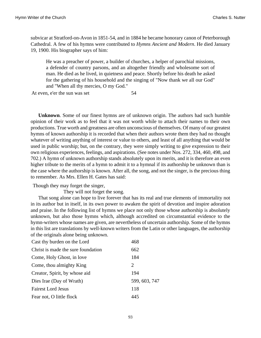subvicar at Stratford-on-Avon in 1851-54, and in 1884 he became honorary canon of Peterborough Cathedral. A few of his hymns were contributed to *Hymns Ancient and Modern*. He died January 19, 1900. His biographer says of him:

He was a preacher of power, a builder of churches, a helper of parochial missions, a defender of country parsons, and an altogether friendly and wholesome sort of man. He died as he lived, in quietness and peace. Shortly before his death he asked for the gathering of his household and the singing of "Now thank we all our God" and "When all thy mercies, O my God."

At even, e'er the sun was set 54

**Unknown**. Some of our finest hymns are of unknown origin. The authors had such humble opinion of their work as to feel that it was not worth while to attach their names to their own productions. True worth and greatness are often unconscious of themselves. Of many of our greatest hymns of known authorship it is recorded that when their authors wrote them they had no thought whatever of writing anything of interest or value to others, and least of all anything that would be used in public worship; but, on the contrary, they were simply writing to give expression to their own religious experiences, feelings, and aspirations. (See notes under Nos. 272, 334, 460, 498, and 702.) A hymn of unknown authorship stands absolutely upon its merits, and it is therefore an even higher tribute to the merits of a hymn to admit it to a hymnal if its authorship be unknown than is the case where the authorship is known. After all, the song, and not the singer, is the precious thing to remember. As Mrs. Ellen H. Gates has said:

Though they may forget the singer,

They will not forget the song.

That song alone can hope to live forever that has its real and true elements of immortality not in its author but in itself, in its own power to awaken the spirit of devotion and inspire adoration and praise. In the following list of hymns we place not only those whose authorship is absolutely unknown, but also those hymns which, although accredited on circumstantial evidence to the hymn-writers whose names are given, are nevertheless of uncertain authorship. Some of the hymns in this list are translations by well-known writers from the Latin or other languages, the authorship of the originals alone being unknown.

| Cast thy burden on the Lord        | 468           |
|------------------------------------|---------------|
| Christ is made the sure foundation | 662           |
| Come, Holy Ghost, in love          | 184           |
| Come, thou almighty King           | 2             |
| Creator, Spirit, by whose aid      | 194           |
| Dies Irae (Day of Wrath)           | 599, 603, 747 |
| <b>Fairest Lord Jesus</b>          | 118           |
| Fear not, O little flock           | 445           |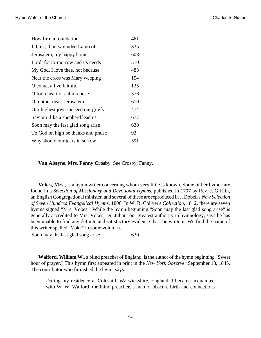| How firm a foundation               | 461 |
|-------------------------------------|-----|
| I thirst, thou wounded Lamb of      | 335 |
| Jerusalem, my happy home            | 608 |
| Lord, for to-morrow and its needs   | 510 |
| My God, I love thee, not because    | 483 |
| Near the cross was Mary weeping     | 154 |
| O come, all ye faithful             | 125 |
| O for a heart of calm repose        | 376 |
| O mother dear, Jerusalem            | 610 |
| Our highest joys succeed our griefs | 474 |
| Saviour, like a shepherd lead us    | 677 |
| Soon may the last glad song arise   | 630 |
| To God on high be thanks and praise | 93  |
| Why should our tears in sorrow      | 591 |
|                                     |     |

**Van Alstyne, Mrs. Fanny Crosby**. See [Crosby, Fanny](#page-38-0).

**Vokes, Mrs.**, is a hymn writer concerning whom very little is known. Some of her hymns are found in a *Selection of Missionary and Devotional Hymns*, published in 1797 by Rev. J. Griffin, an English Congregational minister, and several of these are reproduced in J. Dobell's *New Selection of Seven Hundred Evangelical Hymns*, 1806. In [W. B. Collyer's](#page-33-0) *Collection*, 1812, there are seven hymns signed "Mrs. Vokes." While the hymn beginning "Soon may the last glad song arise" is generally accredited to Mrs. Vokes, Dr. Julian, our greatest authority in hymnology, says he has been unable to find any definite and satisfactory evidence that she wrote it. We find the name of this writer spelled "Voke" in some volumes.

Soon may the last glad song arise 630

**Walford, William W.**, a blind preacher of England, is the author of the hymn beginning "Sweet hour of prayer." This hymn first appeared in print in the *New York Observer* September 13, 1845. The contributor who furnished the hymn says:

During my residence at Coleshill, Warwickshire, England, I became acquainted with W. W. Walford, the blind preacher, a man of obscure birth and connections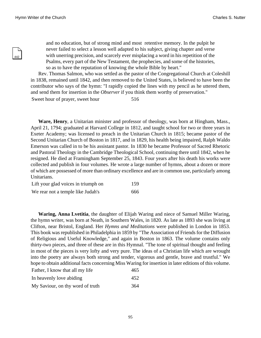and no education, but of strong mind and most retentive memory. In the pulpit he never failed to select a lesson well adapted to his subject, giving chapter and verse with unerring precision, and scarcely ever misplacing a word in his repetition of the Psalms, every part of the New Testament, the prophecies, and some of the histories, so as to have the reputation of knowing the whole Bible by heart."

Rev. Thomas Salmon, who was settled as the pastor of the Congregational Church at Coleshill in 1838, remained until 1842, and then removed to the United States, is believed to have been the contributor who says of the hymn: "I rapidly copied the lines with my pencil as he uttered them, and send them for insertion in the *Observer* if you think them worthy of preservation." Sweet hour of prayer, sweet hour 516

**Ware, Henry**, a Unitarian minister and professor of theology, was born at Hingham, Mass., April 21, 1794; graduated at Harvard College in 1812, and taught school for two or three years in Exeter Academy; was licensed to preach in the Unitarian Church in 1815; became pastor of the Second Unitarian Church of Boston in 1817, and in 1829, his health being impaired, Ralph Waldo Emerson was called in to be his assistant pastor. In 1830 he became Professor of Sacred Rhetoric and Pastoral Theology in the Cambridge Theological School, continuing there until 1842, when he resigned. He died at Framingham September 25, 1843. Four years after his death his works were collected and publish in four volumes. He wrote a large number of hymns, about a dozen or more of which are possessed of more than ordinary excellence and are in common use, particularly among Unitarians.

| Lift your glad voices in triumph on | 159 |
|-------------------------------------|-----|
| We rear not a temple like Judah's   | 666 |

**Waring, Anna Lvetitia**, the daughter of Elijah Waring and niece of Samuel Miller Waring, the hymn writer, was born at Neath, in Southern Wales, in 1820. As late as 1893 she was living at Clifton, near Bristol, England. Her *[Hymns and Meditations](http://www.ccel.org/ccel/waring/hymns.html)* were published in London in 1853. This book was republished in Philadelphia in 1859 by "The Association of Friends for the Diffusion of Religious and Useful Knowledge," and again in Boston in 1863. The volume contains only thirty-two pieces, and three of these are in this Hymnal. "The tone of spiritual thought and feeling in most of the pieces is very lofty and very pure. The ideas of a Christian life which are wrought into the poetry are always both strong and tender, vigorous and gentle, brave and trustful." We hope to obtain additional facts concerning Miss Waring for insertion in later editions of this volume.

| Father, I know that all my life  | 465 |
|----------------------------------|-----|
| In heavenly love abiding         | 452 |
| My Saviour, on thy word of truth | 364 |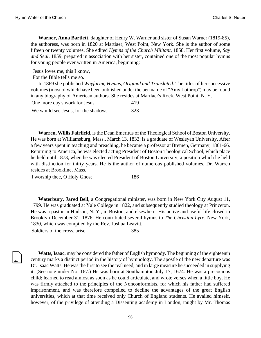**Warner, Anna Bartlett**, daughter of Henry W. Warner and sister of Susan Warner (1819-85), the authoress, was born in 1820 at Martlaer, West Point, New York. She is the author of some fifteen or twenty volumes. She edited *Hymns of the Church Militant*, 1858. Her first volume, *Say and Seal*, 1859, prepared in association with her sister, contained one of the most popular hymns for young people ever written in America, beginning:

Jesus loves me, this I know,

For the Bible tells me so.

In 1869 she published *Wayfaring Hymns, Original and Translated*. The titles of her successive volumes (most of which have been published under the pen name of "Amy Lothrop") may be found in any biography of American authors. She resides at Martlaer's Rock, West Point, N. Y. One more day's work for Jesus 419 We would see Jesus, for the shadows 323

**Warren, Willis Fairfield**, is the Dean Emeritus of the Theological School of Boston University. He was born at Williamsburg, Mass., March 13, 1833; is a graduate of Wesleyan University. After a few years spent in teaching and preaching, he became a professor at Bremen, Germany, 1861-66. Returning to America, he was elected acting President of Boston Theological School, which place he held until 1873, when he was elected President of Boston University, a position which he held with distinction for thirty years. He is the author of numerous published volumes. Dr. Warren resides at Brookline, Mass.

I worship thee, O Holy Ghost 186

**Waterbury, Jared Bell**, a Congregational minister, was born in New York City August 11, 1799. He was graduated at Yale College in 1822, and subsequently studied theology at Princeton. He was a pastor in Hudson, N. Y., in Boston, and elsewhere. His active and useful life closed in Brooklyn December 31, 1876. He contributed several hymns to *The Christian Lyre*, New York, 1830, which was compiled by the Rev. Joshua Leavitt. Soldiers of the cross, arise 385

<span id="page-107-0"></span>**Watts, Isaac**, may be considered the father of English hymnody. The beginning of the eighteenth century marks a distinct period in the history of hymnology. The apostle of the new departure was Dr. Isaac Watts. He was the first to see the real need, and in large measure he succeeded in supplying it. (See note under No. 167.) He was born at Southampton July 17, 1674. He was a precocious child; learned to read almost as soon as he could articulate, and wrote verses when a little boy. He was firmly attached to the principles of the Nonconformists, for which his father had suffered imprisonment, and was therefore compelled to decline the advantages of the great English universities, which at that time received only Church of England students. He availed himself, however, of the privilege of attending a Dissenting academy in London, taught by Mr. Thomas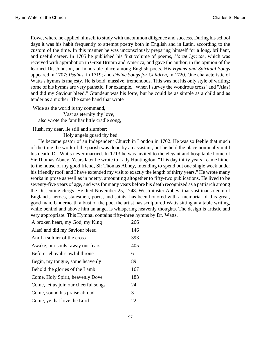Rowe, where he applied himself to study with uncommon diligence and success. During his school days it was his habit frequently to attempt poetry both in English and in Latin, according to the custom of the time. In this manner he was unconsciously preparing himself for a long, brilliant, and useful career. In 1705 he published his first volume of poems, *Horae Lyricae*, which was received with approbation in Great Britain and America, and gave the author, in the opinion of the learned Dr. Johnson, an honorable place among English poets. His *[Hymns and Spiritual Songs](http://www.ccel.org/ccel/watts/psalmshymns.html)* appeared in 1707; *[Psalms](http://www.ccel.org/ccel/watts/psalmshymns.html)*, in 1719; and *[Divine Songs for Children](http://www.ccel.org/ccel/watts/psalmshymns.html)*, in 1720. One characteristic of Watts's hymns is majesty. He is bold, massive, tremendous. This was not his only style of writing; some of his hymns are very pathetic. For example, "When I survey the wondrous cross" and "Alas! and did my Saviour bleed." Grandeur was his forte, but he could be as simple as a child and as tender as a mother. The same hand that wrote

Wide as the world is thy command, Vast as eternity thy love, also wrote the familiar little cradle song,

Hush, my dear, lie still and slumber;

Holy angels guard thy bed.

He became pastor of an Independent Church in London in 1702. He was so feeble that much of the time the work of the parish was done by an assistant, but he held the place nominally until his death. Dr. Watts never married. In 1713 he was invited to the elegant and hospitable home of Sir Thomas Abney. Years later he wrote to Lady Huntingdon: "This day thirty years I came hither to the house of my good friend, Sir Thomas Abney, intending to spend but one single week under his friendly roof; and I have extended my visit to exactly the length of thirty years." He wrote many works in prose as well as in poetry, amounting altogether to fifty-two publications. He lived to be seventy-five years of age, and was for many years before his death recognized as a patriarch among the Dissenting clergy. He died November 25, 1748. Westminster Abbey, that vast inausoleum of England's heroes, statesmen, poets, and saints, has been honored with a memorial of this great, good man. Underneath a bust of the poet the artist has sculptured Watts sitting at a table writing, while behind and above him an angel is whispering heavenly thoughts. The design is artistic and very appropriate. This Hymnal contains fifty-three hymns by Dr. Watts.

| A broken heart, my God, my King      | 266 |
|--------------------------------------|-----|
| Alas! and did my Saviour bleed       | 146 |
| Am I a soldier of the cross          | 393 |
| Awake, our souls! away our fears     | 405 |
| Before Jehovah's awful throne        | 6   |
| Begin, my tongue, some heavenly      | 89  |
| Behold the glories of the Lamb       | 167 |
| Come, Holy Spirit, heavenly Dove     | 183 |
| Come, let us join our cheerful songs | 24  |
| Come, sound his praise abroad        | 3   |
| Come, ye that love the Lord          | 22  |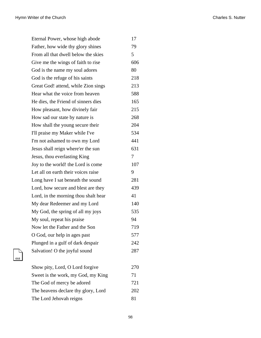| Eternal Power, whose high abode      | 17     |
|--------------------------------------|--------|
| Father, how wide thy glory shines    | 79     |
| From all that dwell below the skies  | 5      |
| Give me the wings of faith to rise   | 606    |
| God is the name my soul adores       | 80     |
| God is the refuge of his saints      | 218    |
| Great God! attend, while Zion sings  | 213    |
| Hear what the voice from heaven      | 588    |
| He dies, the Friend of sinners dies  | 165    |
| How pleasant, how divinely fair      | 215    |
| How sad our state by nature is       | 268    |
| How shall the young secure their     | 204    |
| I'll praise my Maker while I've      | 534    |
| I'm not ashamed to own my Lord       | 441    |
| Jesus shall reign where'er the sun   | 631    |
| Jesus, thou everlasting King         | $\tau$ |
| Joy to the world! the Lord is come   | 107    |
| Let all on earth their voices raise  | 9      |
| Long have I sat beneath the sound    | 281    |
| Lord, how secure and blest are they  | 439    |
| Lord, in the morning thou shalt hear | 41     |
| My dear Redeemer and my Lord         | 140    |
| My God, the spring of all my joys    | 535    |
| My soul, repeat his praise           | 94     |
| Now let the Father and the Son       | 719    |
| O God, our help in ages past         | 577    |
| Plunged in a gulf of dark despair    | 242    |
| Salvation! O the joyful sound        | 287    |
|                                      |        |
| Show pity, Lord, O Lord forgive      | 270    |
| Sweet is the work, my God, my King   | 71     |
| The God of mercy be adored           | 721    |

<span id="page-109-0"></span>

| Sweet is the work, my God, my King  | 7 L |
|-------------------------------------|-----|
| The God of mercy be adored          | 721 |
| The heavens declare thy glory, Lord | 202 |
| The Lord Jehovah reigns             | 81  |
|                                     |     |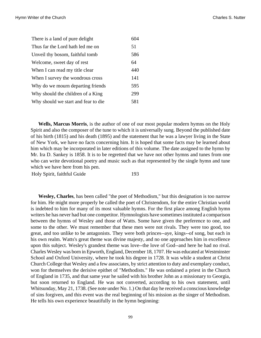| There is a land of pure delight      | 604 |
|--------------------------------------|-----|
| Thus far the Lord hath led me on     | 51  |
| Unveil thy bosom, faithful tomb      | 586 |
| Welcome, sweet day of rest           | 64  |
| When I can read my title clear       | 440 |
| When I survey the wondrous cross     | 141 |
| Why do we mourn departing friends    | 595 |
| Why should the children of a King    | 299 |
| Why should we start and fear to die. | 581 |

<span id="page-110-1"></span>**Wells, Marcus Morris**, is the author of one of our most popular modern hymns on the Holy Spirit and also the composer of the tune to which it is universally sung. Beyond the published date of his birth (1815) and his death (1895) and the statement that he was a lawyer living in the State of New York, we have no facts concerning him. It is hoped that some facts may be learned about him which may be incorporated in later editions of this volume. The date assigned to the hymn by Mr. Ira D. Sankey is 1858. It is to be regretted that we have not other hymns and tunes from one who can write devotional poetry and music such as that represented by the single hymn and tune which we have here from his pen.

<span id="page-110-0"></span>Holy Spirit, faithful Guide 193

**Wesley, Charles**, has been called "the poet of Methodism," but this designation is too narrow for him. He might more properly be called the poet of Christendom, for the entire Christian world is indebted to him for many of its most valuable hymns. For the first place among English hymn writers he has never had but one competitor. Hymnologists have sometimes instituted a comparison between the hymns of Wesley and those of [Watts.](#page-107-0) Some have given the preference to one, and some to the other. We must remember that these men were not rivals. They were too good, too great, and too unlike to be antagonists. They were both princes--aye, kings--of song, but each in his own realm. Watts's great theme was divine majesty, and no one approaches him in excellence upon this subject. Wesley's grandest theme was love--the love of God--and here he had no rival. Charles Wesley was born in Epworth, England, December 18, 1707. He was educated at Westminster School and Oxford University, where he took his degree in 1728. It was while a student at Christ Church College that Wesley and a few associates, by strict attention to duty and exemplary conduct, won for themselves the derisive epithet of "Methodists." He was ordained a priest in the Church of England in 1735, and that same year he sailed with his brother [John](#page-115-0) as a missionary to Georgia, but soon returned to England. He was not converted, according to his own statement, until Whitsunday, May 21, 1738. (See note under No. 1.) On that day he received a conscious knowledge of sins forgiven, and this event was the real beginning of his mission as the singer of Methodism. He tells his own experience beautifully in the hymn beginning: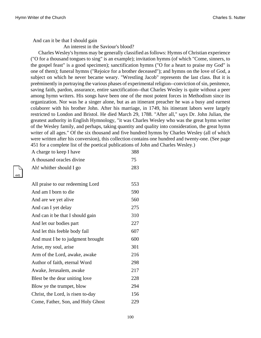And can it be that I should gain

An interest in the Saviour's blood?

Charles Wesley's hymns may be generally classified as follows: Hymns of Christian experience ("O for a thousand tongues to sing" is an example); invitation hymns (of which "Come, sinners, to the gospel feast" is a good specimen); sanctification hymns ("O for a heart to praise my God" is one of them); funeral hymns ("Rejoice for a brother deceased"); and hymns on the love of God, a subject on which he never became weary. "Wrestling Jacob" represents the last class. But it is preëminently in portraying the various phases of experimental religion--conviction of sin, penitence, saving faith, pardon, assurance, entire sanctification--that Charles Wesley is quite without a peer among hymn writers. His songs have been one of the most potent forces in Methodism since its organization. Nor was he a singer alone, but as an itinerant preacher he was a busy and earnest colaborer with his brother John. After his marriage, in 1749, his itinerant labors were largely restricted to London and Bristol. He died March 29, 1788. "After all," says Dr. John Julian, the greatest authority in English Hymnology, "it was Charles Wesley who was the great hymn writer of the Wesley family, and perhaps, taking quantity and quality into consideration, the great hymn writer of all ages." Of the six thousand and five hundred hymns by Charles Wesley (all of which were written after his conversion), this collection contains one hundred and twenty-one. (See page 451 for a complete list of the poetical publications of John and Charles Wesley.)

<span id="page-111-0"></span>

| A charge to keep I have           | 388 |
|-----------------------------------|-----|
| A thousand oracles divine         | 75  |
| Ah! whither should I go           | 283 |
|                                   |     |
| All praise to our redeeming Lord  | 553 |
| And am I born to die              | 590 |
| And are we yet alive              | 560 |
| And can I yet delay               | 275 |
| And can it be that I should gain  | 310 |
| And let our bodies part           | 227 |
| And let this feeble body fail     | 607 |
| And must I be to judgment brought | 600 |
| Arise, my soul, arise             | 301 |
| Arm of the Lord, awake, awake     | 216 |
| Author of faith, eternal Word     | 298 |
| Awake, Jerusalem, awake           | 217 |
| Blest be the dear uniting love    | 228 |
| Blow ye the trumpet, blow         | 294 |
| Christ, the Lord, is risen to-day | 156 |
| Come, Father, Son, and Holy Ghost | 229 |
|                                   |     |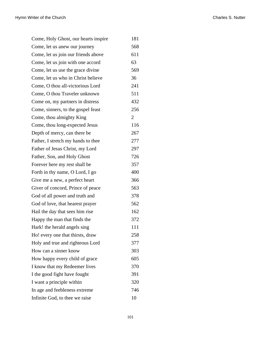| Come, Holy Ghost, our hearts inspire | 181            |
|--------------------------------------|----------------|
| Come, let us anew our journey        | 568            |
| Come, let us join our friends above  | 611            |
| Come, let us join with one accord    | 63             |
| Come, let us use the grace divine    | 569            |
| Come, let us who in Christ believe   | 36             |
| Come, O thou all-victorious Lord     | 241            |
| Come, O thou Traveler unknown        | 511            |
| Come on, my partners in distress     | 432            |
| Come, sinners, to the gospel feast   | 256            |
| Come, thou almighty King             | $\overline{2}$ |
| Come, thou long-expected Jesus       | 116            |
| Depth of mercy, can there be         | 267            |
| Father, I stretch my hands to thee   | 277            |
| Father of Jesus Christ, my Lord      | 297            |
| Father, Son, and Holy Ghost          | 726            |
| Forever here my rest shall be        | 357            |
| Forth in thy name, O Lord, I go      | 400            |
| Give me a new, a perfect heart       | 366            |
| Giver of concord, Prince of peace    | 563            |
| God of all power and truth and       | 378            |
| God of love, that hearest prayer     | 562            |
| Hail the day that sees him rise      | 162            |
| Happy the man that finds the         | 372            |
| Hark! the herald angels sing         | 111            |
| Ho! every one that thirsts, draw     | 258            |
| Holy and true and righteous Lord     | 377            |
| How can a sinner know                | 303            |
| How happy every child of grace       | 605            |
| I know that my Redeemer lives        | 370            |
| I the good fight have fought         | 391            |
| I want a principle within            | 320            |
| In age and feebleness extreme        | 746            |
| Infinite God, to thee we raise       | 10             |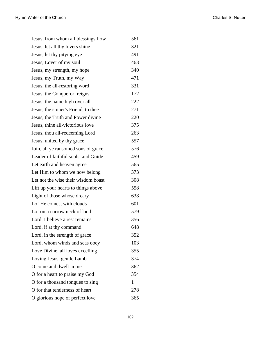| Jesus, from whom all blessings flow | 561 |
|-------------------------------------|-----|
| Jesus, let all thy lovers shine     | 321 |
| Jesus, let thy pitying eye          | 491 |
| Jesus, Lover of my soul             | 463 |
| Jesus, my strength, my hope         | 340 |
| Jesus, my Truth, my Way             | 471 |
| Jesus, the all-restoring word       | 331 |
| Jesus, the Conqueror, reigns        | 172 |
| Jesus, the name high over all       | 222 |
| Jesus, the sinner's Friend, to thee | 271 |
| Jesus, the Truth and Power divine   | 220 |
| Jesus, thine all-victorious love    | 375 |
| Jesus, thou all-redeeming Lord      | 263 |
| Jesus, united by thy grace          | 557 |
| Join, all ye ransomed sons of grace | 576 |
| Leader of faithful souls, and Guide | 459 |
| Let earth and heaven agree          | 565 |
| Let Him to whom we now belong       | 373 |
| Let not the wise their wisdom boast | 308 |
| Lift up your hearts to things above | 558 |
| Light of those whose dreary         | 638 |
| Lo! He comes, with clouds           | 601 |
| Lo! on a narrow neck of land        | 579 |
| Lord, I believe a rest remains      | 356 |
| Lord, if at thy command             | 648 |
| Lord, in the strength of grace      | 352 |
| Lord, whom winds and seas obey      | 103 |
| Love Divine, all loves excelling    | 355 |
| Loving Jesus, gentle Lamb           | 374 |
| O come and dwell in me              | 362 |
| O for a heart to praise my God      | 354 |
| O for a thousand tongues to sing    | 1   |
| O for that tenderness of heart      | 278 |
| O glorious hope of perfect love     | 365 |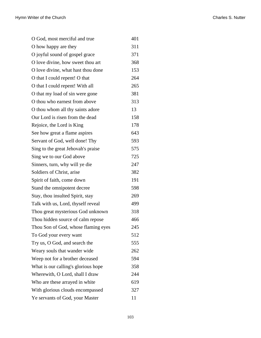| O God, most merciful and true       | 401 |
|-------------------------------------|-----|
| O how happy are they                | 311 |
| O joyful sound of gospel grace      | 371 |
| O love divine, how sweet thou art   | 368 |
| O love divine, what hast thou done  | 153 |
| O that I could repent! O that       | 264 |
| O that I could repent! With all     | 265 |
| O that my load of sin were gone     | 381 |
| O thou who earnest from above       | 313 |
| O thou whom all thy saints adore    | 13  |
| Our Lord is risen from the dead     | 158 |
| Rejoice, the Lord is King           | 178 |
| See how great a flame aspires       | 643 |
| Servant of God, well done! Thy      | 593 |
| Sing to the great Jehovah's praise  | 575 |
| Sing we to our God above            | 725 |
| Sinners, turn, why will ye die      | 247 |
| Soldiers of Christ, arise           | 382 |
| Spirit of faith, come down          | 191 |
| Stand the omnipotent decree         | 598 |
| Stay, thou insulted Spirit, stay    | 269 |
| Talk with us, Lord, thyself reveal  | 499 |
| Thou great mysterious God unknown   | 318 |
| Thou hidden source of calm repose   | 466 |
| Thou Son of God, whose flaming eyes | 245 |
| To God your every want              | 512 |
| Try us, O God, and search the       | 555 |
| Weary souls that wander wide        | 262 |
| Weep not for a brother deceased     | 594 |
| What is our calling's glorious hope | 358 |
| Wherewith, O Lord, shall I draw     | 244 |
| Who are these arrayed in white      | 619 |
| With glorious clouds encompassed    | 327 |
| Ye servants of God, your Master     | 11  |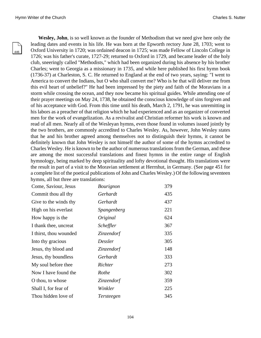<span id="page-115-1"></span><span id="page-115-0"></span>**Wesley, John**, is so well known as the founder of Methodism that we need give here only the leading dates and events in his life. He was born at the Epworth rectory June 28, 1703; went to Oxford University in 1720; was ordained deacon in 1725; was made Fellow of Lincoln College in 1726; was his father's curate, 1727-29; returned to Oxford in 1729, and became leader of the holy club, sneeringly called "Methodists," which had been organized during his absence by his brother Charles; went to Georgia as a missionary in 1735, and while here published his first hymn book (1736-37) at Charleston, S. C. He returned to England at the end of two years, saying: "I went to America to convert the Indians, but O who shall convert me? Who is he that will deliver me from this evil heart of unbelief?" He had been impressed by the piety and faith of the Moravians in a storm while crossing the ocean, and they now became his spiritual guides. While attending one of their prayer meetings on May 24, 1738, he obtained the conscious knowledge of sins forgiven and of his acceptance with God. From this time until his death, March 2, 1791, he was unremitting in his labors as a preacher of that religion which he had experienced and as an organizer of converted men for the work of evangelization. As a revivalist and Christian reformer his work is known and read of all men. Nearly all of the Wesleyan hymns, even those found in volumes issued jointly by the two brothers, are commonly accredited to [Charles Wesley](#page-110-0). As, however, John Wesley states that he and his brother agreed among themselves not to distinguish their hymns, it cannot be definitely known that John Wesley is not himself the author of some of the hymns accredited to Charles Wesley. He is known to be the author of numerous translations from the German, and these are among the most successful translations and finest hymns in the entire range of English hymnology, being marked by deep spirituality and lofty devotional thought. His translations were the result in part of a visit to the Moravian settlement at Herrnhut, in Germany. (See page 451 for a complete list of the poetical publications of John and Charles Wesley.) Of the following seventeen hymns, all but three are translations:

| Come, Saviour, Jesus   | Bourignon         | 379 |
|------------------------|-------------------|-----|
| Commit thou all thy    | Gerhardt          | 435 |
| Give to the winds thy  | Gerhardt          | 437 |
| High on his everlast   | Spangenberg       | 221 |
| How happy is the       | Original          | 624 |
| I thank thee, uncreat  | <i>Scheffler</i>  | 367 |
| I thirst, thou wounded | Zinzendorf        | 335 |
| Into thy gracious      | Dessler           | 305 |
| Jesus, thy blood and   | Zinzendorf        | 148 |
| Jesus, thy boundless   | Gerhardt          | 333 |
| My soul before thee.   | Richter           | 273 |
| Now I have found the   | Rothe             | 302 |
| O thou, to whose       | <i>Zinzendorf</i> | 359 |
| Shall I, for fear of   | Winkler           | 225 |
| Thou hidden love of    | Tersteegen        | 345 |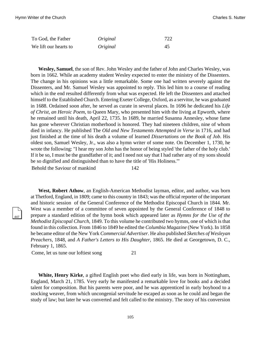| To God, the Father    | Original | 722 |
|-----------------------|----------|-----|
| We lift our hearts to | Original | 45  |

<span id="page-116-0"></span>**Wesley, Samuel**, the son of Rev. John Wesley and the father of [John](#page-115-0) and [Charles Wesley,](#page-110-0) was born in 1662. While an academy student Wesley expected to enter the ministry of the Dissenters. The change in his opinions was a little remarkable. Some one had written severely against the Dissenters, and Mr. Samuel Wesley was appointed to reply. This led him to a course of reading which in the end resulted differently from what was expected. He left the Dissenters and attached himself to the Established Church. Entering Exeter College, Oxford, as a servitor, he was graduated in 1688. Ordained soon after, he served as curate in several places. In 1696 he dedicated his *Life of Christ, an Heroic Poem*, to Queen Mary, who presented him with the living at Epworth, where he remained until his death, April 22, 1735. In 1689, he married Susanna Annesley, whose fame has gone wherever Christian motherhood is honored. They had nineteen children, nine of whom died in infancy. He published The *Old and New Testaments Attempted in Verse* in 1716, and had just finished at the time of his death a volume of learned *Dissertations on the Book of Job*. His oldest son, Samuel Wesley, Jr., was also a hymn writer of some note. On December 1, 1730, he wrote the following: "I hear my son John has the honor of being styled 'the father of the holy club.' If it be so, I must be the grandfather of it; and I need not say that I had rather any of my sons should be so dignified and distinguished than to have the title of 'His Holiness.'" Behold the Saviour of mankind 142

<span id="page-116-3"></span><span id="page-116-1"></span>**West, Robert Athow**, an English-American Methodist layman, editor, and author, was born at Thetford, England, in 1809; came to this country in 1843; was the official reporter of the important and historic session of the General Conference of the Methodist Episcopal Church in 1844. Mr. West was a member of a committee of seven appointed by the General Conference of 1848 to prepare a standard edition of the hymn book which appeared later as *Hymns for the Use of the Methodist Episcopal Church*, 1849. To this volume he contributed two hymns, one of which is that found in this collection. From 1846 to 1849 he edited the *Columbia Magazine* (New York). In 1858 he became editor of the New York *Commercial Advertiser*. He also published *Sketches of Wesleyan Preachers*, 1848, and *A Father's Letters to His Daughter*, 1865. He died at Georgetown, D. C., February 1, 1865.

<span id="page-116-2"></span>Come, let us tune our loftiest song 21

**White, Henry Kirke**, a gifted English poet who died early in life, was born in Nottingham, England, March 21, 1785. Very early he manifested a remarkable love for books and a decided talent for composition. But his parents were poor, and he was apprenticed in early boyhood to a stocking weaver, from which uncongenial servitude he escaped as soon as he could and began the study of law; but later he was converted and felt called to the ministry. The story of his conversion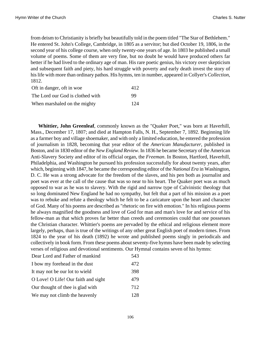from deism to Christianity is briefly but beautifully told in the poem titled "The Star of Bethlehem." He entered St. John's College, Cambridge, in 1805 as a servitor; but died October 19, 1806, in the second year of his college course, when only twenty-one years of age. In 1803 he published a small volume of poems. Some of them are very fine, but no doubt he would have produced others far better if he had lived to the ordinary age of man. His rare poetic genius, his victory over skepticism and subsequent faith and piety, his hard struggle with poverty and early death invest the story of his life with more than ordinary pathos. His hymns, ten in number, appeared in [Collyer's](#page-33-0) *Collection*, 1812.

| Oft in danger, oft in woe        | 412 |
|----------------------------------|-----|
| The Lord our God is clothed with | QQ. |
| When marshaled on the mighty     | 124 |

<span id="page-117-0"></span>**Whittier, John Greenleaf**, commonly known as the "Quaker Poet," was born at Haverhill, Mass., December 17, 1807; and died at Hampton Falls, N. H., September 7, 1892. Beginning life as a farmer boy and village shoemaker, and with only a limited education, he entered the profession of journalism in 1828, becoming that year editor of the *American Manufacturer*, published in Boston, and in 1830 editor of the *New England Review*. In 1836 he became Secretary of the American Anti-Slavery Society and editor of its official organ, the *Freeman*. In Boston, Hartford, Haverhill, Philadelphia, and Washington he pursued his profession successfully for about twenty years, after which, beginning with 1847, he became the corresponding editor of the *National Era* in Washington, D. C. He was a strong advocate for the freedom of the slaves, and his pen both as journalist and poet was ever at the call of the cause that was so near to his heart. The Quaker poet was as much opposed to war as he was to slavery. With the rigid and narrow type of Calvinistic theology that so long dominated New England he had no sympathy, but felt that a part of his mission as a poet was to rebuke and refute a theology which he felt to be a caricature upon the heart and character of God. Many of his poems are described as "rhetoric on fire with emotion." In his religious poems he always magnified the goodness and love of God for man and man's love for and service of his fellow-man as that which proves far better than creeds and ceremonies could that one possesses the Christian character. Whittier's poems are pervaded by the ethical and religious element more largely, perhaps, than is true of the writings of any other great English poet of modern times. From 1824 to the year of his death (1892) he wrote and published poems singly in periodicals and collectively in book form. From these poems about seventy-five hymns have been made by selecting verses of religious and devotional sentiments. Our Hymnal contains seven of his hymns:

| Dear Lord and Father of mankind     | 543 |
|-------------------------------------|-----|
| I bow my forehead in the dust       | 472 |
| It may not be our lot to wield      | 398 |
| O Love! O Life! Our faith and sight | 479 |
| Our thought of thee is glad with    | 712 |
| We may not climb the heavenly       | 128 |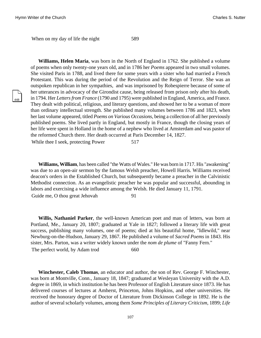When on my day of life the night 589

<span id="page-118-4"></span><span id="page-118-0"></span>**Williams, Helen Maria**, was born in the North of England in 1762. She published a volume of poems when only twenty-one years old, and in 1786 her *Poems* appeared in two small volumes. She visited Paris in 1788, and lived there for some years with a sister who had married a French Protestant. This was during the period of the Revolution and the Reign of Terror. She was an outspoken republican in her sympathies, and was imprisoned by Robespierre because of some of her utterances in advocacy of the Girondist cause, being released from prison only after his death, in 1794. Her *Letters from France* (1790 and 1795) were published in England, America, and France. They dealt with political, religious, and literary questions, and showed her to be a woman of more than ordinary intellectual strength. She published many volumes between 1786 and 1823, when her last volume appeared, titled *Poems on Various Occasions*, being a collection of all her previously published poems. She lived partly in England, but mostly in France, though the closing years of her life were spent in Holland in the home of a nephew who lived at Amsterdam and was pastor of the reformed Church there. Her death occurred at Paris December 14, 1827.

<span id="page-118-1"></span>While thee I seek, protecting Power 517

**Williams, William**, has been called "the [Watts](#page-107-0) of Wales." He was born in 1717. His "awakening" was due to an open-air sermon by the famous Welsh preacher, Howell Harris. Williams received deacon's orders in the Established Church, but subsequently became a preacher in the Calvinistic Methodist connection. As an evangelistic preacher he was popular and successful, abounding in labors and exercising a wide influence among the Welsh. He died January 11, 1791. Guide me, O thou great Jehovah 91

<span id="page-118-3"></span><span id="page-118-2"></span>**Willis, Nathaniel Parker**, the well-known American poet and man of letters, was born at Portland, Me., January 20, 1807; graduated at Yale in 1827; followed a literary life with great success, publishing many volumes, one of poems; died at his beautiful home, "Idlewild," near Newburg-on-the-Hudson, January 29, 1867. He published a volume of *Sacred Poems* in 1843. His sister, Mrs. Parton, was a writer widely known under the *nom de plume* of "Fanny Fern." The perfect world, by Adam trod 660

**Winchester, Caleb Thomas**, an educator and author, the son of Rev. George F. Winchester, was born at Montville, Conn., January 18, 1847; graduated at Wesleyan University with the A.D. degree in 1869, in which institution he has been Professor of English Literature since 1873. He has delivered courses of lectures at Amherst, Princeton, Johns Hopkins, and other universities. He received the honorary degree of Doctor of Literature from Dickinson College in 1892. He is the author of several scholarly volumes, among them *Some Principles of Literary Criticism*, 1899; *Life*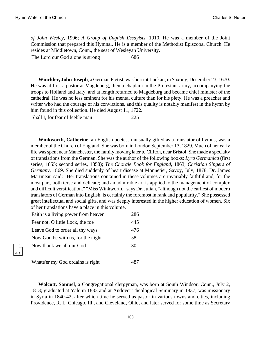*of John Wesley*, 1906; *A Group of English Essayists*, 1910. He was a member of the Joint Commission that prepared this Hymnal. He is a member of the Methodist Episcopal Church. He resides at Middletown, Conn., the seat of Wesleyan University.

The Lord our God alone is strong 686

<span id="page-119-0"></span>**Winckler, John Joseph**, a German Pietist, was born at Luckau, in Saxony, December 23, 1670. He was at first a pastor at Magdeburg, then a chaplain in the Protestant army, accompanying the troops to Holland and Italy, and at length returned to Magdeburg and became chief minister of the cathedral. He was no less eminent for his mental culture than for his piety. He was a preacher and writer who had the courage of his convictions, and this quality is notably manifest in the hymn by him found in this collection. He died August 11, 1722. Shall I, for fear of feeble man 225

<span id="page-119-1"></span>**Winkworth, Catherine**, an English poetess unusually gifted as a translator of hymns, was a member of the Church of England. She was born in London September 13, 1829. Much of her early life was spent near Manchester, the family moving later to Clifton, near Bristol. She made a specialty of translations from the German. She was the author of the following books: *Lyra Germanica* ([first](http://www.ccel.org/ccel/winkworth/lyra.html) [series](http://www.ccel.org/ccel/winkworth/lyra.html), 1855; [second series,](http://www.ccel.org/ccel/winkworth/lyra.html) 1858); *The Chorale Book for England*, 1863; *[Christian Singers of](http://www.ccel.org/ccel/winkworth/lyra.html) [Germany](http://www.ccel.org/ccel/winkworth/lyra.html)*, 1869. She died suddenly of heart disease at Monnetier, Savoy, July, 1878. Dr. James Martineau said: "Her translations contained in these volumes are invariably faithful and, for the most part, both terse and delicate; and an admirable art is applied to the management of complex and difficult versification." "Miss Winkworth," says Dr. Julian, "although not the earliest of modern translators of German into English, is certainly the foremost in rank and popularity." She possessed great intellectual and social gifts, and was deeply interested in the higher education of women. Six of her translations have a place in this volume.

<span id="page-119-3"></span>

| Faith is a living power from heaven | 286 |
|-------------------------------------|-----|
| Fear not, O little flock, the foe   | 445 |
| Leave God to order all thy ways     | 476 |
| Now God be with us, for the night   | 58  |
| Now thank we all our God            | 30  |
|                                     |     |
|                                     |     |

<span id="page-119-2"></span>Whate'er my God ordains is right 487

**Wolcott, Samuel**, a Congregational clergyman, was born at South Windsor, Conn., July 2, 1813; graduated at Yale in 1833 and at Andover Theological Seminary in 1837; was missionary in Syria in 1840-42, after which time he served as pastor in various towns and cities, including Providence, R. I., Chicago, Ill., and Cleveland, Ohio, and later served for some time as Secretary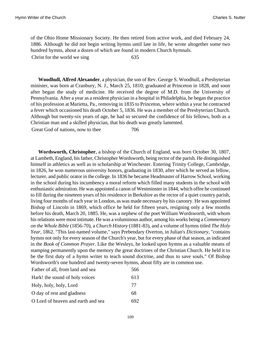of the Ohio Home Missionary Society. He then retired from active work, and died February 24, 1886. Although he did not begin writing hymns until late in life, he wrote altogether some two hundred hymns, about a dozen of which are found in modern Church hymnals. Christ for the world we sing 635

<span id="page-120-0"></span>**Woodhull, Alfred Alexander**, a physician, the son of Rev. George S. Woodhull, a Presbyterian minister, was born at Cranbury, N. J., March 25, 1810; graduated at Princeton in 1828, and soon after began the study of medicine. He received the degree of M.D. from the University of Pennsylvania. After a year as a resident physician in a hospital in Philadelphia, he began the practice of his profession at Marietta, Pa., removing in 1835 to Princeton, where within a year he contracted a fever which occasioned his death October 5, 1836. He was a member of the Presbyterian Church. Although but twenty-six years of age, he had so secured the confidence of his fellows, both as a Christian man and a skilled physician, that his death was greatly lamented.

<span id="page-120-1"></span>Great God of nations, now to thee  $706$ 

**Wordsworth, Christopher**, a bishop of the Church of England, was born October 30, 1807, at Lambeth, England, his father, Christopher Wordsworth, being rector of the parish. He distinguished himself in athletics as well as in scholarship at Winchester. Entering Trinity College, Cambridge, in 1826, he won numerous university honors, graduating in 1830, after which he served as fellow, lecturer, and public orator in the college. In 1836 he became Headmaster of Harrow School, working in the school during his incumbency a moral reform which filled many students in the school with enthusiastic admiration. He was appointed a canon of Westminster in 1844, which offee he continued to fill during the nineteen years of his residence in Berkshire as the rector of a quiet country parish, living four months of each year in London, as was made necessary by his canonry. He was appointed Bishop of Lincoln in 1869, which office he held for fifteen years, resigning only a few months before his death, March 20, 1885. He, was a nephew of the poet William Wordsworth, with whom his relations were most intimate. He was a voluminous author, among his works being a *Commentary on the Whole Bible* (1856-70), a *Church History* (1881-83), and a volume of hymns titled *The Holy Year*, 1862. "This last-named volume," says Prebendary Overton, in Julian's *Dictionary*, "contains hymns not only for every season of the Church's year, but for every phase of that season, as indicated in the *Book of Common Prayer*. Like the Wesleys, he looked upon hymns as a valuable means of stamping permanently upon the memory the great doctrines of the Christian Church. He held it to be the first duty of a hymn writer to teach sound doctrine, and thus to save souls." Of Bishop Wordsworth's one hundred and twenty-seven hymns, about fifty are in common use.

| 566 |
|-----|
| 613 |
| 77  |
| 68  |
| 692 |
|     |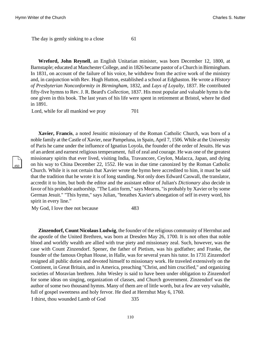The day is gently sinking to a close 61

<span id="page-121-0"></span>**Wreford, John Reynell**, an English Unitarian minister, was born December 12, 1800, at Barnstaple; educated at Manchester College, and in 1826 became pastor of a Church in Birmingham. In 1831, on account of the failure of his voice, he withdrew from the active work of the ministry and, in canjunction with Rev. Hugh Hutton, established a school at Edgbaston. He wrote a *History of Presbyterian Nonconformity in Birmingham*, 1832, and *Lays of Loyalty*, 1837. He contributed fifty-five hymns to Rev. J. R. Beard's *Collection*, 1837. His most popular and valuable hymn is the one given in this book. The last years of his life were spent in retirement at Bristol, where he died in 1891.

<span id="page-121-1"></span>Lord, while for all mankind we pray 701

<span id="page-121-3"></span>**Xavier, Francis**, a noted Jesuitic missionary of the Roman Catholic Church, was born of a noble family at the Castle of Xavier, near Pampeluna, in Spain, April 7, 1506. While at the University of Paris he came under the influence of Ignatius Loyola, the founder of the order of Jesuits. He was of an ardent and earnest religious temperament, full of zeal and courage. He was one of the greatest missionary spirits that ever lived, visiting India, Travancore, Ceylon, Malacca, Japan, and dying on his way to China December 22, 1552. He was in due time canonized by the Roman Catholic Church. While it is not certain that Xavier wrote the hymn here accredited to him, it must be said that the tradition that he wrote it is of long standing. Not only does Edward Caswall, the translator, accredit it to him, but both the editor and the assistant editor of Julian's *Dictionary* also decide in favor of his probable authorship. "The Latin form," says Mearns, "is probably by Xavier or by some German Jesuit." "This hymn," says Julian, "breathes Xavier's abnegation of self in every word, his spirit in every line."

<span id="page-121-2"></span>My God, I love thee not because 483

**Zinzendorf, Count Nicolaus Ludwig**, the founder of the religious community of Herrnhut and the apostle of the United Brethren, was born at Dresden May 26, 1700. It is not often that noble blood and worldly wealth are allied with true piety and missionary zeal. Such, however, was the case with Count Zinzendorf. Spener, the father of Pietism, was his godfather; and Franke, the founder of the famous Orphan House, in Halle, was for several years his tutor. In 1731 Zinzendorf resigned all public duties and devoted himself to missionary work. He traveled extensively on the Continent, in Great Britain, and in America, preaching "Christ, and him crucified," and organizing societies of Moravian brethren. [John Wesley](#page-115-0) is said to have been under obligation to Zinzendorf for some ideas on singing, organization of classes, and Church government. Zinzendorf was the author of some two thousand hymns. Many of them are of little worth, but a few are very valuable, full of gospel sweetness and holy fervor. He died at Herrnhut May 6, 1760.

I thirst, thou wounded Lamb of God 335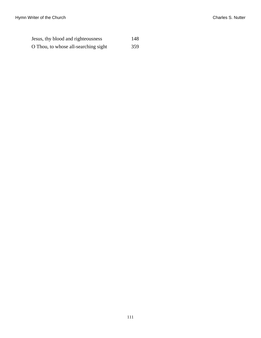| Jesus, thy blood and righteousness   | 148 |
|--------------------------------------|-----|
| O Thou, to whose all-searching sight | 359 |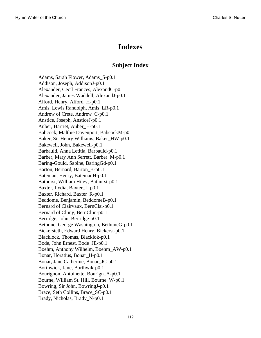## **Indexes**

## **Subject Index**

Adams, Sarah Flower, [Adams\\_S-p0.1](#page-13-0) Addison, Joseph, [AddisonJ-p0.1](#page-13-1) Alexander, Cecil Frances, [AlexandC-p0.1](#page-13-2) Alexander, James Waddell, [AlexandJ-p0.1](#page-14-0) Alford, Henry, [Alford\\_H-p0.1](#page-14-1) Amis, Lewis Randolph, [Amis\\_LR-p0.1](#page-14-2) Andrew of Crete, [Andrew\\_C-p0.1](#page-15-0) Anstice, Joseph, [AnsticeJ-p0.1](#page-15-1) Auber, Harriet, [Auber\\_H-p0.1](#page-15-2) Babcock, Maltbie Davenport, [BabcockM-p0.1](#page-15-3) Baker, Sir Henry Williams, [Baker\\_HW-p0.1](#page-16-0) Bakewell, John, [Bakewell-p0.1](#page-16-1) Barbauld, Anna Letitia, [Barbauld-p0.1](#page-16-2) Barber, Mary Ann Serrett, [Barber\\_M-p0.1](#page-17-0) Baring-Gould, Sabine, [BaringGd-p0.1](#page-17-1) Barton, Bernard, [Barton\\_B-p0.1](#page-17-2) Bateman, Henry, [BatemanH-p0.1](#page-18-0) Bathurst, William Hiley, [Bathurst-p0.1](#page-18-1) Baxter, Lydia, [Baxter\\_L-p0.1](#page-18-2) Baxter, Richard, [Baxter\\_R-p0.1](#page-19-0) Beddome, Benjamin, [BeddomeB-p0.1](#page-19-1) Bernard of Clairvaux, [BernClai-p0.1](#page-20-0) Bernard of Cluny, [BernClun-p0.1](#page-20-1) Berridge, John, [Berridge-p0.1](#page-21-0) Bethune, George Washington, [BethuneG-p0.1](#page-21-1) Bickersteth, Edward Henry, [Bickerst-p0.1](#page-21-2) Blacklock, Thomas, [Blacklok-p0.1](#page-22-0) Bode, John Ernest, [Bode\\_JE-p0.1](#page-22-1) Boehm, Anthony Wilhelm, [Boehm\\_AW-p0.1](#page-22-2) Bonar, Horatius, [Bonar\\_H-p0.1](#page-22-3) Bonar, Jane Catherine, [Bonar\\_JC-p0.1](#page-23-0) Borthwick, Jane, [Borthwik-p0.1](#page-23-1) Bourignon, Antoinette, [Bourign\\_A-p0.1](#page-23-2) Bourne, William St. Hill, [Bourne\\_W-p0.1](#page-24-0) Bowring, Sir John, [BowringJ-p0.1](#page-24-1) Brace, Seth Collins, [Brace\\_SC-p0.1](#page-25-0) Brady, Nicholas, [Brady\\_N-p0.1](#page-25-1)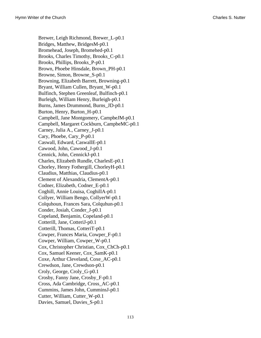Brewer, Leigh Richmond, [Brewer\\_L-p0.1](#page-25-2) Bridges, Matthew, [BridgesM-p0.1](#page-25-3) Bromehead, Joseph, [Bromehed-p0.1](#page-26-0) Brooks, Charles Timothy, [Brooks\\_C-p0.1](#page-26-1) Brooks, Phillips, [Brooks\\_P-p0.1](#page-26-2) Brown, Phoebe Hinsdale, [Brown\\_PH-p0.1](#page-26-3) Browne, Simon, [Browne\\_S-p0.1](#page-27-0) Browning, Elizabeth Barrett, [Browning-p0.1](#page-27-1) Bryant, William Cullen, [Bryant\\_W-p0.1](#page-28-0) Bulfinch, Stephen Greenleaf, [Bulfinch-p0.1](#page-28-1) Burleigh, William Henry, [Burleigh-p0.1](#page-28-2) Burns, James Drummond, [Burns\\_JD-p0.1](#page-29-0) Burton, Henry, [Burton\\_H-p0.1](#page-29-1) Campbell, Jane Montgomery, [CampbeJM-p0.1](#page-29-2) Campbell, Margaret Cockburn, [CampbeMC-p0.1](#page-29-3) Carney, Julia A., [Carney\\_J-p0.1](#page-30-0) Cary, Phoebe, [Cary\\_P-p0.1](#page-30-1) Caswall, Edward, [CaswallE-p0.1](#page-30-2) Cawood, John, [Cawood\\_J-p0.1](#page-31-0) Cennick, John, [CennickJ-p0.1](#page-31-1) Charles, Elizabeth Rundle, [CharlesE-p0.1](#page-32-0) Chorley, Henry Fothergill, [ChorleyH-p0.1](#page-32-1) Claudius, Matthias, [Claudius-p0.1](#page-32-2) Clement of Alexandria, [ClementA-p0.1](#page-33-1) Codner, Elizabeth, [Codner\\_E-p0.1](#page-33-2) Coghill, Annie Louisa, [CoghillA-p0.1](#page-33-3) Collyer, William Bengo, [CollyerW-p0.1](#page-33-0) Colquhoun, Frances Sara, [Colquhun-p0.1](#page-34-0) Conder, Josiah, [Conder\\_J-p0.1](#page-34-1) Copeland, Benjamin, [Copeland-p0.1](#page-35-0) Cotterill, Jane, [CotteriJ-p0.1](#page-35-1) Cotterill, Thomas, [CotteriT-p0.1](#page-35-2) Cowper, Frances Maria, [Cowper\\_F-p0.1](#page-36-0) Cowper, William, [Cowper\\_W-p0.1](#page-36-1) Cox, Christopher Christian, [Cox\\_ChCh-p0.1](#page-37-0) Cox, Samuel Keener, [Cox\\_SamK-p0.1](#page-37-1) Coxe, Arthur Cleveland, [Coxe\\_AC-p0.1](#page-37-2) Crewdson, Jane, [Crewdson-p0.1](#page-38-0) Croly, George, [Croly\\_G-p0.1](#page-38-1) Crosby, Fanny Jane, [Crosby\\_F-p0.1](#page-38-2) Cross, Ada Cambridge, [Cross\\_AC-p0.1](#page-39-0) Cummins, James John, [CumminsJ-p0.1](#page-39-1) Cutter, William, [Cutter\\_W-p0.1](#page-40-0) Davies, Samuel, [Davies\\_S-p0.1](#page-40-1)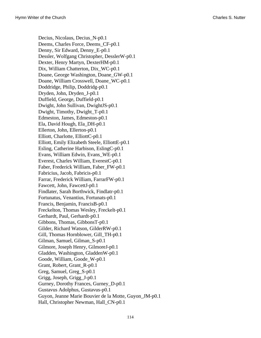Decius, Nicolaus, [Decius\\_N-p0.1](#page-40-2) Deems, Charles Force, [Deems\\_CF-p0.1](#page-40-3) Denny, Sir Edward, [Denny\\_E-p0.1](#page-41-0) Dessler, Wolfgang Christopher, [DesslerW-p0.1](#page-41-1) Dexter, Henry Martyn, [DexterHM-p0.1](#page-41-2) Dix, William Chatterton, [Dix\\_WC-p0.1](#page-41-3) Doane, George Washington, [Doane\\_GW-p0.1](#page-42-0) Doane, William Crosswell, [Doane\\_WC-p0.1](#page-42-1) Doddridge, Philip, [Doddridg-p0.1](#page-42-2) Dryden, John, [Dryden\\_J-p0.1](#page-44-0) Duffield, George, [Duffield-p0.1](#page-44-1) Dwight, John Sullivan, [DwightJS-p0.1](#page-44-2) Dwight, Timothy, [Dwight\\_T-p0.1](#page-44-3) Edmeston, James, [Edmeston-p0.1](#page-45-0) Ela, David Hough, [Ela\\_DH-p0.1](#page-45-1) Ellerton, John, [Ellerton-p0.1](#page-45-2) Elliott, Charlotte, [ElliottC-p0.1](#page-46-0) Elliott, Emily Elizabeth Steele, [ElliottE-p0.1](#page-46-1) Esling, Catherine Harbison, [EslingC-p0.1](#page-47-0) Evans, William Edwin, [Evans\\_WE-p0.1](#page-47-1) Everest, Charles William, [EverestC-p0.1](#page-47-2) Faber, Frederick William, [Faber\\_FW-p0.1](#page-47-3) Fabricius, Jacob, [Fabricis-p0.1](#page-48-0) Farrar, Frederick William, [FarrarFW-p0.1](#page-48-1) Fawcett, John, [FawcettJ-p0.1](#page-49-0) Findlater, Sarah Borthwick, [Findlatr-p0.1](#page-49-1) Fortunatus, Venantius, [Fortunats-p0.1](#page-49-2) Francis, Benjamin, [FrancisB-p0.1](#page-49-3) Freckelton, Thomas Wesley, [Freckelt-p0.1](#page-50-0) Gerhardt, Paul, [Gerhardt-p0.1](#page-50-1) Gibbons, Thomas, [GibbonsT-p0.1](#page-51-0) Gilder, Richard Watson, [GilderRW-p0.1](#page-51-1) Gill, Thomas Hornblower, [Gill\\_TH-p0.1](#page-51-2) Gilman, Samuel, [Gilman\\_S-p0.1](#page-51-3) Gilmore, Joseph Henry, [GilmoreJ-p0.1](#page-52-0) Gladden, Washington, [GladdenW-p0.1](#page-52-1) Goode, William, [Goode\\_W-p0.1](#page-53-0) Grant, Robert, [Grant\\_R-p0.1](#page-53-1) Greg, Samuel, [Greg\\_S-p0.1](#page-53-2) Grigg, Joseph, [Grigg\\_J-p0.1](#page-53-3) Gurney, Dorothy Frances, [Gurney\\_D-p0.1](#page-54-0) Gustavus Adolphus, [Gustavus-p0.1](#page-54-1) Guyon, Jeanne Marie Bouvier de la Motte, [Guyon\\_JM-p0.1](#page-54-2) Hall, Christopher Newman, [Hall\\_CN-p0.1](#page-55-0)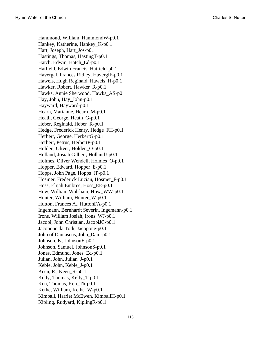Hammond, William, [HammondW-p0.1](#page-55-1) Hankey, Katherine, [Hankey\\_K-p0.1](#page-55-2) Hart, Joseph, [Hart\\_Jos-p0.1](#page-56-0) Hastings, Thomas, [HastingT-p0.1](#page-56-1) Hatch, Edwin, [Hatch\\_Ed-p0.1](#page-57-0) Hatfield, Edwin Francis, [Hatfield-p0.1](#page-57-1) Havergal, Frances Ridley, [HaverglF-p0.1](#page-57-2) Haweis, Hugh Reginald, [Haweis\\_H-p0.1](#page-58-0) Hawker, Robert, [Hawker\\_R-p0.1](#page-58-1) Hawks, Annie Sherwood, [Hawks\\_AS-p0.1](#page-58-2) Hay, John, [Hay\\_John-p0.1](#page-59-0) Hayward, [Hayward-p0.1](#page-59-1) Hearn, Marianne, [Hearn\\_M-p0.1](#page-59-2) Heath, George, [Heath\\_G-p0.1](#page-60-0) Heber, Reginald, [Heber\\_R-p0.1](#page-60-1) Hedge, Frederick Henry, [Hedge\\_FH-p0.1](#page-60-2) Herbert, George, [HerbertG-p0.1](#page-61-0) Herbert, Petrus, [HerbertP-p0.1](#page-61-1) Holden, Oliver, [Holden\\_O-p0.1](#page-61-2) Holland, Josiah Gilbert, [HollandJ-p0.1](#page-61-3) Holmes, Oliver Wendell, [Holmes\\_O-p0.1](#page-62-0) Hopper, Edward, [Hopper\\_E-p0.1](#page-62-1) Hopps, John Page, [Hopps\\_JP-p0.1](#page-62-2) Hosmer, Frederick Lucian, [Hosmer\\_F-p0.1](#page-62-3) Hoss, Elijah Embree, [Hoss\\_EE-p0.1](#page-63-0) How, William Walsham, [How\\_WW-p0.1](#page-63-1) Hunter, William, [Hunter\\_W-p0.1](#page-63-2) Hutton, Frances A., [HuttonFA-p0.1](#page-64-0) Ingemann, Bernhardt Severin, [Ingemann-p0.1](#page-64-1) Irons, William Josiah, [Irons\\_WJ-p0.1](#page-64-2) Jacobi, John Christian, [JacobiJC-p0.1](#page-64-3) Jacopone da Todi, [Jacopone-p0.1](#page-65-0) John of Damascus, [John\\_Dam-p0.1](#page-65-1) Johnson, E., [JohnsonE-p0.1](#page-65-2) Johnson, Samuel, [JohnsonS-p0.1](#page-65-3) Jones, Edmund, [Jones\\_Ed-p0.1](#page-66-0) Julian, John, [Julian\\_J-p0.1](#page-66-1) Keble, John, [Keble\\_J-p0.1](#page-66-2) Keen, R., [Keen\\_R-p0.1](#page-67-0) Kelly, Thomas, [Kelly\\_T-p0.1](#page-67-1) Ken, Thomas, [Ken\\_Th-p0.1](#page-68-0) Kethe, William, [Kethe\\_W-p0.1](#page-68-1) Kimball, Harriet McEwen, [KimballH-p0.1](#page-68-2) Kipling, Rudyard, [KiplingR-p0.1](#page-69-0)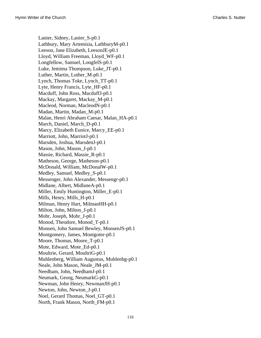Lanier, Sidney, [Lanier\\_S-p0.1](#page-69-1) Lathbury, Mary Artemisia, [LathburyM-p0.1](#page-69-2) Leeson, Jane Elizabeth, [LeesonJE-p0.1](#page-70-0) Lloyd, William Freeman, [Lloyd\\_WF-p0.1](#page-70-1) Longfellow, Samuel, [LongfelS-p0.1](#page-70-2) Luke, Jemima Thompson, [Luke\\_JT-p0.1](#page-71-0) Luther, Martin, [Luther\\_M-p0.1](#page-71-1) Lynch, Thomas Toke, [Lynch\\_TT-p0.1](#page-71-2) Lyte, Henry Francis, [Lyte\\_HF-p0.1](#page-72-0) Macduff, John Ross, [MacduffJ-p0.1](#page-73-0) Mackay, Margaret, [Mackay\\_M-p0.1](#page-73-1) Macleod, Norman, [MacleodN-p0.1](#page-73-2) Madan, Martin, [Madan\\_M-p0.1](#page-73-3) Malan, Henri Abraham Caesar, [Malan\\_HA-p0.1](#page-74-0) March, Daniel, [March\\_D-p0.1](#page-74-1) Marcy, Elizabeth Eunice, [Marcy\\_EE-p0.1](#page-74-2) Marriott, John, [MarriotJ-p0.1](#page-74-3) Marsden, Joshua, [MarsdenJ-p0.1](#page-74-4) Mason, John, [Mason\\_J-p0.1](#page-75-0) Massie, Richard, [Massie\\_R-p0.1](#page-75-1) Matheson, George, [Matheson-p0.1](#page-75-2) McDonald, William, [McDonalW-p0.1](#page-76-0) Medley, Samuel, [Medley\\_S-p0.1](#page-76-1) Messenger, John Alexander, [Messengr-p0.1](#page-76-2) Midlane, Albert, [MidlaneA-p0.1](#page-76-3) Miller, Emily Huntington, [Miller\\_E-p0.1](#page-77-0) Mills, Henry, [Mills\\_H-p0.1](#page-77-1) Milman, Henry Hart, [MilmanHH-p0.1](#page-78-0) Milton, John, [Milton\\_J-p0.1](#page-78-1) Mohr, Joseph, [Mohr\\_J-p0.1](#page-78-2) Monod, Theodore, [Monod\\_T-p0.1](#page-78-3) Monsen, John Samuel Bewley, [MonsenJS-p0.1](#page-79-0) Montgomery, James, [Montgomr-p0.1](#page-79-1) Moore, Thomas, [Moore\\_T-p0.1](#page-80-0) Mote, Edward, [Mote\\_Ed-p0.1](#page-80-1) Moultrie, Gerard, [MoultriG-p0.1](#page-81-0) Muhlenberg, William Augustus, [Muhlenbg-p0.1](#page-81-1) Neale, John Mason, [Neale\\_JM-p0.1](#page-81-2) Needham, John, [NeedhamJ-p0.1](#page-82-0) Neumark, Georg, [NeumarkG-p0.1](#page-82-1) Newman, John Henry, [NewmanJH-p0.1](#page-82-2) Newton, John, [Newton\\_J-p0.1](#page-83-0) Noel, Gerard Thomas, [Noel\\_GT-p0.1](#page-84-0) North, Frank Mason, [North\\_FM-p0.1](#page-84-1)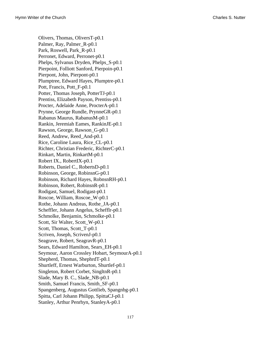Olivers, Thomas, [OliversT-p0.1](#page-84-2) Palmer, Ray, [Palmer\\_R-p0.1](#page-85-0) Park, Roswell, [Park\\_R-p0.1](#page-85-1) Perronet, Edward, [Perronet-p0.1](#page-86-0) Phelps, Sylvanus Dryden, [Phelps\\_S-p0.1](#page-86-1) Pierpoint, Folliott Sanford, [Pierpoin-p0.1](#page-86-2) Pierpont, John, [Pierpont-p0.1](#page-86-3) Plumptree, Edward Hayes, [Plumptre-p0.1](#page-87-0) Pott, Francis, [Pott\\_F-p0.1](#page-87-1) Potter, Thomas Joseph, [PotterTJ-p0.1](#page-87-2) Prentiss, Elizabeth Payson, [Prentiss-p0.1](#page-87-3) Procter, Adelaide Anne, [ProcterA-p0.1](#page-88-0) Prynne, George Rundle, [PrynneGR-p0.1](#page-88-1) Rabanus Maurus, [RabanusM-p0.1](#page-88-2) Rankin, Jeremiah Eames, [RankinJE-p0.1](#page-88-3) Rawson, George, [Rawson\\_G-p0.1](#page-89-0) Reed, Andrew, [Reed\\_And-p0.1](#page-89-1) Rice, Caroline Laura, [Rice\\_CL-p0.1](#page-89-2) Richter, Christian Frederic, [RichterC-p0.1](#page-90-0) Rinkart, Martin, [RinkartM-p0.1](#page-90-1) Robert IX., [RobertIX-p0.1](#page-90-2) Roberts, Daniel C., [RobertsD-p0.1](#page-90-3) Robinson, George, [RobinsnG-p0.1](#page-91-0) Robinson, Richard Hayes, [RobnsnRH-p0.1](#page-91-1) Robinson, Robert, [RobinsnR-p0.1](#page-91-2) Rodigast, Samuel, [Rodigast-p0.1](#page-91-3) Roscoe, William, [Roscoe\\_W-p0.1](#page-92-0) Rothe, Johann Andreas, [Rothe\\_JA-p0.1](#page-92-1) Scheffler, Johann Angelus, [Schefflr-p0.1](#page-92-2) Schmolke, Benjamin, [Schmolke-p0.1](#page-92-3) Scott, Sir Walter, [Scott\\_W-p0.1](#page-93-0) Scott, Thomas, [Scott\\_T-p0.1](#page-93-1) Scriven, Joseph, [ScrivenJ-p0.1](#page-93-2) Seagrave, Robert, [SeagravR-p0.1](#page-93-3) Sears, Edward Hamilton, [Sears\\_EH-p0.1](#page-94-0) Seymour, Aaron Crossley Hobart, [SeymourA-p0.1](#page-94-1) Shepherd, Thomas, [ShephrdT-p0.1](#page-94-2) Shurtleff, Ernest Warburton, [Shurtlef-p0.1](#page-94-3) Singleton, Robert Corbet, [SingltnR-p0.1](#page-95-0) Slade, Mary B. C., [Slade\\_NB-p0.1](#page-95-1) Smith, Samuel Francis, [Smith\\_SF-p0.1](#page-95-2) Spangenberg, Augustus Gottlieb, [Spangnbg-p0.1](#page-96-0) Spitta, Carl Johann Philipp, [SpittaCJ-p0.1](#page-96-1) Stanley, Arthur Penrhyn, [StanleyA-p0.1](#page-96-2)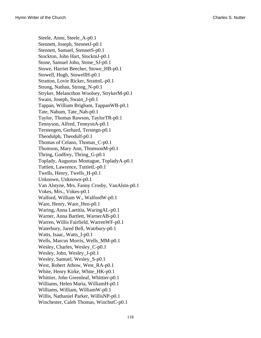Steele, Anne, [Steele\\_A-p0.1](#page-97-0) Stennett, Joseph, [StennetJ-p0.1](#page-97-1) Stennett, Samuel, [StennetS-p0.1](#page-97-2) Stockton, John Hart, [StocktnJ-p0.1](#page-98-0) Stone, Samuel John, [Stone\\_SJ-p0.1](#page-98-1) Stowe, Harriet Beecher, [Stowe\\_HB-p0.1](#page-98-2) Stowell, Hugh, [StowellH-p0.1](#page-98-3) Stratton, Lovie Ricker, [StrattnL-p0.1](#page-99-0) Strong, Nathan, [Strong\\_N-p0.1](#page-99-1) Stryker, Melancthon Woolsey, [StrykerM-p0.1](#page-99-2) Swain, Joseph, [Swain\\_J-p0.1](#page-99-3) Tappan, William Brigham, [TappanWB-p0.1](#page-100-0) Tate, Nahum, [Tate\\_Nah-p0.1](#page-100-1) Taylor, Thomas Rawson, [TaylorTR-p0.1](#page-100-2) Tennyson, Alfred, [TennysnA-p0.1](#page-101-0) Tersteegen, Gerhard, [Terstegn-p0.1](#page-101-1) Theodulph, [Theodulf-p0.1](#page-101-2) Thomas of Celano, [Thomas\\_C-p0.1](#page-101-3) Thomson, Mary Ann, [ThomsonM-p0.1](#page-102-0) Thring, Godfrey, [Thring\\_G-p0.1](#page-102-1) Toplady, Augustus Montague, [TopladyA-p0.1](#page-103-0) Tuttiett, Lawrence, [TuttietL-p0.1](#page-103-1) Twells, Henry, [Twells\\_H-p0.1](#page-103-2) Unknown, [Unknown-p0.1](#page-104-0) Van Alstyne, Mrs. Fanny Crosby, [VanAlstn-p0.1](#page-105-0) Vokes, Mrs., [Vokes-p0.1](#page-105-1) Walford, William W., [WalfordW-p0.1](#page-105-2) Ware, Henry, [Ware\\_Hen-p0.1](#page-106-0) Waring, Anna Laetitia, [WaringAL-p0.1](#page-106-1) Warner, Anna Bartlett, [WarnerAB-p0.1](#page-107-1) Warren, Willis Fairfield, [WarrenWF-p0.1](#page-107-2) Waterbury, Jared Bell, [Watrbury-p0.1](#page-107-3) Watts, Isaac, [Watts\\_I-p0.1](#page-107-0) Wells, Marcus Morris, [Wells\\_MM-p0.1](#page-110-1) Wesley, Charles, [Wesley\\_C-p0.1](#page-110-0) Wesley, John, [Wesley\\_J-p0.1](#page-115-0) Wesley, Samuel, [Wesley\\_S-p0.1](#page-116-0) West, Robert Athow, [West\\_RA-p0.1](#page-116-1) White, Henry Kirke, [White\\_HK-p0.1](#page-116-2) Whittier, John Greenleaf, [Whittier-p0.1](#page-117-0) Williams, Helen Maria, [WilliamH-p0.1](#page-118-0) Williams, William, [WilliamW-p0.1](#page-118-1) Willis, Nathaniel Parker, [WillisNP-p0.1](#page-118-2) Winchester, Caleb Thomas, [WinchstC-p0.1](#page-118-3)